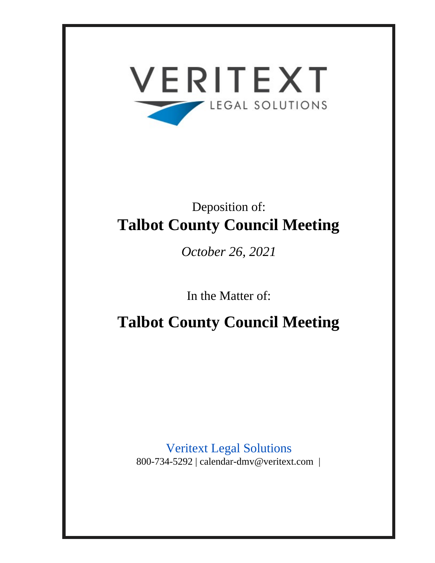

# Deposition of: **Talbot County Council Meeting**

*October 26, 2021*

In the Matter of:

**Talbot County Council Meeting**

Veritext Legal Solutions 800-734-5292 | calendar-dmv@veritext.com |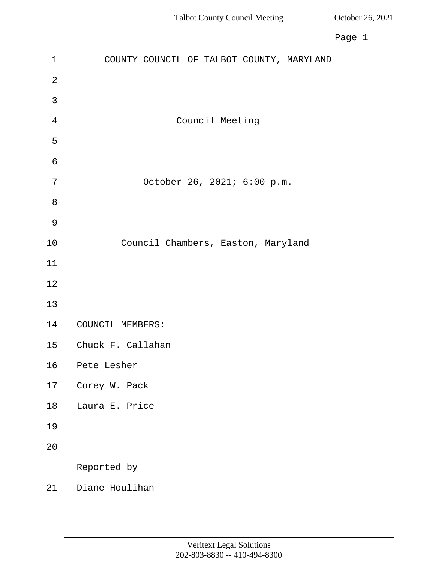<span id="page-1-0"></span>

|               | Page 1                                    |
|---------------|-------------------------------------------|
| $\mathbf{1}$  | COUNTY COUNCIL OF TALBOT COUNTY, MARYLAND |
| $\sqrt{2}$    |                                           |
| 3             |                                           |
| 4             | Council Meeting                           |
| 5             |                                           |
| 6             |                                           |
| 7             | October 26, 2021; 6:00 p.m.               |
| 8             |                                           |
| $\mathcal{G}$ |                                           |
| $10\,$        | Council Chambers, Easton, Maryland        |
| 11            |                                           |
| $1\,2$        |                                           |
| 13            |                                           |
| 14            | COUNCIL MEMBERS:                          |
| $15$          | Chuck F. Callahan                         |
| 16            | Pete Lesher                               |
| 17            | Corey W. Pack                             |
| 18            | Laura E. Price                            |
| 19            |                                           |
| 20            |                                           |
|               | Reported by                               |
| 21            | Diane Houlihan                            |
|               |                                           |
|               |                                           |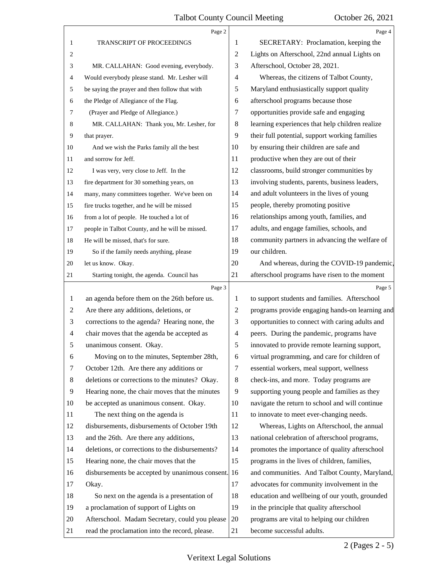<span id="page-2-0"></span>

|              | Page 2                                             |                | Page 4                                          |
|--------------|----------------------------------------------------|----------------|-------------------------------------------------|
| $\mathbf{1}$ | TRANSCRIPT OF PROCEEDINGS                          | 1              | SECRETARY: Proclamation, keeping the            |
| 2            |                                                    | 2              | Lights on Afterschool, 22nd annual Lights on    |
| 3            | MR. CALLAHAN: Good evening, everybody.             | 3              | Afterschool, October 28, 2021.                  |
| 4            | Would everybody please stand. Mr. Lesher will      | $\overline{4}$ | Whereas, the citizens of Talbot County,         |
| 5            | be saying the prayer and then follow that with     | 5              | Maryland enthusiastically support quality       |
| 6            | the Pledge of Allegiance of the Flag.              | 6              | afterschool programs because those              |
| 7            | (Prayer and Pledge of Allegiance.)                 | 7              | opportunities provide safe and engaging         |
| 8            | MR. CALLAHAN: Thank you, Mr. Lesher, for           | 8              | learning experiences that help children realize |
| 9            | that prayer.                                       | 9              | their full potential, support working families  |
| 10           | And we wish the Parks family all the best          | 10             | by ensuring their children are safe and         |
| 11           | and sorrow for Jeff.                               | 11             | productive when they are out of their           |
| 12           | I was very, very close to Jeff. In the             | 12             | classrooms, build stronger communities by       |
| 13           | fire department for 30 something years, on         | 13             | involving students, parents, business leaders,  |
| 14           | many, many committees together. We've been on      | 14             | and adult volunteers in the lives of young      |
| 15           | fire trucks together, and he will be missed        | 15             | people, thereby promoting positive              |
| 16           | from a lot of people. He touched a lot of          | 16             | relationships among youth, families, and        |
| 17           | people in Talbot County, and he will be missed.    | 17             | adults, and engage families, schools, and       |
| 18           | He will be missed, that's for sure.                | 18             | community partners in advancing the welfare of  |
| 19           | So if the family needs anything, please            | 19             | our children.                                   |
| 20           | let us know. Okay.                                 | 20             | And whereas, during the COVID-19 pandemic,      |
| 21           | Starting tonight, the agenda. Council has          | 21             | afterschool programs have risen to the moment   |
|              |                                                    |                |                                                 |
|              | Page 3                                             |                | Page 5                                          |
| $\mathbf{1}$ | an agenda before them on the 26th before us.       | 1              | to support students and families. Afterschool   |
| 2            | Are there any additions, deletions, or             | $\overline{2}$ | programs provide engaging hands-on learning and |
| 3            | corrections to the agenda? Hearing none, the       | 3              | opportunities to connect with caring adults and |
| 4            | chair moves that the agenda be accepted as         | $\overline{4}$ | peers. During the pandemic, programs have       |
| 5            | unanimous consent. Okay.                           | 5              | innovated to provide remote learning support,   |
| 6            | Moving on to the minutes, September 28th,          | 6              | virtual programming, and care for children of   |
| 7            | October 12th. Are there any additions or           | 7              | essential workers, meal support, wellness       |
| 8            | deletions or corrections to the minutes? Okay.     | 8              | check-ins, and more. Today programs are         |
| 9            | Hearing none, the chair moves that the minutes     | 9              | supporting young people and families as they    |
| 10           | be accepted as unanimous consent. Okay.            | 10             | navigate the return to school and will continue |
| 11           | The next thing on the agenda is                    | 11             | to innovate to meet ever-changing needs.        |
| 12           | disbursements, disbursements of October 19th       | 12             | Whereas, Lights on Afterschool, the annual      |
| 13           | and the 26th. Are there any additions,             | 13             | national celebration of afterschool programs,   |
| 14           | deletions, or corrections to the disbursements?    | 14             | promotes the importance of quality afterschool  |
| 15           | Hearing none, the chair moves that the             | 15             | programs in the lives of children, families,    |
| 16           | disbursements be accepted by unanimous consent. 16 |                | and communities. And Talbot County, Maryland,   |
| 17           | Okay.                                              | 17             | advocates for community involvement in the      |
| 18           | So next on the agenda is a presentation of         | 18             | education and wellbeing of our youth, grounded  |
| 19           | a proclamation of support of Lights on             | 19             | in the principle that quality afterschool       |
| 20           | Afterschool. Madam Secretary, could you please     | 20             | programs are vital to helping our children      |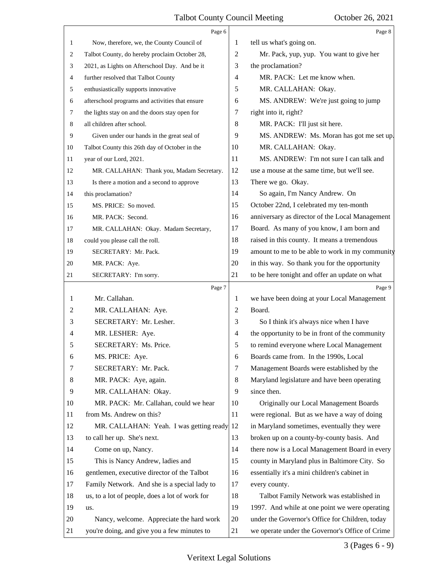<span id="page-3-0"></span>

|    | Page 6                                          |                | Page 8                                          |
|----|-------------------------------------------------|----------------|-------------------------------------------------|
| 1  | Now, therefore, we, the County Council of       | 1              | tell us what's going on.                        |
| 2  | Talbot County, do hereby proclaim October 28,   | 2              | Mr. Pack, yup, yup. You want to give her        |
| 3  | 2021, as Lights on Afterschool Day. And be it   | 3              | the proclamation?                               |
| 4  | further resolved that Talbot County             | $\overline{4}$ | MR. PACK: Let me know when.                     |
| 5  | enthusiastically supports innovative            | 5              | MR. CALLAHAN: Okay.                             |
| 6  | afterschool programs and activities that ensure | 6              | MS. ANDREW: We're just going to jump            |
| 7  | the lights stay on and the doors stay open for  | 7              | right into it, right?                           |
| 8  | all children after school.                      | 8              | MR. PACK: I'll just sit here.                   |
| 9  | Given under our hands in the great seal of      | 9              | MS. ANDREW: Ms. Moran has got me set up.        |
| 10 | Talbot County this 26th day of October in the   | 10             | MR. CALLAHAN: Okay.                             |
| 11 | year of our Lord, 2021.                         | 11             | MS. ANDREW: I'm not sure I can talk and         |
| 12 | MR. CALLAHAN: Thank you, Madam Secretary.       | 12             | use a mouse at the same time, but we'll see.    |
| 13 | Is there a motion and a second to approve       | 13             | There we go. Okay.                              |
| 14 | this proclamation?                              | 14             | So again, I'm Nancy Andrew. On                  |
| 15 | MS. PRICE: So moved.                            | 15             | October 22nd, I celebrated my ten-month         |
| 16 | MR. PACK: Second.                               | 16             | anniversary as director of the Local Management |
| 17 | MR. CALLAHAN: Okay. Madam Secretary,            | 17             | Board. As many of you know, I am born and       |
| 18 | could you please call the roll.                 | 18             | raised in this county. It means a tremendous    |
| 19 | SECRETARY: Mr. Pack.                            | 19             | amount to me to be able to work in my community |
| 20 | MR. PACK: Aye.                                  | 20             | in this way. So thank you for the opportunity   |
| 21 | SECRETARY: I'm sorry.                           | 21             | to be here tonight and offer an update on what  |
|    | Page 7                                          |                | Page 9                                          |
| 1  | Mr. Callahan.                                   | 1              | we have been doing at your Local Management     |
| 2  | MR. CALLAHAN: Aye.                              | 2              | Board.                                          |
| 3  | SECRETARY: Mr. Lesher.                          | 3              | So I think it's always nice when I have         |
| 4  | MR. LESHER: Aye.                                | 4              | the opportunity to be in front of the community |
| 5  | SECRETARY: Ms. Price.                           | 5              | to remind everyone where Local Management       |
| 6  | MS. PRICE: Aye.                                 | 6              | Boards came from. In the 1990s, Local           |
| 7  | SECRETARY: Mr. Pack.                            | 7              | Management Boards were established by the       |
| 8  | MR. PACK: Aye, again.                           | 8              | Maryland legislature and have been operating    |
| 9  | MR. CALLAHAN: Okay.                             | 9              | since then.                                     |
| 10 | MR. PACK: Mr. Callahan, could we hear           | 10             | Originally our Local Management Boards          |
| 11 | from Ms. Andrew on this?                        | 11             | were regional. But as we have a way of doing    |
| 12 | MR. CALLAHAN: Yeah. I was getting ready         | 12             | in Maryland sometimes, eventually they were     |
| 13 | to call her up. She's next.                     | 13             | broken up on a county-by-county basis. And      |
| 14 | Come on up, Nancy.                              | 14             | there now is a Local Management Board in every  |
| 15 | This is Nancy Andrew, ladies and                | 15             | county in Maryland plus in Baltimore City. So   |
| 16 | gentlemen, executive director of the Talbot     | 16             | essentially it's a mini children's cabinet in   |
| 17 | Family Network. And she is a special lady to    | 17             | every county.                                   |
| 18 | us, to a lot of people, does a lot of work for  | 18             | Talbot Family Network was established in        |
| 19 | us.                                             | 19             | 1997. And while at one point we were operating  |
| 20 | Nancy, welcome. Appreciate the hard work        | 20             | under the Governor's Office for Children, today |
| 21 | you're doing, and give you a few minutes to     | 21             | we operate under the Governor's Office of Crime |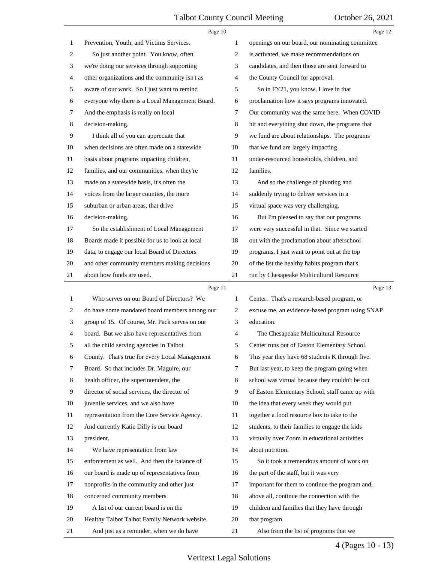<span id="page-4-0"></span>

|              | Page 10                                         |                | Page 12                                         |
|--------------|-------------------------------------------------|----------------|-------------------------------------------------|
| 1            | Prevention, Youth, and Victims Services.        | 1              | openings on our board, our nominating committee |
| 2            | So just another point. You know, often          | 2              | is activated, we make recommendations on        |
| 3            | we're doing our services through supporting     | 3              | candidates, and then those are sent forward to  |
| 4            | other organizations and the community isn't as  | 4              | the County Council for approval.                |
| 5            | aware of our work. So I just want to remind     | 5              | So in FY21, you know, I love in that            |
| 6            | everyone why there is a Local Management Board. | 6              | proclamation how it says programs innovated.    |
| 7            | And the emphasis is really on local             | 7              | Our community was the same here. When COVID     |
| 8            | decision-making.                                | 8              | hit and everything shut down, the programs that |
| 9            | I think all of you can appreciate that          | 9              | we fund are about relationships. The programs   |
| 10           | when decisions are often made on a statewide    | 10             | that we fund are largely impacting              |
| 11           | basis about programs impacting children,        | 11             | under-resourced households, children, and       |
| 12           | families, and our communities, when they're     | 12             | families.                                       |
| 13           | made on a statewide basis, it's often the       | 13             | And so the challenge of pivoting and            |
| 14           | voices from the larger counties, the more       | 14             | suddenly trying to deliver services in a        |
| 15           | suburban or urban areas, that drive             | 15             | virtual space was very challenging.             |
| 16           | decision-making.                                | 16             | But I'm pleased to say that our programs        |
| 17           | So the establishment of Local Management        | 17             | were very successful in that. Since we started  |
| 18           | Boards made it possible for us to look at local | 18             | out with the proclamation about afterschool     |
| 19           | data, to engage our local Board of Directors    | 19             | programs, I just want to point out at the top   |
| 20           | and other community members making decisions    | 20             | of the list the healthy habits program that's   |
| 21           | about how funds are used.                       | 21             | run by Chesapeake Multicultural Resource        |
|              | Page 11                                         |                | Page 13                                         |
| $\mathbf{1}$ | Who serves on our Board of Directors? We        | 1              | Center. That's a research-based program, or     |
| 2            | do have some mandated board members among our   | $\overline{c}$ | excuse me, an evidence-based program using SNAP |
| 3            | group of 15. Of course, Mr. Pack serves on our  | 3              | education.                                      |
| 4            | board. But we also have representatives from    | 4              | The Chesapeake Multicultural Resource           |
| 5            | all the child serving agencies in Talbot        | 5              | Center runs out of Easton Elementary School.    |
| 6            | County. That's true for every Local Management  | 6              | This year they have 68 students K through five. |
| 7            | Board. So that includes Dr. Maguire, our        | 7              | But last year, to keep the program going when   |
| 8            | health officer, the superintendent, the         | 8              | school was virtual because they couldn't be out |
| 9            | director of social services, the director of    | 9              | of Easton Elementary School, staff came up with |
| 10           | juvenile services, and we also have             | 10             | the idea that every week they would put         |
| 11           | representation from the Core Service Agency.    | 11             | together a food resource box to take to the     |
| 12           | And currently Katie Dilly is our board          | 12             | students, to their families to engage the kids  |
| 13           | president.                                      | 13             | virtually over Zoom in educational activities   |
| 14           | We have representation from law                 | 14             | about nutrition.                                |
| 15           | enforcement as well. And then the balance of    | 15             | So it took a tremendous amount of work on       |
| 16           | our board is made up of representatives from    | 16             | the part of the staff, but it was very          |
| $17\,$       |                                                 |                |                                                 |
|              | nonprofits in the community and other just      | 17             | important for them to continue the program and, |
| 18           | concerned community members.                    | 18             | above all, continue the connection with the     |
| 19           | A list of our current board is on the           | 19             | children and families that they have through    |
| 20           | Healthy Talbot Talbot Family Network website.   | 20             | that program.                                   |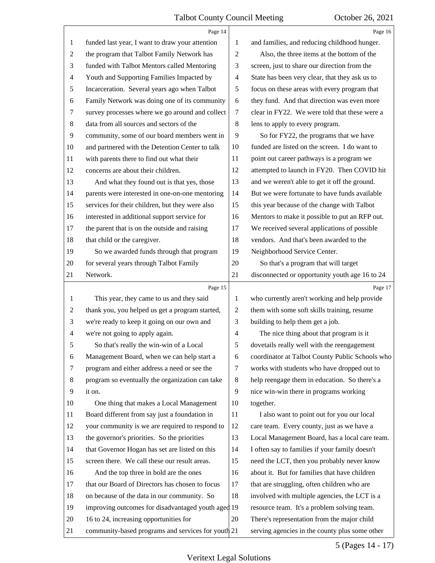<span id="page-5-0"></span>

|    | Page 14                                            |                | Page 16                                         |
|----|----------------------------------------------------|----------------|-------------------------------------------------|
| 1  | funded last year, I want to draw your attention    | 1              | and families, and reducing childhood hunger.    |
| 2  | the program that Talbot Family Network has         | $\overline{2}$ | Also, the three items at the bottom of the      |
| 3  | funded with Talbot Mentors called Mentoring        | 3              | screen, just to share our direction from the    |
| 4  | Youth and Supporting Families Impacted by          | 4              | State has been very clear, that they ask us to  |
| 5  | Incarceration. Several years ago when Talbot       | 5              | focus on these areas with every program that    |
| 6  | Family Network was doing one of its community      | 6              | they fund. And that direction was even more     |
| 7  | survey processes where we go around and collect    | 7              | clear in FY22. We were told that these were a   |
| 8  | data from all sources and sectors of the           | 8              | lens to apply to every program.                 |
| 9  | community, some of our board members went in       | 9              | So for FY22, the programs that we have          |
| 10 | and partnered with the Detention Center to talk    | 10             | funded are listed on the screen. I do want to   |
| 11 | with parents there to find out what their          | 11             | point out career pathways is a program we       |
| 12 | concerns are about their children.                 | 12             | attempted to launch in FY20. Then COVID hit     |
| 13 | And what they found out is that yes, those         | 13             | and we weren't able to get it off the ground.   |
| 14 | parents were interested in one-on-one mentoring    | 14             | But we were fortunate to have funds available   |
| 15 | services for their children, but they were also    | 15             | this year because of the change with Talbot     |
| 16 | interested in additional support service for       | 16             | Mentors to make it possible to put an RFP out.  |
| 17 | the parent that is on the outside and raising      | 17             | We received several applications of possible    |
| 18 | that child or the caregiver.                       | 18             | vendors. And that's been awarded to the         |
| 19 | So we awarded funds through that program           | 19             | Neighborhood Service Center.                    |
| 20 | for several years through Talbot Family            | 20             | So that's a program that will target            |
| 21 | Network.                                           | 21             | disconnected or opportunity youth age 16 to 24  |
|    | Page 15                                            |                | Page 17                                         |
| 1  | This year, they came to us and they said           | $\mathbf{1}$   | who currently aren't working and help provide   |
| 2  | thank you, you helped us get a program started,    |                |                                                 |
|    |                                                    | $\overline{c}$ | them with some soft skills training, resume     |
| 3  | we're ready to keep it going on our own and        | 3              | building to help them get a job.                |
| 4  | we're not going to apply again.                    | $\overline{4}$ | The nice thing about that program is it         |
| 5  | So that's really the win-win of a Local            | 5              | dovetails really well with the reengagement     |
| 6  | Management Board, when we can help start a         | 6              | coordinator at Talbot County Public Schools who |
| 7  | program and either address a need or see the       | 7              | works with students who have dropped out to     |
| 8  | program so eventually the organization can take    | 8              | help reengage them in education. So there's a   |
| 9  | it on.                                             | 9              | nice win-win there in programs working          |
| 10 | One thing that makes a Local Management            | 10             | together.                                       |
| 11 | Board different from say just a foundation in      | 11             | I also want to point out for you our local      |
| 12 | your community is we are required to respond to    | 12             | care team. Every county, just as we have a      |
| 13 | the governor's priorities. So the priorities       | 13             | Local Management Board, has a local care team.  |
| 14 | that Governor Hogan has set are listed on this     | 14             | I often say to families if your family doesn't  |
| 15 | screen there. We call these our result areas.      | 15             | need the LCT, then you probably never know      |
| 16 | And the top three in bold are the ones             | 16             | about it. But for families that have children   |
| 17 | that our Board of Directors has chosen to focus    | 17             | that are struggling, often children who are     |
| 18 | on because of the data in our community. So        | 18             | involved with multiple agencies, the LCT is a   |
| 19 | improving outcomes for disadvantaged youth aged 19 |                | resource team. It's a problem solving team.     |
| 20 | 16 to 24, increasing opportunities for             | 20             | There's representation from the major child     |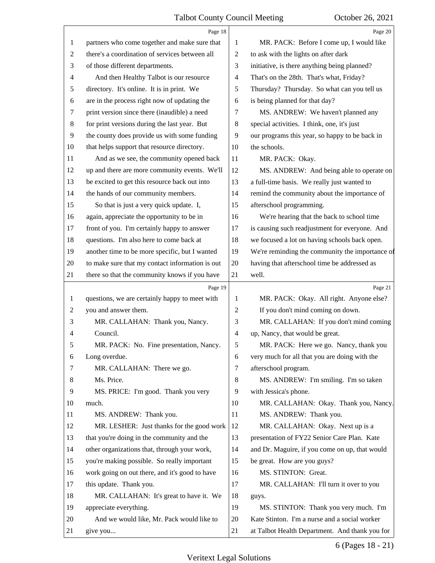<span id="page-6-0"></span>

|                | Page 18                                         |                | Page 20                                         |
|----------------|-------------------------------------------------|----------------|-------------------------------------------------|
| 1              | partners who come together and make sure that   | 1              | MR. PACK: Before I come up, I would like        |
| $\overline{2}$ | there's a coordination of services between all  | $\overline{2}$ | to ask with the lights on after dark            |
| 3              | of those different departments.                 | 3              | initiative, is there anything being planned?    |
| 4              | And then Healthy Talbot is our resource         | 4              | That's on the 28th. That's what, Friday?        |
| 5              | directory. It's online. It is in print. We      | 5              | Thursday? Thursday. So what can you tell us     |
| 6              | are in the process right now of updating the    | 6              | is being planned for that day?                  |
| 7              | print version since there (inaudible) a need    | 7              | MS. ANDREW: We haven't planned any              |
| 8              | for print versions during the last year. But    | 8              | special activities. I think, one, it's just     |
| 9              | the county does provide us with some funding    | 9              | our programs this year, so happy to be back in  |
| 10             | that helps support that resource directory.     | 10             | the schools.                                    |
| 11             | And as we see, the community opened back        | 11             | MR. PACK: Okay.                                 |
| 12             | up and there are more community events. We'll   | 12             | MS. ANDREW: And being able to operate on        |
| 13             | be excited to get this resource back out into   | 13             | a full-time basis. We really just wanted to     |
| 14             | the hands of our community members.             | 14             | remind the community about the importance of    |
| 15             | So that is just a very quick update. I,         | 15             | afterschool programming.                        |
| 16             | again, appreciate the opportunity to be in      | 16             | We're hearing that the back to school time      |
| 17             | front of you. I'm certainly happy to answer     | 17             | is causing such readjustment for everyone. And  |
| 18             | questions. I'm also here to come back at        | 18             | we focused a lot on having schools back open.   |
| 19             | another time to be more specific, but I wanted  | 19             | We're reminding the community the importance of |
| 20             | to make sure that my contact information is out | 20             | having that afterschool time be addressed as    |
| 21             | there so that the community knows if you have   | 21             | well.                                           |
|                | Page 19                                         |                | Page 21                                         |
| 1              | questions, we are certainly happy to meet with  | 1              | MR. PACK: Okay. All right. Anyone else?         |
| $\overline{c}$ | you and answer them.                            | $\overline{2}$ | If you don't mind coming on down.               |
| 3              | MR. CALLAHAN: Thank you, Nancy.                 | 3              | MR. CALLAHAN: If you don't mind coming          |
| 4              | Council.                                        | $\overline{4}$ | up, Nancy, that would be great.                 |
| 5              | MR. PACK: No. Fine presentation, Nancy.         | 5              | MR. PACK: Here we go. Nancy, thank you          |
| 6              | Long overdue.                                   | 6              | very much for all that you are doing with the   |
| 7              | MR. CALLAHAN: There we go.                      | $\tau$         | afterschool program.                            |
| 8              | Ms. Price.                                      | 8              | MS. ANDREW: I'm smiling. I'm so taken           |
| 9              | MS. PRICE: I'm good. Thank you very             | 9              | with Jessica's phone.                           |
| 10             | much.                                           | 10             | MR. CALLAHAN: Okay. Thank you, Nancy.           |
| 11             |                                                 |                |                                                 |
| 12             | MS. ANDREW: Thank you.                          | 11             | MS. ANDREW: Thank you.                          |
|                | MR. LESHER: Just thanks for the good work       | 12             | MR. CALLAHAN: Okay. Next up is a                |
| 13             | that you're doing in the community and the      | 13             | presentation of FY22 Senior Care Plan. Kate     |
| 14             | other organizations that, through your work,    | 14             | and Dr. Maguire, if you come on up, that would  |
| 15             | you're making possible. So really important     | 15             | be great. How are you guys?                     |
| 16             | work going on out there, and it's good to have  | 16             | MS. STINTON: Great.                             |
| 17             | this update. Thank you.                         | 17             | MR. CALLAHAN: I'll turn it over to you          |
| 18             | MR. CALLAHAN: It's great to have it. We         | 18             | guys.                                           |
| 19             | appreciate everything.                          | 19             | MS. STINTON: Thank you very much. I'm           |
| 20             | And we would like, Mr. Pack would like to       | 20             | Kate Stinton. I'm a nurse and a social worker   |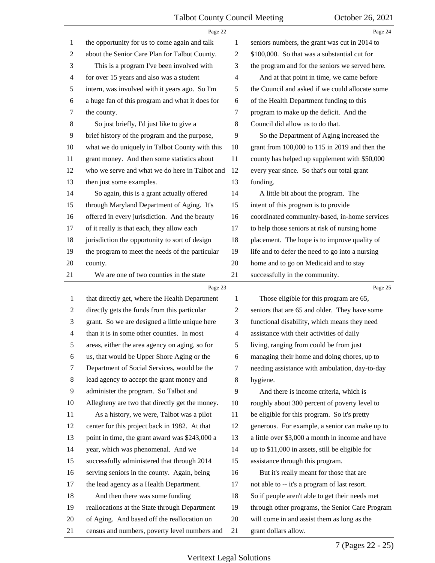<span id="page-7-0"></span>

|                | Page 22                                         |                | Page 24                                          |
|----------------|-------------------------------------------------|----------------|--------------------------------------------------|
| 1              | the opportunity for us to come again and talk   | 1              | seniors numbers, the grant was cut in 2014 to    |
| $\overline{c}$ | about the Senior Care Plan for Talbot County.   | $\overline{2}$ | \$100,000. So that was a substantial cut for     |
| 3              | This is a program I've been involved with       | 3              | the program and for the seniors we served here.  |
| 4              | for over 15 years and also was a student        | $\overline{4}$ | And at that point in time, we came before        |
| 5              | intern, was involved with it years ago. So I'm  | 5              | the Council and asked if we could allocate some  |
| 6              | a huge fan of this program and what it does for | 6              | of the Health Department funding to this         |
| 7              | the county.                                     | 7              | program to make up the deficit. And the          |
| $\,8\,$        | So just briefly, I'd just like to give a        | 8              | Council did allow us to do that.                 |
| 9              | brief history of the program and the purpose,   | 9              | So the Department of Aging increased the         |
| 10             | what we do uniquely in Talbot County with this  | 10             | grant from 100,000 to 115 in 2019 and then the   |
| 11             | grant money. And then some statistics about     | 11             | county has helped up supplement with \$50,000    |
| 12             | who we serve and what we do here in Talbot and  | 12             | every year since. So that's our total grant      |
| 13             | then just some examples.                        | 13             | funding.                                         |
| 14             | So again, this is a grant actually offered      | 14             | A little bit about the program. The              |
| 15             | through Maryland Department of Aging. It's      | 15             | intent of this program is to provide             |
| 16             | offered in every jurisdiction. And the beauty   | 16             | coordinated community-based, in-home services    |
| 17             | of it really is that each, they allow each      | 17             | to help those seniors at risk of nursing home    |
| 18             | jurisdiction the opportunity to sort of design  | 18             | placement. The hope is to improve quality of     |
| 19             | the program to meet the needs of the particular | 19             | life and to defer the need to go into a nursing  |
| 20             | county.                                         | 20             | home and to go on Medicaid and to stay           |
| 21             | We are one of two counties in the state         | 21             | successfully in the community.                   |
|                |                                                 |                |                                                  |
|                | Page 23                                         |                | Page 25                                          |
| 1              | that directly get, where the Health Department  | 1              | Those eligible for this program are 65,          |
| $\overline{c}$ | directly gets the funds from this particular    | $\overline{2}$ | seniors that are 65 and older. They have some    |
| 3              | grant. So we are designed a little unique here  | 3              | functional disability, which means they need     |
| $\overline{4}$ | than it is in some other counties. In most      | $\overline{4}$ | assistance with their activities of daily        |
| 5              | areas, either the area agency on aging, so for  | 5              | living, ranging from could be from just          |
| 6              | us, that would be Upper Shore Aging or the      | 6              | managing their home and doing chores, up to      |
| 7              | Department of Social Services, would be the     | 7              | needing assistance with ambulation, day-to-day   |
| 8              | lead agency to accept the grant money and       | 8              | hygiene.                                         |
| 9              | administer the program. So Talbot and           | 9              | And there is income criteria, which is           |
| 10             | Allegheny are two that directly get the money.  | 10             | roughly about 300 percent of poverty level to    |
| 11             | As a history, we were, Talbot was a pilot       | 11             | be eligible for this program. So it's pretty     |
| 12             | center for this project back in 1982. At that   | 12             | generous. For example, a senior can make up to   |
| 13             | point in time, the grant award was \$243,000 a  | 13             | a little over \$3,000 a month in income and have |
| 14             | year, which was phenomenal. And we              | 14             | up to \$11,000 in assets, still be eligible for  |
| 15             | successfully administered that through 2014     | 15             | assistance through this program.                 |
| 16             | serving seniors in the county. Again, being     | 16             | But it's really meant for those that are         |
| 17             | the lead agency as a Health Department.         | 17             | not able to -- it's a program of last resort.    |
| 18             | And then there was some funding                 | 18             | So if people aren't able to get their needs met  |
| 19             | reallocations at the State through Department   | 19             | through other programs, the Senior Care Program  |
| 20             | of Aging. And based off the reallocation on     | 20             | will come in and assist them as long as the      |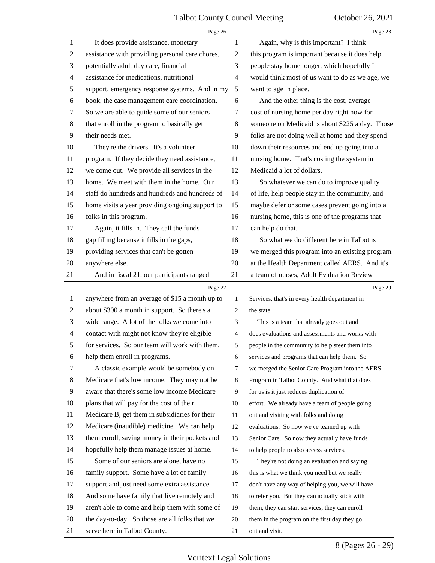<span id="page-8-0"></span>

|    | Page 26                                         |                | Page 28                                         |
|----|-------------------------------------------------|----------------|-------------------------------------------------|
| 1  | It does provide assistance, monetary            | 1              | Again, why is this important? I think           |
| 2  | assistance with providing personal care chores, | 2              | this program is important because it does help  |
| 3  | potentially adult day care, financial           | 3              | people stay home longer, which hopefully I      |
| 4  | assistance for medications, nutritional         | 4              | would think most of us want to do as we age, we |
| 5  | support, emergency response systems. And in my  | 5              | want to age in place.                           |
| 6  | book, the case management care coordination.    | 6              | And the other thing is the cost, average        |
| 7  | So we are able to guide some of our seniors     | 7              | cost of nursing home per day right now for      |
| 8  | that enroll in the program to basically get     | 8              | someone on Medicaid is about \$225 a day. Those |
| 9  | their needs met.                                | 9              | folks are not doing well at home and they spend |
| 10 | They're the drivers. It's a volunteer           | 10             | down their resources and end up going into a    |
| 11 | program. If they decide they need assistance,   | 11             | nursing home. That's costing the system in      |
| 12 | we come out. We provide all services in the     | 12             | Medicaid a lot of dollars.                      |
| 13 | home. We meet with them in the home. Our        | 13             | So whatever we can do to improve quality        |
| 14 | staff do hundreds and hundreds and hundreds of  | 14             | of life, help people stay in the community, and |
| 15 | home visits a year providing ongoing support to | 15             | maybe defer or some cases prevent going into a  |
| 16 | folks in this program.                          | 16             | nursing home, this is one of the programs that  |
| 17 | Again, it fills in. They call the funds         | 17             | can help do that.                               |
| 18 | gap filling because it fills in the gaps,       | 18             | So what we do different here in Talbot is       |
| 19 | providing services that can't be gotten         | 19             | we merged this program into an existing program |
| 20 | anywhere else.                                  | 20             | at the Health Department called AERS. And it's  |
| 21 | And in fiscal 21, our participants ranged       | 21             | a team of nurses, Adult Evaluation Review       |
|    | Page 27                                         |                | Page 29                                         |
| 1  | anywhere from an average of \$15 a month up to  | 1              | Services, that's in every health department in  |
| 2  | about \$300 a month in support. So there's a    | 2              | the state.                                      |
| 3  | wide range. A lot of the folks we come into     | 3              | This is a team that already goes out and        |
| 4  | contact with might not know they're eligible    | $\overline{4}$ | does evaluations and assessments and works with |
|    | for services. So our team will work with them,  | 5              | people in the community to help steer them into |
| 6  | help them enroll in programs.                   | 6              | services and programs that can help them. So    |
| 7  | A classic example would be somebody on          | 7              | we merged the Senior Care Program into the AERS |
| 8  | Medicare that's low income. They may not be     | 8              | Program in Talbot County. And what that does    |
| 9  | aware that there's some low income Medicare     | 9              | for us is it just reduces duplication of        |
| 10 | plans that will pay for the cost of their       | 10             | effort. We already have a team of people going  |
| 11 | Medicare B, get them in subsidiaries for their  | 11             | out and visiting with folks and doing           |
| 12 | Medicare (inaudible) medicine. We can help      | 12             | evaluations. So now we've teamed up with        |
| 13 | them enroll, saving money in their pockets and  | 13             | Senior Care. So now they actually have funds    |
| 14 | hopefully help them manage issues at home.      | 14             | to help people to also access services.         |
| 15 | Some of our seniors are alone, have no          | 15             | They're not doing an evaluation and saying      |
| 16 | family support. Some have a lot of family       | 16             | this is what we think you need but we really    |
| 17 | support and just need some extra assistance.    | 17             | don't have any way of helping you, we will have |
| 18 |                                                 |                |                                                 |
|    | And some have family that live remotely and     | 18             | to refer you. But they can actually stick with  |
| 19 | aren't able to come and help them with some of  | 19             | them, they can start services, they can enroll  |
| 20 | the day-to-day. So those are all folks that we  | 20             | them in the program on the first day they go    |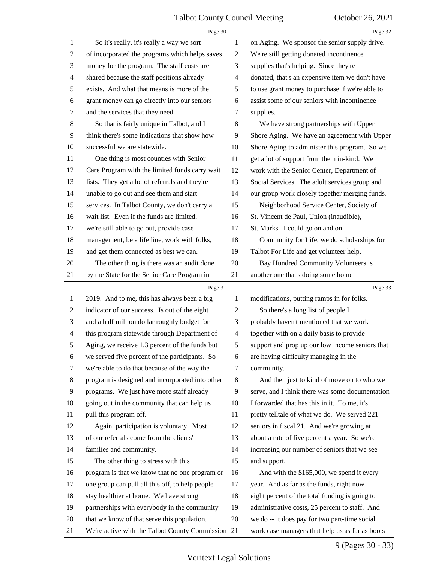<span id="page-9-0"></span>

|    | Page 30                                         |                | Page 32                                         |
|----|-------------------------------------------------|----------------|-------------------------------------------------|
| 1  | So it's really, it's really a way we sort       | 1              | on Aging. We sponsor the senior supply drive.   |
| 2  | of incorporated the programs which helps saves  | $\overline{c}$ | We're still getting donated incontinence        |
| 3  | money for the program. The staff costs are      | 3              | supplies that's helping. Since they're          |
| 4  | shared because the staff positions already      | 4              | donated, that's an expensive item we don't have |
| 5  | exists. And what that means is more of the      | 5              | to use grant money to purchase if we're able to |
| 6  | grant money can go directly into our seniors    | 6              | assist some of our seniors with incontinence    |
| 7  | and the services that they need.                | 7              | supplies.                                       |
| 8  | So that is fairly unique in Talbot, and I       | 8              | We have strong partnerships with Upper          |
| 9  | think there's some indications that show how    | 9              | Shore Aging. We have an agreement with Upper    |
| 10 | successful we are statewide.                    | 10             | Shore Aging to administer this program. So we   |
| 11 | One thing is most counties with Senior          | 11             | get a lot of support from them in-kind. We      |
| 12 | Care Program with the limited funds carry wait  | 12             | work with the Senior Center, Department of      |
| 13 | lists. They get a lot of referrals and they're  | 13             | Social Services. The adult services group and   |
| 14 | unable to go out and see them and start         | 14             | our group work closely together merging funds.  |
| 15 | services. In Talbot County, we don't carry a    | 15             | Neighborhood Service Center, Society of         |
| 16 | wait list. Even if the funds are limited,       | 16             | St. Vincent de Paul, Union (inaudible),         |
| 17 | we're still able to go out, provide case        | 17             | St. Marks. I could go on and on.                |
| 18 | management, be a life line, work with folks,    | 18             | Community for Life, we do scholarships for      |
| 19 | and get them connected as best we can.          | 19             | Talbot For Life and get volunteer help.         |
| 20 | The other thing is there was an audit done      | 20             | Bay Hundred Community Volunteers is             |
| 21 | by the State for the Senior Care Program in     | 21             | another one that's doing some home              |
|    |                                                 |                |                                                 |
|    | Page 31                                         |                | Page 33                                         |
| 1  | 2019. And to me, this has always been a big     | 1              | modifications, putting ramps in for folks.      |
| 2  | indicator of our success. Is out of the eight   | $\overline{c}$ | So there's a long list of people I              |
| 3  | and a half million dollar roughly budget for    | 3              | probably haven't mentioned that we work         |
| 4  | this program statewide through Department of    | $\overline{4}$ | together with on a daily basis to provide       |
| 5  | Aging, we receive 1.3 percent of the funds but  | 5              | support and prop up our low income seniors that |
| 6  | we served five percent of the participants. So  | 6              | are having difficulty managing in the           |
| 7  | we're able to do that because of the way the    | 7              | community.                                      |
| 8  | program is designed and incorporated into other | 8              | And then just to kind of move on to who we      |
| 9  | programs. We just have more staff already       | 9              | serve, and I think there was some documentation |
| 10 | going out in the community that can help us     | 10             | I forwarded that has this in it. To me, it's    |
| 11 | pull this program off.                          | 11             | pretty telltale of what we do. We served 221    |
| 12 | Again, participation is voluntary. Most         | 12             | seniors in fiscal 21. And we're growing at      |
| 13 | of our referrals come from the clients'         | 13             | about a rate of five percent a year. So we're   |
| 14 | families and community.                         | 14             | increasing our number of seniors that we see    |
| 15 | The other thing to stress with this             | 15             | and support.                                    |
| 16 | program is that we know that no one program or  | 16             | And with the \$165,000, we spend it every       |
| 17 | one group can pull all this off, to help people | 17             | year. And as far as the funds, right now        |
| 18 | stay healthier at home. We have strong          | 18             | eight percent of the total funding is going to  |
| 19 | partnerships with everybody in the community    | 19             | administrative costs, 25 percent to staff. And  |
| 20 | that we know of that serve this population.     | 20             | we do -- it does pay for two part-time social   |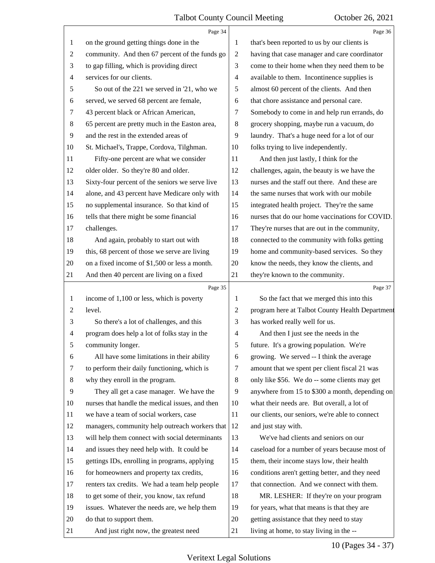<span id="page-10-0"></span>

|                | Page 34                                         |                          | Page 36                                         |
|----------------|-------------------------------------------------|--------------------------|-------------------------------------------------|
| 1              | on the ground getting things done in the        | 1                        | that's been reported to us by our clients is    |
| $\overline{c}$ | community. And then 67 percent of the funds go  | $\overline{c}$           | having that case manager and care coordinator   |
| 3              | to gap filling, which is providing direct       | 3                        | come to their home when they need them to be    |
| 4              | services for our clients.                       | $\overline{\mathcal{A}}$ | available to them. Incontinence supplies is     |
| 5              | So out of the 221 we served in '21, who we      | 5                        | almost 60 percent of the clients. And then      |
| 6              | served, we served 68 percent are female,        | 6                        | that chore assistance and personal care.        |
| 7              | 43 percent black or African American,           | 7                        | Somebody to come in and help run errands, do    |
| 8              | 65 percent are pretty much in the Easton area,  | 8                        | grocery shopping, maybe run a vacuum, do        |
| 9              | and the rest in the extended areas of           | 9                        | laundry. That's a huge need for a lot of our    |
| 10             | St. Michael's, Trappe, Cordova, Tilghman.       | 10                       | folks trying to live independently.             |
| 11             | Fifty-one percent are what we consider          | 11                       | And then just lastly, I think for the           |
| 12             | older older. So they're 80 and older.           | 12                       | challenges, again, the beauty is we have the    |
| 13             | Sixty-four percent of the seniors we serve live | 13                       | nurses and the staff out there. And these are   |
| 14             | alone, and 43 percent have Medicare only with   | 14                       | the same nurses that work with our mobile       |
| 15             | no supplemental insurance. So that kind of      | 15                       | integrated health project. They're the same     |
| 16             | tells that there might be some financial        | 16                       | nurses that do our home vaccinations for COVID. |
| 17             | challenges.                                     | 17                       | They're nurses that are out in the community,   |
| 18             | And again, probably to start out with           | 18                       | connected to the community with folks getting   |
| 19             | this, 68 percent of those we serve are living   | 19                       | home and community-based services. So they      |
| 20             | on a fixed income of \$1,500 or less a month.   | 20                       | know the needs, they know the clients, and      |
| 21             | And then 40 percent are living on a fixed       | 21                       | they're known to the community.                 |
|                | Page 35                                         |                          |                                                 |
|                |                                                 |                          | Page 37                                         |
| 1              | income of 1,100 or less, which is poverty       | 1                        | So the fact that we merged this into this       |
| $\overline{c}$ | level.                                          | $\overline{c}$           | program here at Talbot County Health Department |
| 3              | So there's a lot of challenges, and this        | 3                        | has worked really well for us.                  |
| 4              | program does help a lot of folks stay in the    | 4                        | And then I just see the needs in the            |
|                | community longer.                               | 5                        | future. It's a growing population. We're        |
| 6              | All have some limitations in their ability      | 6                        | growing. We served -- I think the average       |
| 7              | to perform their daily functioning, which is    | 7                        | amount that we spent per client fiscal 21 was   |
| 8              | why they enroll in the program.                 | $\,8\,$                  | only like \$56. We do -- some clients may get   |
| 9              | They all get a case manager. We have the        | 9                        | anywhere from 15 to \$300 a month, depending on |
| 10             | nurses that handle the medical issues, and then | 10                       | what their needs are. But overall, a lot of     |
| 11             | we have a team of social workers, case          | 11                       | our clients, our seniors, we're able to connect |
| 12             | managers, community help outreach workers that  | 12                       | and just stay with.                             |
| 13             | will help them connect with social determinants | 13                       | We've had clients and seniors on our            |
| 14             | and issues they need help with. It could be     | 14                       | caseload for a number of years because most of  |
| 15             | gettings IDs, enrolling in programs, applying   | 15                       | them, their income stays low, their health      |
| 16             | for homeowners and property tax credits,        | 16                       | conditions aren't getting better, and they need |
| 17             | renters tax credits. We had a team help people  | 17                       | that connection. And we connect with them.      |
| 18             | to get some of their, you know, tax refund      | 18                       | MR. LESHER: If they're on your program          |
| 19             | issues. Whatever the needs are, we help them    | 19                       | for years, what that means is that they are     |
| 20             | do that to support them.                        | 20                       | getting assistance that they need to stay       |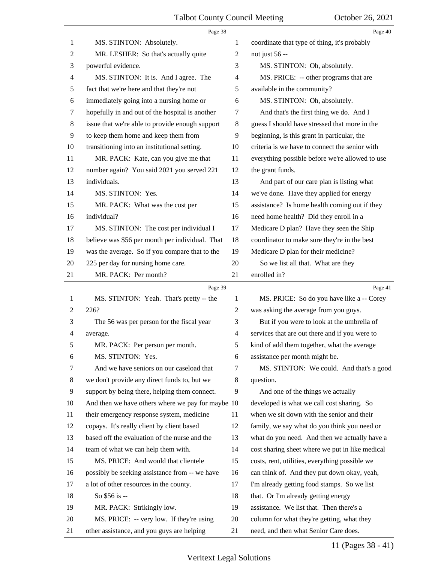<span id="page-11-0"></span>

|    | Page 38                                           |                          | Page 40                                         |
|----|---------------------------------------------------|--------------------------|-------------------------------------------------|
| 1  | MS. STINTON: Absolutely.                          | 1                        | coordinate that type of thing, it's probably    |
| 2  | MR. LESHER: So that's actually quite              | $\overline{c}$           | not just 56 --                                  |
| 3  | powerful evidence.                                | 3                        | MS. STINTON: Oh, absolutely.                    |
| 4  | MS. STINTON: It is. And I agree. The              | 4                        | MS. PRICE: -- other programs that are           |
| 5  | fact that we're here and that they're not         | 5                        | available in the community?                     |
| 6  | immediately going into a nursing home or          | 6                        | MS. STINTON: Oh, absolutely.                    |
| 7  | hopefully in and out of the hospital is another   | 7                        | And that's the first thing we do. And I         |
| 8  | issue that we're able to provide enough support   | 8                        | guess I should have stressed that more in the   |
| 9  | to keep them home and keep them from              | 9                        | beginning, is this grant in particular, the     |
| 10 | transitioning into an institutional setting.      | 10                       | criteria is we have to connect the senior with  |
| 11 | MR. PACK: Kate, can you give me that              | 11                       | everything possible before we're allowed to use |
| 12 | number again? You said 2021 you served 221        | 12                       | the grant funds.                                |
| 13 | individuals.                                      | 13                       | And part of our care plan is listing what       |
| 14 | MS. STINTON: Yes.                                 | 14                       | we've done. Have they applied for energy        |
| 15 | MR. PACK: What was the cost per                   | 15                       | assistance? Is home health coming out if they   |
| 16 | individual?                                       | 16                       | need home health? Did they enroll in a          |
| 17 | MS. STINTON: The cost per individual I            | 17                       | Medicare D plan? Have they seen the Ship        |
| 18 | believe was \$56 per month per individual. That   | 18                       | coordinator to make sure they're in the best    |
| 19 | was the average. So if you compare that to the    | 19                       | Medicare D plan for their medicine?             |
| 20 | 225 per day for nursing home care.                | 20                       | So we list all that. What are they              |
| 21 | MR. PACK: Per month?                              | 21                       | enrolled in?                                    |
|    |                                                   |                          |                                                 |
|    | Page 39                                           |                          | Page 41                                         |
| 1  | MS. STINTON: Yeah. That's pretty -- the           | 1                        | MS. PRICE: So do you have like a -- Corey       |
| 2  | 226?                                              | $\overline{c}$           | was asking the average from you guys.           |
| 3  | The 56 was per person for the fiscal year         | 3                        | But if you were to look at the umbrella of      |
| 4  | average.                                          | $\overline{\mathcal{A}}$ | services that are out there and if you were to  |
| 5  | MR. PACK: Per person per month.                   | 5                        | kind of add them together, what the average     |
| 6  | MS. STINTON: Yes.                                 | 6                        | assistance per month might be.                  |
| 7  | And we have seniors on our caseload that          | 7                        | MS. STINTON: We could. And that's a good        |
| 8  | we don't provide any direct funds to, but we      | 8                        | question.                                       |
| 9  | support by being there, helping them connect.     | 9                        | And one of the things we actually               |
| 10 | And then we have others where we pay for maybe 10 |                          | developed is what we call cost sharing. So      |
| 11 | their emergency response system, medicine         | 11                       | when we sit down with the senior and their      |
| 12 | copays. It's really client by client based        | 12                       | family, we say what do you think you need or    |
| 13 | based off the evaluation of the nurse and the     | 13                       | what do you need. And then we actually have a   |
| 14 | team of what we can help them with.               | 14                       | cost sharing sheet where we put in like medical |
| 15 | MS. PRICE: And would that clientele               | 15                       | costs, rent, utilities, everything possible we  |
| 16 | possibly be seeking assistance from -- we have    | 16                       | can think of. And they put down okay, yeah,     |
| 17 | a lot of other resources in the county.           | 17                       | I'm already getting food stamps. So we list     |
| 18 | So \$56 is --                                     | 18                       | that. Or I'm already getting energy             |
| 19 | MR. PACK: Strikingly low.                         | 19                       | assistance. We list that. Then there's a        |
| 20 | MS. PRICE: -- very low. If they're using          | 20                       | column for what they're getting, what they      |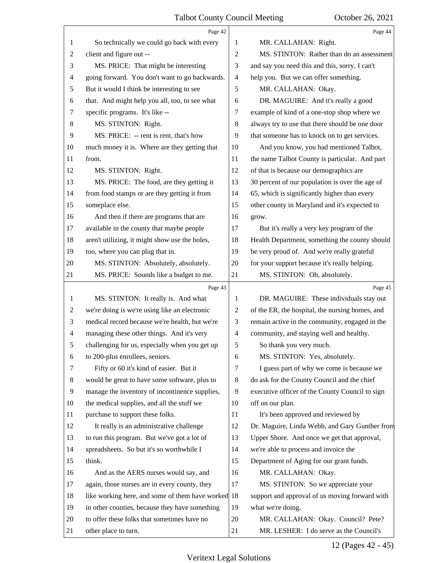<span id="page-12-0"></span>

|                | Page 42                                         |                | Page 44                                         |
|----------------|-------------------------------------------------|----------------|-------------------------------------------------|
| 1              | So technically we could go back with every      | 1              | MR. CALLAHAN: Right.                            |
| $\overline{2}$ | client and figure out --                        | $\overline{2}$ | MS. STINTON: Rather than do an assessment       |
| 3              | MS. PRICE: That might be interesting            | 3              | and say you need this and this, sorry, I can't  |
| $\overline{4}$ | going forward. You don't want to go backwards.  | $\overline{4}$ | help you. But we can offer something.           |
| 5              | But it would I think be interesting to see      | 5              | MR. CALLAHAN: Okay.                             |
| 6              | that. And might help you all, too, to see what  | 6              | DR. MAGUIRE: And it's really a good             |
| 7              | specific programs. It's like --                 | 7              | example of kind of a one-stop shop where we     |
| $\,8\,$        | MS. STINTON: Right.                             | 8              | always try to use that there should be one door |
| 9              | MS. PRICE: -- rent is rent, that's how          | 9              | that someone has to knock on to get services.   |
| 10             | much money it is. Where are they getting that   | 10             | And you know, you had mentioned Talbot,         |
| 11             | from.                                           | 11             | the name Talbot County is particular. And part  |
| 12             | MS. STINTON: Right.                             | 12             | of that is because our demographics are         |
| 13             | MS. PRICE: The food, are they getting it        | 13             | 30 percent of our population is over the age of |
| 14             | from food stamps or are they getting it from    | 14             | 65, which is significantly higher than every    |
| 15             | someplace else.                                 | 15             | other county in Maryland and it's expected to   |
| 16             | And then if there are programs that are         | 16             | grow.                                           |
| 17             | available in the county that maybe people       | 17             | But it's really a very key program of the       |
| 18             | aren't utilizing, it might show use the holes,  | 18             | Health Department, something the county should  |
| 19             | too, where you can plug that in.                | 19             | be very proud of. And we're really grateful     |
| 20             | MS. STINTON: Absolutely, absolutely.            | 20             | for your support because it's really helping.   |
| 21             | MS. PRICE: Sounds like a budget to me.          | 21             | MS. STINTON: Oh, absolutely.                    |
|                | Page 43                                         |                | Page 45                                         |
| 1              | MS. STINTON: It really is. And what             | 1              | DR. MAGUIRE: These individuals stay out         |
| 2              | we're doing is we're using like an electronic   | 2              | of the ER, the hospital, the nursing homes, and |
| 3              | medical record because we're health, but we're  | 3              | remain active in the community, engaged in the  |
| $\overline{4}$ | managing these other things. And it's very      | $\overline{4}$ | community, and staying well and healthy.        |
| 5              | challenging for us, especially when you get up  | 5              | So thank you very much.                         |
| 6              | to 200-plus enrollees, seniors.                 | 6              | MS. STINTON: Yes, absolutely.                   |
| 7              | Fifty or 60 it's kind of easier. But it         | 7              | I guess part of why we come is because we       |
| 8              | would be great to have some software, plus to   | 8              | do ask for the County Council and the chief     |
| 9              | manage the inventory of incontinence supplies,  | 9              | executive officer of the County Council to sign |
| 10             | the medical supplies, and all the stuff we      | 10             | off on our plan.                                |
| 11             | purchase to support these folks.                | 11             | It's been approved and reviewed by              |
| 12             | It really is an administrative challenge        | 12             | Dr. Maguire, Linda Webb, and Gary Gunther from  |
| 13             | to run this program. But we've got a lot of     | 13             | Upper Shore. And once we get that approval,     |
| 14             | spreadsheets. So but it's so worthwhile I       | 14             | we're able to process and invoice the           |
| 15             | think.                                          | 15             | Department of Aging for our grant funds.        |
| 16             | And as the AERS nurses would say, and           | 16             | MR. CALLAHAN: Okay.                             |
| 17             | again, those nurses are in every county, they   | 17             | MS. STINTON: So we appreciate your              |
| 18             | like working here, and some of them have worked | 18             | support and approval of us moving forward with  |
| 19             | in other counties, because they have something  | 19             | what we're doing.                               |
| 20             | to offer these folks that sometimes have no     | 20             | MR. CALLAHAN: Okay. Council? Pete?              |
| 21             | other place to turn.                            | 21             | MR. LESHER: I do serve as the Council's         |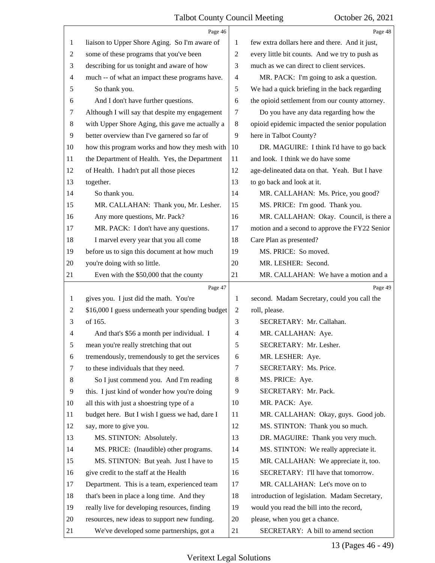<span id="page-13-0"></span>

|    | Page 46                                          |                          | Page 48                                         |
|----|--------------------------------------------------|--------------------------|-------------------------------------------------|
| 1  | liaison to Upper Shore Aging. So I'm aware of    | 1                        | few extra dollars here and there. And it just,  |
| 2  | some of these programs that you've been          | $\overline{c}$           | every little bit counts. And we try to push as  |
| 3  | describing for us tonight and aware of how       | 3                        | much as we can direct to client services.       |
| 4  | much -- of what an impact these programs have.   | $\overline{\mathcal{A}}$ | MR. PACK: I'm going to ask a question.          |
| 5  | So thank you.                                    | 5                        | We had a quick briefing in the back regarding   |
| 6  | And I don't have further questions.              | 6                        | the opioid settlement from our county attorney. |
| 7  | Although I will say that despite my engagement   | 7                        | Do you have any data regarding how the          |
| 8  | with Upper Shore Aging, this gave me actually a  | $8\,$                    | opioid epidemic impacted the senior population  |
| 9  | better overview than I've garnered so far of     | 9                        | here in Talbot County?                          |
| 10 | how this program works and how they mesh with    | 10                       | DR. MAGUIRE: I think I'd have to go back        |
| 11 | the Department of Health. Yes, the Department    | 11                       | and look. I think we do have some               |
| 12 | of Health. I hadn't put all those pieces         | 12                       | age-delineated data on that. Yeah. But I have   |
| 13 | together.                                        | 13                       | to go back and look at it.                      |
| 14 | So thank you.                                    | 14                       | MR. CALLAHAN: Ms. Price, you good?              |
| 15 | MR. CALLAHAN: Thank you, Mr. Lesher.             | 15                       | MS. PRICE: I'm good. Thank you.                 |
| 16 | Any more questions, Mr. Pack?                    | 16                       | MR. CALLAHAN: Okay. Council, is there a         |
| 17 | MR. PACK: I don't have any questions.            | 17                       | motion and a second to approve the FY22 Senior  |
| 18 | I marvel every year that you all come            | 18                       | Care Plan as presented?                         |
| 19 | before us to sign this document at how much      | 19                       | MS. PRICE: So moved.                            |
| 20 | you're doing with so little.                     | 20                       | MR. LESHER: Second.                             |
| 21 | Even with the \$50,000 that the county           | 21                       | MR. CALLAHAN: We have a motion and a            |
|    |                                                  |                          |                                                 |
|    | Page 47                                          |                          | Page 49                                         |
| 1  | gives you. I just did the math. You're           | 1                        | second. Madam Secretary, could you call the     |
| 2  | \$16,000 I guess underneath your spending budget | 2                        | roll, please.                                   |
| 3  | of 165.                                          | 3                        | SECRETARY: Mr. Callahan.                        |
| 4  | And that's \$56 a month per individual. I        | $\overline{4}$           | MR. CALLAHAN: Aye.                              |
| 5  | mean you're really stretching that out           | 5                        | SECRETARY: Mr. Lesher.                          |
| 6  | tremendously, tremendously to get the services   | 6                        | MR. LESHER: Aye.                                |
| 7  | to these individuals that they need.             | $\tau$                   | SECRETARY: Ms. Price.                           |
| 8  | So I just commend you. And I'm reading           | 8                        | MS. PRICE: Aye.                                 |
| 9  | this. I just kind of wonder how you're doing     | 9                        | SECRETARY: Mr. Pack.                            |
| 10 | all this with just a shoestring type of a        | 10                       | MR. PACK: Aye.                                  |
| 11 | budget here. But I wish I guess we had, dare I   | 11                       | MR. CALLAHAN: Okay, guys. Good job.             |
| 12 | say, more to give you.                           | 12                       | MS. STINTON: Thank you so much.                 |
| 13 | MS. STINTON: Absolutely.                         | 13                       | DR. MAGUIRE: Thank you very much.               |
| 14 | MS. PRICE: (Inaudible) other programs.           | 14                       | MS. STINTON: We really appreciate it.           |
| 15 | MS. STINTON: But yeah. Just I have to            | 15                       | MR. CALLAHAN: We appreciate it, too.            |
| 16 | give credit to the staff at the Health           | 16                       | SECRETARY: I'll have that tomorrow.             |
| 17 | Department. This is a team, experienced team     | 17                       | MR. CALLAHAN: Let's move on to                  |
| 18 | that's been in place a long time. And they       | 18                       | introduction of legislation. Madam Secretary,   |
| 19 | really live for developing resources, finding    | 19                       | would you read the bill into the record,        |
| 20 | resources, new ideas to support new funding.     | 20                       | please, when you get a chance.                  |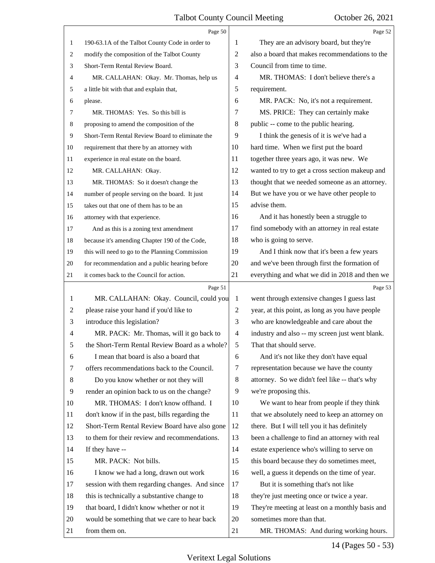<span id="page-14-0"></span>

|    | Page 50                                         |                | Page 52                                         |
|----|-------------------------------------------------|----------------|-------------------------------------------------|
| 1  | 190-63.1A of the Talbot County Code in order to | 1              | They are an advisory board, but they're         |
| 2  | modify the composition of the Talbot County     | $\mathbf{2}$   | also a board that makes recommendations to the  |
| 3  | Short-Term Rental Review Board.                 | 3              | Council from time to time.                      |
| 4  | MR. CALLAHAN: Okay. Mr. Thomas, help us         | $\overline{4}$ | MR. THOMAS: I don't believe there's a           |
| 5  | a little bit with that and explain that,        | 5              | requirement.                                    |
| 6  | please.                                         | 6              | MR. PACK: No, it's not a requirement.           |
| 7  | MR. THOMAS: Yes. So this bill is                | 7              | MS. PRICE: They can certainly make              |
| 8  | proposing to amend the composition of the       | 8              | public -- come to the public hearing.           |
| 9  | Short-Term Rental Review Board to eliminate the | 9              | I think the genesis of it is we've had a        |
| 10 | requirement that there by an attorney with      | 10             | hard time. When we first put the board          |
| 11 | experience in real estate on the board.         | 11             | together three years ago, it was new. We        |
| 12 | MR. CALLAHAN: Okay.                             | 12             | wanted to try to get a cross section makeup and |
| 13 | MR. THOMAS: So it doesn't change the            | 13             | thought that we needed someone as an attorney.  |
| 14 | number of people serving on the board. It just  | 14             | But we have you or we have other people to      |
| 15 | takes out that one of them has to be an         | 15             | advise them.                                    |
| 16 | attorney with that experience.                  | 16             | And it has honestly been a struggle to          |
| 17 | And as this is a zoning text amendment          | 17             | find somebody with an attorney in real estate   |
| 18 | because it's amending Chapter 190 of the Code,  | 18             | who is going to serve.                          |
| 19 | this will need to go to the Planning Commission | 19             | And I think now that it's been a few years      |
| 20 | for recommendation and a public hearing before  | 20             | and we've been through first the formation of   |
| 21 | it comes back to the Council for action.        | 21             | everything and what we did in 2018 and then we  |
|    | Page 51                                         |                | Page 53                                         |
| 1  | MR. CALLAHAN: Okay. Council, could you          | $\mathbf{1}$   | went through extensive changes I guess last     |
|    |                                                 |                |                                                 |
| 2  | please raise your hand if you'd like to         | $\overline{c}$ | year, at this point, as long as you have people |
| 3  | introduce this legislation?                     | 3              | who are knowledgeable and care about the        |
| 4  | MR. PACK: Mr. Thomas, will it go back to        | $\overline{4}$ | industry and also -- my screen just went blank. |
| 5  | the Short-Term Rental Review Board as a whole?  | 5              | That that should serve.                         |
| 6  | I mean that board is also a board that          | 6              | And it's not like they don't have equal         |
| 7  | offers recommendations back to the Council.     | 7              | representation because we have the county       |
| 8  | Do you know whether or not they will            | 8              | attorney. So we didn't feel like -- that's why  |
| 9  | render an opinion back to us on the change?     | 9              | we're proposing this.                           |
| 10 | MR. THOMAS: I don't know offhand. I             | 10             | We want to hear from people if they think       |
| 11 | don't know if in the past, bills regarding the  | 11             | that we absolutely need to keep an attorney on  |
| 12 | Short-Term Rental Review Board have also gone   | 12             | there. But I will tell you it has definitely    |
| 13 | to them for their review and recommendations.   | 13             | been a challenge to find an attorney with real  |
| 14 | If they have --                                 | 14             | estate experience who's willing to serve on     |
| 15 | MR. PACK: Not bills.                            | 15             | this board because they do sometimes meet,      |
| 16 | I know we had a long, drawn out work            | 16             | well, a guess it depends on the time of year.   |
| 17 | session with them regarding changes. And since  | 17             | But it is something that's not like             |
| 18 | this is technically a substantive change to     | 18             | they're just meeting once or twice a year.      |
| 19 | that board, I didn't know whether or not it     | 19             | They're meeting at least on a monthly basis and |
| 20 | would be something that we care to hear back    | 20             | sometimes more than that.                       |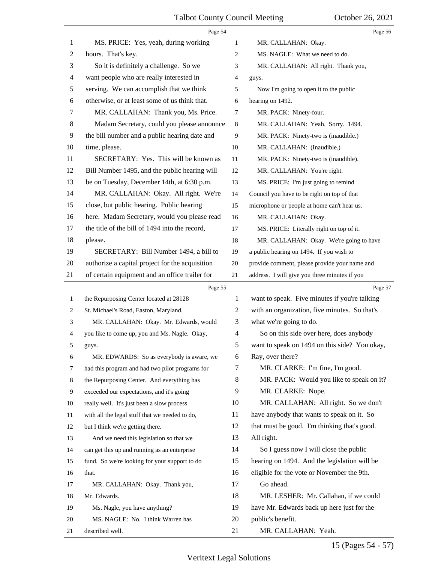<span id="page-15-0"></span>

|    | Page 54                                         |                          | Page 56                                       |
|----|-------------------------------------------------|--------------------------|-----------------------------------------------|
| 1  | MS. PRICE: Yes, yeah, during working            | 1                        | MR. CALLAHAN: Okay.                           |
| 2  | hours. That's key.                              | 2                        | MS. NAGLE: What we need to do.                |
| 3  | So it is definitely a challenge. So we          | 3                        | MR. CALLAHAN: All right. Thank you,           |
| 4  | want people who are really interested in        | 4                        | guys.                                         |
| 5  | serving. We can accomplish that we think        | 5                        | Now I'm going to open it to the public        |
| 6  | otherwise, or at least some of us think that.   | 6                        | hearing on 1492.                              |
| 7  | MR. CALLAHAN: Thank you, Ms. Price.             | 7                        | MR. PACK: Ninety-four.                        |
| 8  | Madam Secretary, could you please announce      | 8                        | MR. CALLAHAN: Yeah. Sorry. 1494.              |
| 9  | the bill number and a public hearing date and   | 9                        | MR. PACK: Ninety-two is (inaudible.)          |
| 10 | time, please.                                   | 10                       | MR. CALLAHAN: (Inaudible.)                    |
| 11 | SECRETARY: Yes. This will be known as           | 11                       | MR. PACK: Ninety-two is (inaudible).          |
| 12 | Bill Number 1495, and the public hearing will   | 12                       | MR. CALLAHAN: You're right.                   |
| 13 | be on Tuesday, December 14th, at 6:30 p.m.      | 13                       | MS. PRICE: I'm just going to remind           |
| 14 | MR. CALLAHAN: Okay. All right. We're            | 14                       | Council you have to be right on top of that   |
| 15 | close, but public hearing. Public hearing       | 15                       | microphone or people at home can't hear us.   |
| 16 | here. Madam Secretary, would you please read    | 16                       | MR. CALLAHAN: Okay.                           |
| 17 | the title of the bill of 1494 into the record,  | 17                       | MS. PRICE: Literally right on top of it.      |
| 18 | please.                                         | 18                       | MR. CALLAHAN: Okay. We're going to have       |
| 19 | SECRETARY: Bill Number 1494, a bill to          | 19                       | a public hearing on 1494. If you wish to      |
| 20 | authorize a capital project for the acquisition | 20                       | provide comment, please provide your name and |
| 21 | of certain equipment and an office trailer for  | 21                       | address. I will give you three minutes if you |
|    |                                                 |                          |                                               |
|    | Page 55                                         |                          | Page 57                                       |
| 1  | the Repurposing Center located at 28128         | 1                        | want to speak. Five minutes if you're talking |
| 2  | St. Michael's Road, Easton, Maryland.           | $\overline{c}$           | with an organization, five minutes. So that's |
| 3  | MR. CALLAHAN: Okay. Mr. Edwards, would          | 3                        | what we're going to do.                       |
| 4  | you like to come up, you and Ms. Nagle. Okay,   | $\overline{\mathcal{A}}$ | So on this side over here, does anybody       |
| 5  | guys.                                           | 5                        | want to speak on 1494 on this side? You okay, |
| 6  | MR. EDWARDS: So as everybody is aware, we       | 6                        | Ray, over there?                              |
| 7  | had this program and had two pilot programs for | $\tau$                   | MR. CLARKE: I'm fine, I'm good.               |
| 8  | the Repurposing Center. And everything has      | 8                        | MR. PACK: Would you like to speak on it?      |
| 9  | exceeded our expectations, and it's going       | 9                        | MR. CLARKE: Nope.                             |
| 10 | really well. It's just been a slow process      | 10                       | MR. CALLAHAN: All right. So we don't          |
| 11 | with all the legal stuff that we needed to do,  | 11                       | have anybody that wants to speak on it. So    |
| 12 | but I think we're getting there.                | 12                       | that must be good. I'm thinking that's good.  |
| 13 | And we need this legislation so that we         | 13                       | All right.                                    |
| 14 | can get this up and running as an enterprise    | 14                       | So I guess now I will close the public        |
| 15 | fund. So we're looking for your support to do   | 15                       | hearing on 1494. And the legislation will be  |
| 16 | that.                                           | 16                       | eligible for the vote or November the 9th.    |
| 17 | MR. CALLAHAN: Okay. Thank you,                  | 17                       | Go ahead.                                     |
| 18 | Mr. Edwards.                                    | 18                       | MR. LESHER: Mr. Callahan, if we could         |
| 19 | Ms. Nagle, you have anything?                   | 19                       | have Mr. Edwards back up here just for the    |
| 20 | MS. NAGLE: No. I think Warren has               | 20                       | public's benefit.                             |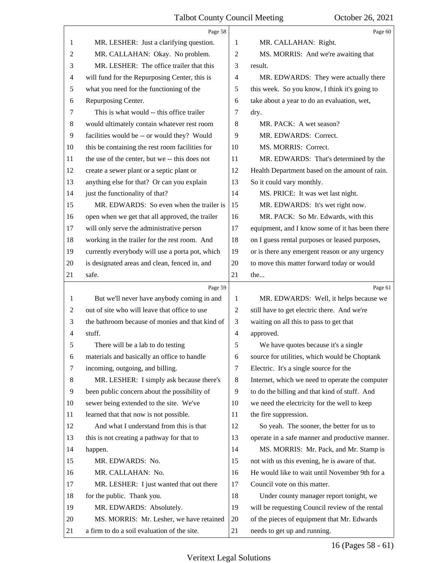<span id="page-16-0"></span>

|    | Page 58                                         |                | Page 60                                         |
|----|-------------------------------------------------|----------------|-------------------------------------------------|
| 1  | MR. LESHER: Just a clarifying question.         | 1              | MR. CALLAHAN: Right.                            |
| 2  | MR. CALLAHAN: Okay. No problem.                 | $\overline{2}$ | MS. MORRIS: And we're awaiting that             |
| 3  | MR. LESHER: The office trailer that this        | 3              | result.                                         |
| 4  | will fund for the Repurposing Center, this is   | $\overline{4}$ | MR. EDWARDS: They were actually there           |
| 5  | what you need for the functioning of the        | 5              | this week. So you know, I think it's going to   |
| 6  | Repurposing Center.                             | 6              | take about a year to do an evaluation, wet,     |
| 7  | This is what would -- this office trailer       | 7              | dry.                                            |
| 8  | would ultimately contain whatever rest room     | 8              | MR. PACK: A wet season?                         |
| 9  | facilities would be -- or would they? Would     | 9              | MR. EDWARDS: Correct.                           |
| 10 | this be containing the rest room facilities for | 10             | MS. MORRIS: Correct.                            |
| 11 | the use of the center, but we -- this does not  | 11             | MR. EDWARDS: That's determined by the           |
| 12 | create a sewer plant or a septic plant or       | 12             | Health Department based on the amount of rain.  |
| 13 | anything else for that? Or can you explain      | 13             | So it could vary monthly.                       |
| 14 | just the functionality of that?                 | 14             | MS. PRICE: It was wet last night.               |
| 15 | MR. EDWARDS: So even when the trailer is        | 15             | MR. EDWARDS: It's wet right now.                |
| 16 | open when we get that all approved, the trailer | 16             | MR. PACK: So Mr. Edwards, with this             |
| 17 | will only serve the administrative person       | 17             | equipment, and I know some of it has been there |
| 18 | working in the trailer for the rest room. And   | 18             | on I guess rental purposes or leased purposes,  |
| 19 | currently everybody will use a porta pot, which | 19             | or is there any emergent reason or any urgency  |
| 20 | is designated areas and clean, fenced in, and   | 20             | to move this matter forward today or would      |
| 21 | safe.                                           | 21             | the                                             |
|    |                                                 |                |                                                 |
|    | Page 59                                         |                | Page 61                                         |
| 1  | But we'll never have anybody coming in and      | 1              | MR. EDWARDS: Well, it helps because we          |
| 2  | out of site who will leave that office to use   | $\mathbf{2}$   | still have to get electric there. And we're     |
| 3  | the bathroom because of monies and that kind of | 3              | waiting on all this to pass to get that         |
| 4  | stuff.                                          | $\overline{4}$ | approved.                                       |
| 5  | There will be a lab to do testing               | 5              | We have quotes because it's a single            |
| 6  | materials and basically an office to handle     | 6              | source for utilities, which would be Choptank   |
| 7  | incoming, outgoing, and billing.                | 7              | Electric. It's a single source for the          |
| 8  | MR. LESHER: I simply ask because there's        | 8              | Internet, which we need to operate the computer |
| 9  | been public concern about the possibility of    | 9              | to do the billing and that kind of stuff. And   |
| 10 | sewer being extended to the site. We've         | 10             | we need the electricity for the well to keep    |
| 11 | learned that that now is not possible.          | 11             | the fire suppression.                           |
| 12 | And what I understand from this is that         | 12             | So yeah. The sooner, the better for us to       |
| 13 | this is not creating a pathway for that to      | 13             | operate in a safe manner and productive manner. |
| 14 | happen.                                         | 14             | MS. MORRIS: Mr. Pack, and Mr. Stamp is          |
| 15 | MR. EDWARDS: No.                                | 15             | not with us this evening, he is aware of that.  |
| 16 | MR. CALLAHAN: No.                               | 16             | He would like to wait until November 9th for a  |
| 17 | MR. LESHER: I just wanted that out there        | 17             | Council vote on this matter.                    |
| 18 | for the public. Thank you.                      | 18             | Under county manager report tonight, we         |
| 19 | MR. EDWARDS: Absolutely.                        | 19             | will be requesting Council review of the rental |
| 20 | MS. MORRIS: Mr. Lesher, we have retained        | 20             | of the pieces of equipment that Mr. Edwards     |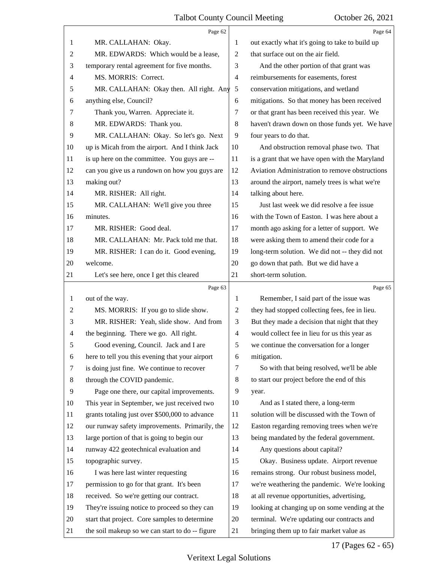<span id="page-17-0"></span>

|                | Page 62                                         |                | Page 64                                         |
|----------------|-------------------------------------------------|----------------|-------------------------------------------------|
| 1              | MR. CALLAHAN: Okay.                             | 1              | out exactly what it's going to take to build up |
| 2              | MR. EDWARDS: Which would be a lease,            | $\overline{2}$ | that surface out on the air field.              |
| 3              | temporary rental agreement for five months.     | 3              | And the other portion of that grant was         |
| $\overline{4}$ | MS. MORRIS: Correct.                            | $\overline{4}$ | reimbursements for easements, forest            |
| 5              | MR. CALLAHAN: Okay then. All right. Any         | 5              | conservation mitigations, and wetland           |
| 6              | anything else, Council?                         | 6              | mitigations. So that money has been received    |
| 7              | Thank you, Warren. Appreciate it.               | 7              | or that grant has been received this year. We   |
| 8              | MR. EDWARDS: Thank you.                         | 8              | haven't drawn down on those funds yet. We have  |
| 9              | MR. CALLAHAN: Okay. So let's go. Next           | 9              | four years to do that.                          |
| 10             | up is Micah from the airport. And I think Jack  | 10             | And obstruction removal phase two. That         |
| 11             | is up here on the committee. You guys are --    | 11             | is a grant that we have open with the Maryland  |
| 12             | can you give us a rundown on how you guys are   | 12             | Aviation Administration to remove obstructions  |
| 13             | making out?                                     | 13             | around the airport, namely trees is what we're  |
| 14             | MR. RISHER: All right.                          | 14             | talking about here.                             |
| 15             | MR. CALLAHAN: We'll give you three              | 15             | Just last week we did resolve a fee issue       |
| 16             | minutes.                                        | 16             | with the Town of Easton. I was here about a     |
| 17             | MR. RISHER: Good deal.                          | 17             | month ago asking for a letter of support. We    |
| 18             | MR. CALLAHAN: Mr. Pack told me that.            | 18             | were asking them to amend their code for a      |
| 19             | MR. RISHER: I can do it. Good evening,          | 19             | long-term solution. We did not -- they did not  |
| 20             | welcome.                                        | 20             | go down that path. But we did have a            |
| 21             | Let's see here, once I get this cleared         | 21             | short-term solution.                            |
|                |                                                 |                |                                                 |
|                | Page 63                                         |                | Page 65                                         |
| $\mathbf{1}$   | out of the way.                                 | 1              | Remember, I said part of the issue was          |
| $\overline{c}$ | MS. MORRIS: If you go to slide show.            | $\overline{c}$ | they had stopped collecting fees, fee in lieu.  |
| 3              | MR. RISHER: Yeah, slide show. And from          | 3              | But they made a decision that night that they   |
| 4              | the beginning. There we go. All right.          | $\overline{4}$ | would collect fee in lieu for us this year as   |
| 5              | Good evening, Council. Jack and I are           | 5              | we continue the conversation for a longer       |
| 6              | here to tell you this evening that your airport | 6              | mitigation.                                     |
| 7              | is doing just fine. We continue to recover      | 7              | So with that being resolved, we'll be able      |
| 8              | through the COVID pandemic.                     | 8              | to start our project before the end of this     |
| 9              | Page one there, our capital improvements.       | 9              | year.                                           |
| 10             | This year in September, we just received two    | 10             | And as I stated there, a long-term              |
| 11             | grants totaling just over \$500,000 to advance  | 11             | solution will be discussed with the Town of     |
| 12             | our runway safety improvements. Primarily, the  | 12             | Easton regarding removing trees when we're      |
| 13             | large portion of that is going to begin our     | 13             | being mandated by the federal government.       |
| 14             | runway 422 geotechnical evaluation and          | 14             | Any questions about capital?                    |
| 15             | topographic survey.                             | 15             | Okay. Business update. Airport revenue          |
| 16             | I was here last winter requesting               | 16             | remains strong. Our robust business model,      |
| 17             | permission to go for that grant. It's been      | 17             | we're weathering the pandemic. We're looking    |
| 18             | received. So we're getting our contract.        | 18             | at all revenue opportunities, advertising,      |
| 19             | They're issuing notice to proceed so they can   | 19             | looking at changing up on some vending at the   |
| 20             | start that project. Core samples to determine   | 20             | terminal. We're updating our contracts and      |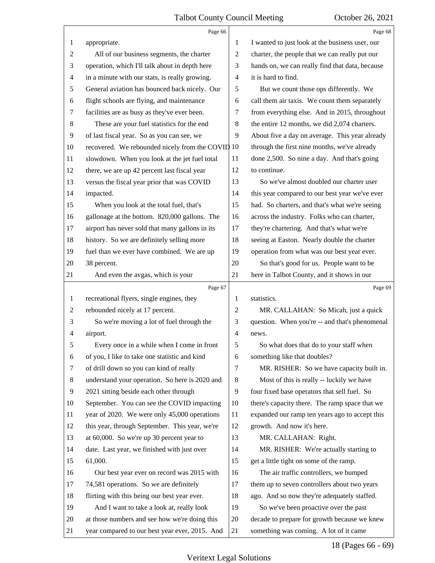<span id="page-18-0"></span>

|    | Page 66                                          |                | Page 68                                         |
|----|--------------------------------------------------|----------------|-------------------------------------------------|
| 1  | appropriate.                                     | 1              | I wanted to just look at the business user, our |
| 2  | All of our business segments, the charter        | 2              | charter, the people that we can really put our  |
| 3  | operation, which I'll talk about in depth here   | 3              | hands on, we can really find that data, because |
| 4  | in a minute with our stats, is really growing.   | 4              | it is hard to find.                             |
| 5  | General aviation has bounced back nicely. Our    | 5              | But we count those ops differently. We          |
| 6  | flight schools are flying, and maintenance       | 6              | call them air taxis. We count them separately   |
| 7  | facilities are as busy as they've ever been.     | 7              | from everything else. And in 2015, throughout   |
| 8  | These are your fuel statistics for the end       | 8              | the entire 12 months, we did 2,074 charters.    |
| 9  | of last fiscal year. So as you can see, we       | 9              | About five a day on average. This year already  |
| 10 | recovered. We rebounded nicely from the COVID 10 |                | through the first nine months, we've already    |
| 11 | slowdown. When you look at the jet fuel total    | 11             | done 2,500. So nine a day. And that's going     |
| 12 | there, we are up 42 percent last fiscal year     | 12             | to continue.                                    |
| 13 | versus the fiscal year prior that was COVID      | 13             | So we've almost doubled our charter user        |
| 14 | impacted.                                        | 14             | this year compared to our best year we've ever  |
| 15 | When you look at the total fuel, that's          | 15             | had. So charters, and that's what we're seeing  |
| 16 | gallonage at the bottom. 820,000 gallons. The    | 16             | across the industry. Folks who can charter,     |
| 17 | airport has never sold that many gallons in its  | 17             | they're chartering. And that's what we're       |
| 18 | history. So we are definitely selling more       | 18             | seeing at Easton. Nearly double the charter     |
| 19 | fuel than we ever have combined. We are up       | 19             | operation from what was our best year ever.     |
| 20 | 38 percent.                                      | 20             | So that's good for us. People want to be        |
| 21 | And even the avgas, which is your                | 21             | here in Talbot County, and it shows in our      |
|    |                                                  |                |                                                 |
|    | Page 67                                          |                | Page 69                                         |
| 1  | recreational flyers, single engines, they        | 1              | statistics.                                     |
| 2  | rebounded nicely at 17 percent.                  | 2              | MR. CALLAHAN: So Micah, just a quick            |
| 3  | So we're moving a lot of fuel through the        | 3              | question. When you're -- and that's phenomenal  |
| 4  | airport.                                         | $\overline{4}$ | news.                                           |
|    | Every once in a while when I come in front       | 5              | So what does that do to your staff when         |
| 6  | of you, I like to take one statistic and kind    | 6              | something like that doubles?                    |
| 7  | of drill down so you can kind of really          | 7              | MR. RISHER: So we have capacity built in.       |
| 8  | understand your operation. So here is 2020 and   | 8              | Most of this is really -- luckily we have       |
| 9  | 2021 sitting beside each other through           | 9              | four fixed base operators that sell fuel. So    |
| 10 | September. You can see the COVID impacting       | 10             | there's capacity there. The ramp space that we  |
| 11 | year of 2020. We were only 45,000 operations     | 11             | expanded our ramp ten years ago to accept this  |
| 12 | this year, through September. This year, we're   | 12             | growth. And now it's here.                      |
| 13 | at 60,000. So we're up 30 percent year to        | 13             | MR. CALLAHAN: Right.                            |
| 14 | date. Last year, we finished with just over      | 14             | MR. RISHER: We're actually starting to          |
| 15 | 61,000.                                          | 15             | get a little tight on some of the ramp.         |
| 16 | Our best year ever on record was 2015 with       | 16             | The air traffic controllers, we bumped          |
| 17 | 74,581 operations. So we are definitely          | 17             | them up to seven controllers about two years    |
| 18 | flirting with this being our best year ever.     | 18             | ago. And so now they're adequately staffed.     |
| 19 | And I want to take a look at, really look        | 19             | So we've been proactive over the past           |
| 20 | at those numbers and see how we're doing this    | 20             | decade to prepare for growth because we knew    |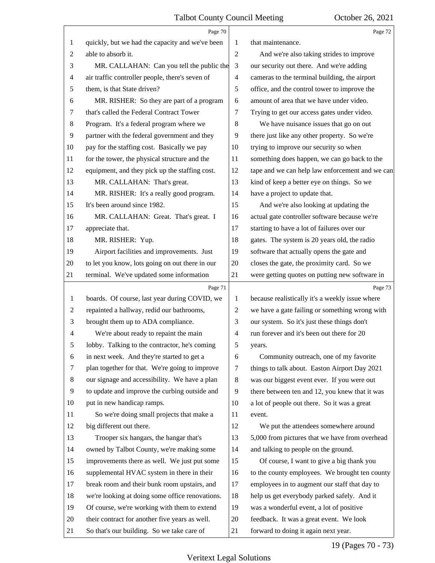<span id="page-19-0"></span>

|                | Page 70                                         |                          | Page 72                                         |
|----------------|-------------------------------------------------|--------------------------|-------------------------------------------------|
| 1              | quickly, but we had the capacity and we've been | 1                        | that maintenance.                               |
| $\overline{c}$ | able to absorb it.                              | $\mathbf{2}$             | And we're also taking strides to improve        |
| 3              | MR. CALLAHAN: Can you tell the public the       | $\mathfrak{Z}$           | our security out there. And we're adding        |
| 4              | air traffic controller people, there's seven of | $\overline{4}$           | cameras to the terminal building, the airport   |
| 5              | them, is that State driven?                     | $\sqrt{5}$               | office, and the control tower to improve the    |
| 6              | MR. RISHER: So they are part of a program       | 6                        | amount of area that we have under video.        |
| 7              | that's called the Federal Contract Tower        | 7                        | Trying to get our access gates under video.     |
| 8              | Program. It's a federal program where we        | $\,8\,$                  | We have nuisance issues that go on out          |
| 9              | partner with the federal government and they    | 9                        | there just like any other property. So we're    |
| 10             | pay for the staffing cost. Basically we pay     | 10                       | trying to improve our security so when          |
| 11             | for the tower, the physical structure and the   | 11                       | something does happen, we can go back to the    |
| 12             | equipment, and they pick up the staffing cost.  | 12                       | tape and we can help law enforcement and we can |
| 13             | MR. CALLAHAN: That's great.                     | 13                       | kind of keep a better eye on things. So we      |
| 14             | MR. RISHER: It's a really good program.         | 14                       | have a project to update that.                  |
| 15             | It's been around since 1982.                    | 15                       | And we're also looking at updating the          |
| 16             | MR. CALLAHAN: Great. That's great. I            | 16                       | actual gate controller software because we're   |
| 17             | appreciate that.                                | 17                       | starting to have a lot of failures over our     |
| 18             | MR. RISHER: Yup.                                | 18                       | gates. The system is 20 years old, the radio    |
| 19             | Airport facilities and improvements. Just       | 19                       | software that actually opens the gate and       |
| 20             | to let you know, lots going on out there in our | 20                       | closes the gate, the proximity card. So we      |
| 21             | terminal. We've updated some information        | 21                       | were getting quotes on putting new software in  |
|                |                                                 |                          |                                                 |
|                | Page 71                                         |                          | Page 73                                         |
| 1              | boards. Of course, last year during COVID, we   | $\mathbf{1}$             | because realistically it's a weekly issue where |
| 2              | repainted a hallway, redid our bathrooms,       | $\overline{c}$           | we have a gate failing or something wrong with  |
| 3              | brought them up to ADA compliance.              | 3                        | our system. So it's just these things don't     |
| 4              | We're about ready to repaint the main           | $\overline{\mathcal{A}}$ | run forever and it's been out there for 20      |
| 5              | lobby. Talking to the contractor, he's coming   | 5                        | years.                                          |
| 6              | in next week. And they're started to get a      | 6                        | Community outreach, one of my favorite          |
| 7              | plan together for that. We're going to improve  | 7                        | things to talk about. Easton Airport Day 2021   |
| 8              | our signage and accessibility. We have a plan   | 8                        | was our biggest event ever. If you were out     |
| 9              | to update and improve the curbing outside and   | 9                        | there between ten and 12, you knew that it was  |
| 10             | put in new handicap ramps.                      | 10                       | a lot of people out there. So it was a great    |
| 11             | So we're doing small projects that make a       | 11                       | event.                                          |
| 12             | big different out there.                        | 12                       | We put the attendees somewhere around           |
| 13             | Trooper six hangars, the hangar that's          | 13                       | 5,000 from pictures that we have from overhead  |
| 14             | owned by Talbot County, we're making some       | 14                       | and talking to people on the ground.            |
| 15             | improvements there as well. We just put some    | 15                       | Of course, I want to give a big thank you       |
| 16             | supplemental HVAC system in there in their      | 16                       | to the county employees. We brought ten county  |
| 17             | break room and their bunk room upstairs, and    | 17                       | employees in to augment our staff that day to   |
| 18             | we're looking at doing some office renovations. | 18                       | help us get everybody parked safely. And it     |
| 19             | Of course, we're working with them to extend    | 19                       | was a wonderful event, a lot of positive        |
| 20             | their contract for another five years as well.  | 20                       | feedback. It was a great event. We look         |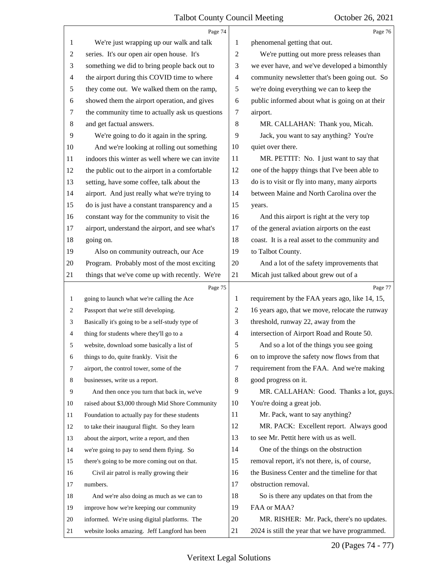<span id="page-20-0"></span>

|                | Page 74                                          |                | Page 76                                         |
|----------------|--------------------------------------------------|----------------|-------------------------------------------------|
| 1              | We're just wrapping up our walk and talk         | 1              | phenomenal getting that out.                    |
| $\overline{c}$ | series. It's our open air open house. It's       | $\overline{2}$ | We're putting out more press releases than      |
| 3              | something we did to bring people back out to     | 3              | we ever have, and we've developed a bimonthly   |
| $\overline{4}$ | the airport during this COVID time to where      | $\overline{4}$ | community newsletter that's been going out. So  |
| 5              | they come out. We walked them on the ramp,       | 5              | we're doing everything we can to keep the       |
| 6              | showed them the airport operation, and gives     | 6              | public informed about what is going on at their |
| 7              | the community time to actually ask us questions  | 7              | airport.                                        |
| 8              | and get factual answers.                         | 8              | MR. CALLAHAN: Thank you, Micah.                 |
| 9              | We're going to do it again in the spring.        | 9              | Jack, you want to say anything? You're          |
| 10             | And we're looking at rolling out something       | 10             | quiet over there.                               |
| 11             | indoors this winter as well where we can invite  | 11             | MR. PETTIT: No. I just want to say that         |
| 12             | the public out to the airport in a comfortable   | 12             | one of the happy things that I've been able to  |
| 13             | setting, have some coffee, talk about the        | 13             | do is to visit or fly into many, many airports  |
| 14             | airport. And just really what we're trying to    | 14             | between Maine and North Carolina over the       |
| 15             | do is just have a constant transparency and a    | 15             | years.                                          |
| 16             | constant way for the community to visit the      | 16             | And this airport is right at the very top       |
| 17             | airport, understand the airport, and see what's  | 17             | of the general aviation airports on the east    |
| 18             | going on.                                        | 18             | coast. It is a real asset to the community and  |
| 19             | Also on community outreach, our Ace              | 19             | to Talbot County.                               |
| 20             | Program. Probably most of the most exciting      | 20             | And a lot of the safety improvements that       |
| 21             | things that we've come up with recently. We're   | 21             | Micah just talked about grew out of a           |
|                |                                                  |                |                                                 |
|                | Page 75                                          |                | Page 77                                         |
| 1              | going to launch what we're calling the Ace       | 1              | requirement by the FAA years ago, like 14, 15,  |
| 2              | Passport that we're still developing.            | $\overline{c}$ | 16 years ago, that we move, relocate the runway |
| 3              | Basically it's going to be a self-study type of  | 3              | threshold, runway 22, away from the             |
| $\overline{4}$ | thing for students where they'll go to a         | $\overline{4}$ | intersection of Airport Road and Route 50.      |
| 5              | website, download some basically a list of       | 5              | And so a lot of the things you see going        |
| 6              | things to do, quite frankly. Visit the           | 6              | on to improve the safety now flows from that    |
| 7              | airport, the control tower, some of the          | 7              | requirement from the FAA. And we're making      |
| 8              | businesses, write us a report.                   | 8              | good progress on it.                            |
| 9              | And then once you turn that back in, we've       | 9              | MR. CALLAHAN: Good. Thanks a lot, guys.         |
| 10             | raised about \$3,000 through Mid Shore Community | 10             | You're doing a great job.                       |
| 11             | Foundation to actually pay for these students    | 11             | Mr. Pack, want to say anything?                 |
| 12             | to take their inaugural flight. So they learn    | 12             | MR. PACK: Excellent report. Always good         |
| 13             | about the airport, write a report, and then      | 13             | to see Mr. Pettit here with us as well.         |
| 14             | we're going to pay to send them flying. So       | 14             | One of the things on the obstruction            |
| 15             | there's going to be more coming out on that.     | 15             | removal report, it's not there, is, of course,  |
| 16             | Civil air patrol is really growing their         | 16             | the Business Center and the timeline for that   |
| 17             | numbers.                                         | 17             | obstruction removal.                            |
| 18             | And we're also doing as much as we can to        | 18             | So is there any updates on that from the        |
| 19             | improve how we're keeping our community          | 19             | FAA or MAA?                                     |
| 20             | informed. We're using digital platforms. The     | 20             | MR. RISHER: Mr. Pack, there's no updates.       |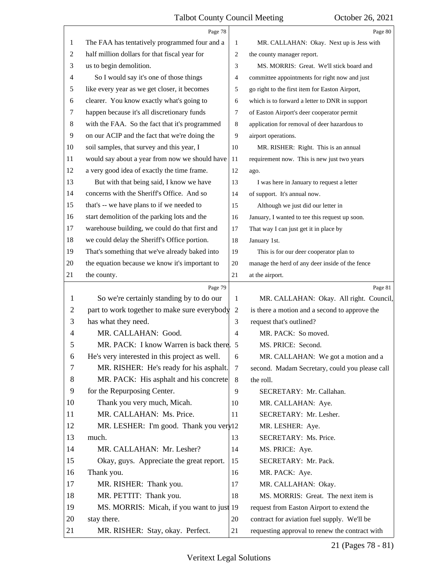<span id="page-21-0"></span>

|                | Page 78                                        |                | Page 80                                         |
|----------------|------------------------------------------------|----------------|-------------------------------------------------|
| 1              | The FAA has tentatively programmed four and a  | 1              | MR. CALLAHAN: Okay. Next up is Jess with        |
| $\overline{c}$ | half million dollars for that fiscal year for  | $\overline{c}$ | the county manager report.                      |
| 3              | us to begin demolition.                        | 3              | MS. MORRIS: Great. We'll stick board and        |
| 4              | So I would say it's one of those things        | 4              | committee appointments for right now and just   |
| 5              | like every year as we get closer, it becomes   | 5              | go right to the first item for Easton Airport,  |
| 6              | clearer. You know exactly what's going to      | 6              | which is to forward a letter to DNR in support  |
| 7              | happen because it's all discretionary funds    | 7              | of Easton Airport's deer cooperator permit      |
| 8              | with the FAA. So the fact that it's programmed | 8              | application for removal of deer hazardous to    |
| 9              | on our ACIP and the fact that we're doing the  | 9              | airport operations.                             |
| 10             | soil samples, that survey and this year, I     | 10             | MR. RISHER: Right. This is an annual            |
| 11             | would say about a year from now we should have | 11             | requirement now. This is new just two years     |
| 12             | a very good idea of exactly the time frame.    | 12             | ago.                                            |
| 13             | But with that being said, I know we have       | 13             | I was here in January to request a letter       |
| 14             | concerns with the Sheriff's Office. And so     | 14             | of support. It's annual now.                    |
| 15             | that's -- we have plans to if we needed to     | 15             | Although we just did our letter in              |
| 16             | start demolition of the parking lots and the   | 16             | January, I wanted to tee this request up soon.  |
| 17             | warehouse building, we could do that first and | 17             | That way I can just get it in place by          |
| 18             | we could delay the Sheriff's Office portion.   | 18             | January 1st.                                    |
| 19             | That's something that we've already baked into | 19             | This is for our deer cooperator plan to         |
| 20             | the equation because we know it's important to | 20             | manage the herd of any deer inside of the fence |
| 21             | the county.                                    | 21             | at the airport.                                 |
|                | Page 79                                        |                | Page 81                                         |
| 1              | So we're certainly standing by to do our       | 1              | MR. CALLAHAN: Okay. All right. Council,         |
| 2              | part to work together to make sure everybody   | 2              | is there a motion and a second to approve the   |
| 3              | has what they need.                            | 3              | request that's outlined?                        |
| 4              | MR. CALLAHAN: Good.                            | 4              | MR. PACK: So moved.                             |
| 5              | MR. PACK: I know Warren is back there.         | 5              | MS. PRICE: Second.                              |
| 6              | He's very interested in this project as well.  | 6              | MR. CALLAHAN: We got a motion and a             |
| 7              |                                                |                |                                                 |
| 8              | MR. RISHER: He's ready for his asphalt.        | 7              | second. Madam Secretary, could you please call  |
| 9              | MR. PACK: His asphalt and his concrete         | 8              | the roll.                                       |
|                | for the Repurposing Center.                    | 9              | SECRETARY: Mr. Callahan.                        |
| 10             | Thank you very much, Micah.                    | 10             | MR. CALLAHAN: Aye.                              |
| 11             | MR. CALLAHAN: Ms. Price.                       | 11             | SECRETARY: Mr. Lesher.                          |
| 12             | MR. LESHER: I'm good. Thank you very 12        |                | MR. LESHER: Aye.                                |
| 13             | much.                                          | 13             | SECRETARY: Ms. Price.                           |
| 14             | MR. CALLAHAN: Mr. Lesher?                      | 14             | MS. PRICE: Aye.                                 |
| 15             | Okay, guys. Appreciate the great report.       | 15             | SECRETARY: Mr. Pack.                            |
| 16             | Thank you.                                     | 16             | MR. PACK: Aye.                                  |
| 17             | MR. RISHER: Thank you.                         | 17             | MR. CALLAHAN: Okay.                             |
| 18             | MR. PETTIT: Thank you.                         | 18             | MS. MORRIS: Great. The next item is             |
| 19             | MS. MORRIS: Micah, if you want to just 19      |                | request from Easton Airport to extend the       |
| 20             | stay there.                                    | 20             | contract for aviation fuel supply. We'll be     |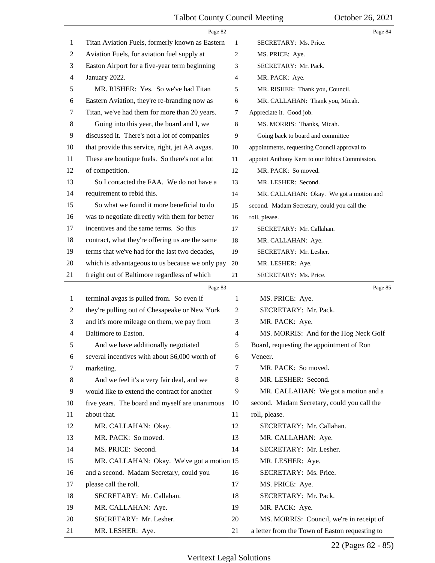<span id="page-22-0"></span>

|    | Page 82                                         |                | Page 84                                        |
|----|-------------------------------------------------|----------------|------------------------------------------------|
| 1  | Titan Aviation Fuels, formerly known as Eastern | 1              | SECRETARY: Ms. Price.                          |
| 2  | Aviation Fuels, for aviation fuel supply at     | 2              | MS. PRICE: Aye.                                |
| 3  | Easton Airport for a five-year term beginning   | 3              | SECRETARY: Mr. Pack.                           |
| 4  | January 2022.                                   | 4              | MR. PACK: Aye.                                 |
| 5  | MR. RISHER: Yes. So we've had Titan             | 5              | MR. RISHER: Thank you, Council.                |
| 6  | Eastern Aviation, they're re-branding now as    | 6              | MR. CALLAHAN: Thank you, Micah.                |
| 7  | Titan, we've had them for more than 20 years.   | 7              | Appreciate it. Good job.                       |
| 8  | Going into this year, the board and I, we       | 8              | MS. MORRIS: Thanks, Micah.                     |
| 9  | discussed it. There's not a lot of companies    | 9              | Going back to board and committee              |
| 10 | that provide this service, right, jet AA avgas. | 10             | appointments, requesting Council approval to   |
| 11 | These are boutique fuels. So there's not a lot  | 11             | appoint Anthony Kern to our Ethics Commission. |
| 12 | of competition.                                 | 12             | MR. PACK: So moved.                            |
| 13 | So I contacted the FAA. We do not have a        | 13             | MR. LESHER: Second.                            |
| 14 | requirement to rebid this.                      | 14             | MR. CALLAHAN: Okay. We got a motion and        |
| 15 | So what we found it more beneficial to do       | 15             | second. Madam Secretary, could you call the    |
| 16 | was to negotiate directly with them for better  | 16             | roll, please.                                  |
| 17 | incentives and the same terms. So this          | 17             | SECRETARY: Mr. Callahan.                       |
| 18 | contract, what they're offering us are the same | 18             | MR. CALLAHAN: Aye.                             |
| 19 | terms that we've had for the last two decades,  | 19             | SECRETARY: Mr. Lesher.                         |
| 20 | which is advantageous to us because we only pay | 20             | MR. LESHER: Aye.                               |
| 21 | freight out of Baltimore regardless of which    | 21             | SECRETARY: Ms. Price.                          |
|    |                                                 |                |                                                |
|    | Page 83                                         |                | Page 85                                        |
| 1  | terminal avgas is pulled from. So even if       | 1              | MS. PRICE: Aye.                                |
| 2  | they're pulling out of Chesapeake or New York   | $\overline{2}$ | SECRETARY: Mr. Pack.                           |
| 3  | and it's more mileage on them, we pay from      | 3              | MR. PACK: Aye.                                 |
| 4  | Baltimore to Easton.                            | $\overline{4}$ | MS. MORRIS: And for the Hog Neck Golf          |
| 5  | And we have additionally negotiated             | 5              | Board, requesting the appointment of Ron       |
| 6  | several incentives with about \$6,000 worth of  | 6              | Veneer.                                        |
| 7  | marketing.                                      | 7              | MR. PACK: So moved.                            |
| 8  | And we feel it's a very fair deal, and we       | 8              | MR. LESHER: Second.                            |
| 9  | would like to extend the contract for another   | 9              | MR. CALLAHAN: We got a motion and a            |
| 10 | five years. The board and myself are unanimous  | 10             | second. Madam Secretary, could you call the    |
| 11 | about that.                                     | 11             | roll, please.                                  |
| 12 | MR. CALLAHAN: Okay.                             | 12             | SECRETARY: Mr. Callahan.                       |
| 13 | MR. PACK: So moved.                             | 13             | MR. CALLAHAN: Aye.                             |
| 14 | MS. PRICE: Second.                              | 14             | SECRETARY: Mr. Lesher.                         |
| 15 | MR. CALLAHAN: Okay. We've got a motion 15       |                | MR. LESHER: Aye.                               |
| 16 | and a second. Madam Secretary, could you        | 16             | SECRETARY: Ms. Price.                          |
| 17 | please call the roll.                           | 17             | MS. PRICE: Aye.                                |
| 18 | SECRETARY: Mr. Callahan.                        | 18             | SECRETARY: Mr. Pack.                           |
| 19 | MR. CALLAHAN: Aye.                              | 19             | MR. PACK: Aye.                                 |
| 20 | SECRETARY: Mr. Lesher.                          | 20             | MS. MORRIS: Council, we're in receipt of       |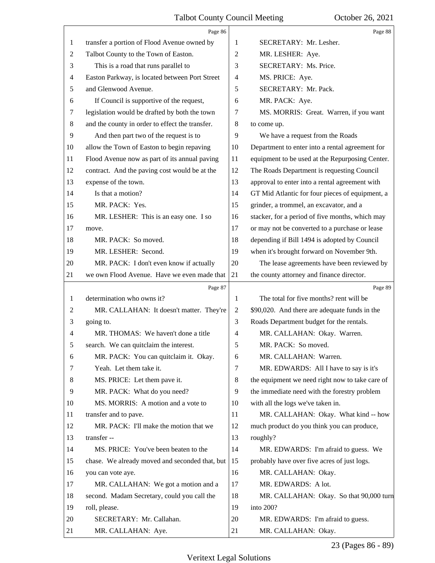<span id="page-23-0"></span>

|    | Page 86                                         |         | Page 88                                         |
|----|-------------------------------------------------|---------|-------------------------------------------------|
| 1  | transfer a portion of Flood Avenue owned by     | 1       | SECRETARY: Mr. Lesher.                          |
| 2  | Talbot County to the Town of Easton.            | 2       | MR. LESHER: Aye.                                |
| 3  | This is a road that runs parallel to            | 3       | SECRETARY: Ms. Price.                           |
| 4  | Easton Parkway, is located between Port Street  | 4       | MS. PRICE: Aye.                                 |
| 5  | and Glenwood Avenue.                            | 5       | SECRETARY: Mr. Pack.                            |
| 6  | If Council is supportive of the request,        | 6       | MR. PACK: Aye.                                  |
| 7  | legislation would be drafted by both the town   | 7       | MS. MORRIS: Great. Warren, if you want          |
| 8  | and the county in order to effect the transfer. | $\,8\,$ | to come up.                                     |
| 9  | And then part two of the request is to          | 9       | We have a request from the Roads                |
| 10 | allow the Town of Easton to begin repaving      | 10      | Department to enter into a rental agreement for |
| 11 | Flood Avenue now as part of its annual paving   | 11      | equipment to be used at the Repurposing Center. |
| 12 | contract. And the paving cost would be at the   | 12      | The Roads Department is requesting Council      |
| 13 | expense of the town.                            | 13      | approval to enter into a rental agreement with  |
| 14 | Is that a motion?                               | 14      | GT Mid Atlantic for four pieces of equipment, a |
| 15 | MR. PACK: Yes.                                  | 15      | grinder, a trommel, an excavator, and a         |
| 16 | MR. LESHER: This is an easy one. I so           | 16      | stacker, for a period of five months, which may |
| 17 | move.                                           | 17      | or may not be converted to a purchase or lease  |
| 18 | MR. PACK: So moved.                             | 18      | depending if Bill 1494 is adopted by Council    |
| 19 | MR. LESHER: Second.                             | 19      | when it's brought forward on November 9th.      |
| 20 | MR. PACK: I don't even know if actually         | 20      | The lease agreements have been reviewed by      |
| 21 | we own Flood Avenue. Have we even made that     | 21      | the county attorney and finance director.       |
|    |                                                 |         |                                                 |
|    | Page 87                                         |         | Page 89                                         |
| 1  | determination who owns it?                      | 1       | The total for five months? rent will be         |
| 2  | MR. CALLAHAN: It doesn't matter. They're        | 2       | \$90,020. And there are adequate funds in the   |
| 3  | going to.                                       | 3       | Roads Department budget for the rentals.        |
| 4  | MR. THOMAS: We haven't done a title             | 4       | MR. CALLAHAN: Okay. Warren.                     |
|    | search. We can quitclaim the interest.          | 5       | MR. PACK: So moved.                             |
| 6  | MR. PACK: You can quitclaim it. Okay.           | 6       | MR. CALLAHAN: Warren.                           |
| 7  | Yeah. Let them take it.                         | 7       | MR. EDWARDS: All I have to say is it's          |
| 8  | MS. PRICE: Let them pave it.                    | 8       | the equipment we need right now to take care of |
| 9  | MR. PACK: What do you need?                     | 9       | the immediate need with the forestry problem    |
| 10 | MS. MORRIS: A motion and a vote to              | 10      | with all the logs we've taken in.               |
| 11 | transfer and to pave.                           | 11      | MR. CALLAHAN: Okay. What kind -- how            |
| 12 | MR. PACK: I'll make the motion that we          | 12      | much product do you think you can produce,      |
| 13 | transfer --                                     | 13      | roughly?                                        |
| 14 | MS. PRICE: You've been beaten to the            | 14      | MR. EDWARDS: I'm afraid to guess. We            |
| 15 | chase. We already moved and seconded that, but  | 15      | probably have over five acres of just logs.     |
| 16 | you can vote aye.                               | 16      | MR. CALLAHAN: Okay.                             |
| 17 | MR. CALLAHAN: We got a motion and a             | 17      | MR. EDWARDS: A lot.                             |
| 18 | second. Madam Secretary, could you call the     | 18      | MR. CALLAHAN: Okay. So that 90,000 turn         |
| 19 | roll, please.                                   | 19      | into 200?                                       |
| 20 | SECRETARY: Mr. Callahan.                        | 20      | MR. EDWARDS: I'm afraid to guess.               |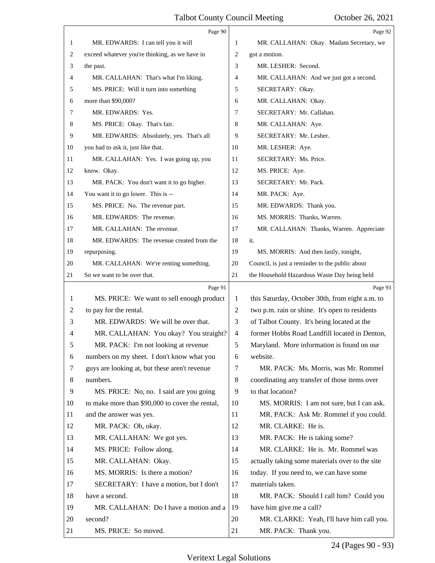<span id="page-24-0"></span>

|    | Page 90                                         |                | Page 92                                         |
|----|-------------------------------------------------|----------------|-------------------------------------------------|
| 1  | MR. EDWARDS: I can tell you it will             | 1              | MR. CALLAHAN: Okay. Madam Secretary, we         |
| 2  | exceed whatever you're thinking, as we have in  | 2              | got a motion.                                   |
| 3  | the past.                                       | 3              | MR. LESHER: Second.                             |
| 4  | MR. CALLAHAN: That's what I'm liking.           | 4              | MR. CALLAHAN: And we just got a second.         |
| 5  | MS. PRICE: Will it turn into something          | 5              | SECRETARY: Okay.                                |
| 6  | more than \$90,000?                             | 6              | MR. CALLAHAN: Okay.                             |
| 7  | MR. EDWARDS: Yes.                               | 7              | SECRETARY: Mr. Callahan.                        |
| 8  | MS. PRICE: Okay. That's fair.                   | 8              | MR. CALLAHAN: Aye.                              |
| 9  | MR. EDWARDS: Absolutely, yes. That's all        | 9              | SECRETARY: Mr. Lesher.                          |
| 10 | you had to ask it, just like that.              | 10             | MR. LESHER: Aye.                                |
| 11 | MR. CALLAHAN: Yes. I was going up, you          | 11             | SECRETARY: Ms. Price.                           |
| 12 | know. Okay.                                     | 12             | MS. PRICE: Aye.                                 |
| 13 | MR. PACK: You don't want it to go higher.       | 13             | SECRETARY: Mr. Pack.                            |
| 14 | You want it to go lower. This is --             | 14             | MR. PACK: Aye.                                  |
| 15 | MS. PRICE: No. The revenue part.                | 15             | MR. EDWARDS: Thank you.                         |
| 16 | MR. EDWARDS: The revenue.                       | 16             | MS. MORRIS: Thanks, Warren.                     |
| 17 | MR. CALLAHAN: The revenue.                      | 17             | MR. CALLAHAN: Thanks, Warren. Appreciate        |
| 18 | MR. EDWARDS: The revenue created from the       | 18             | it.                                             |
| 19 | repurposing.                                    | 19             | MS. MORRIS: And then lastly, tonight,           |
| 20 | MR. CALLAHAN: We're renting something.          | 20             | Council, is just a reminder to the public about |
| 21 | So we want to be over that.                     | 21             | the Household Hazardous Waste Day being held    |
|    | Page 91                                         |                | Page 93                                         |
| 1  | MS. PRICE: We want to sell enough product       | 1              | this Saturday, October 30th, from eight a.m. to |
|    |                                                 |                |                                                 |
| 2  | to pay for the rental.                          | 2              | two p.m. rain or shine. It's open to residents  |
| 3  | MR. EDWARDS: We will be over that.              | 3              | of Talbot County. It's being located at the     |
| 4  | MR. CALLAHAN: You okay? You straight?           | $\overline{4}$ | former Hobbs Road Landfill located in Denton,   |
| 5  | MR. PACK: I'm not looking at revenue            | 5              | Maryland. More information is found on our      |
| 6  | numbers on my sheet. I don't know what you      | 6              | website.                                        |
| 7  | guys are looking at, but these aren't revenue   | 7              | MR. PACK: Ms. Morris, was Mr. Rommel            |
| 8  | numbers.                                        | 8              | coordinating any transfer of those items over   |
| 9  | MS. PRICE: No, no. I said are you going         | 9              | to that location?                               |
| 10 | to make more than \$90,000 to cover the rental, | 10             | MS. MORRIS: I am not sure, but I can ask.       |
| 11 | and the answer was yes.                         | 11             | MR. PACK: Ask Mr. Rommel if you could.          |
| 12 | MR. PACK: Oh, okay.                             | 12             | MR. CLARKE: He is.                              |
| 13 | MR. CALLAHAN: We got yes.                       | 13             | MR. PACK: He is taking some?                    |
| 14 | MS. PRICE: Follow along.                        | 14             | MR. CLARKE: He is. Mr. Rommel was               |
| 15 | MR. CALLAHAN: Okay.                             | 15             | actually taking some materials over to the site |
| 16 | MS. MORRIS: Is there a motion?                  | 16             | today. If you need to, we can have some         |
| 17 | SECRETARY: I have a motion, but I don't         | 17             | materials taken.                                |
| 18 | have a second.                                  | 18             | MR. PACK: Should I call him? Could you          |
| 19 | MR. CALLAHAN: Do I have a motion and a          | 19             | have him give me a call?                        |
| 20 | second?                                         | 20             | MR. CLARKE: Yeah, I'll have him call you.       |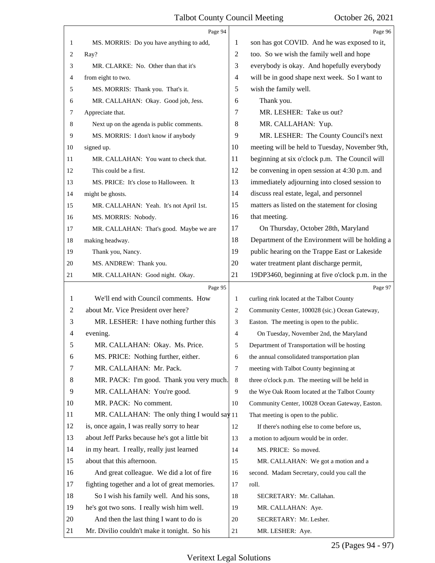<span id="page-25-0"></span>

|    | Page 94                                        |                | Page 96                                         |
|----|------------------------------------------------|----------------|-------------------------------------------------|
| 1  | MS. MORRIS: Do you have anything to add,       | 1              | son has got COVID. And he was exposed to it,    |
| 2  | Ray?                                           | 2              | too. So we wish the family well and hope        |
| 3  | MR. CLARKE: No. Other than that it's           | 3              | everybody is okay. And hopefully everybody      |
| 4  | from eight to two.                             | 4              | will be in good shape next week. So I want to   |
| 5  | MS. MORRIS: Thank you. That's it.              | 5              | wish the family well.                           |
| 6  | MR. CALLAHAN: Okay. Good job, Jess.            | 6              | Thank you.                                      |
| 7  | Appreciate that.                               | 7              | MR. LESHER: Take us out?                        |
| 8  | Next up on the agenda is public comments.      | 8              | MR. CALLAHAN: Yup.                              |
| 9  | MS. MORRIS: I don't know if anybody            | 9              | MR. LESHER: The County Council's next           |
| 10 | signed up.                                     | 10             | meeting will be held to Tuesday, November 9th,  |
| 11 | MR. CALLAHAN: You want to check that.          | 11             | beginning at six o'clock p.m. The Council will  |
| 12 | This could be a first.                         | 12             | be convening in open session at 4:30 p.m. and   |
| 13 | MS. PRICE: It's close to Halloween. It         | 13             | immediately adjourning into closed session to   |
| 14 | might be ghosts.                               | 14             | discuss real estate, legal, and personnel       |
| 15 | MR. CALLAHAN: Yeah. It's not April 1st.        | 15             | matters as listed on the statement for closing  |
| 16 | MS. MORRIS: Nobody.                            | 16             | that meeting.                                   |
| 17 | MR. CALLAHAN: That's good. Maybe we are        | 17             | On Thursday, October 28th, Maryland             |
| 18 | making headway.                                | 18             | Department of the Environment will be holding a |
| 19 | Thank you, Nancy.                              | 19             | public hearing on the Trappe East or Lakeside   |
| 20 | MS. ANDREW: Thank you.                         | 20             | water treatment plant discharge permit,         |
| 21 | MR. CALLAHAN: Good night. Okay.                | 21             | 19DP3460, beginning at five o'clock p.m. in the |
|    |                                                |                |                                                 |
|    | Page 95                                        |                | Page 97                                         |
| 1  | We'll end with Council comments. How           | 1              | curling rink located at the Talbot County       |
| 2  | about Mr. Vice President over here?            | 2              | Community Center, 100028 (sic.) Ocean Gateway,  |
| 3  | MR. LESHER: I have nothing further this        | 3              | Easton. The meeting is open to the public.      |
| 4  | evening.                                       | $\overline{4}$ | On Tuesday, November 2nd, the Maryland          |
| 5  | MR. CALLAHAN: Okay. Ms. Price.                 | 5              | Department of Transportation will be hosting    |
| 6  | MS. PRICE: Nothing further, either.            | 6              | the annual consolidated transportation plan     |
| 7  | MR. CALLAHAN: Mr. Pack.                        | $\tau$         | meeting with Talbot County beginning at         |
| 8  | MR. PACK: I'm good. Thank you very much.       | 8              | three o'clock p.m. The meeting will be held in  |
| 9  | MR. CALLAHAN: You're good.                     | 9              | the Wye Oak Room located at the Talbot County   |
| 10 | MR. PACK: No comment.                          | 10             | Community Center, 10028 Ocean Gateway, Easton.  |
| 11 | MR. CALLAHAN: The only thing I would say 11    |                | That meeting is open to the public.             |
| 12 | is, once again, I was really sorry to hear     | 12             | If there's nothing else to come before us,      |
| 13 | about Jeff Parks because he's got a little bit | 13             | a motion to adjourn would be in order.          |
| 14 | in my heart. I really, really just learned     | 14             | MS. PRICE: So moved.                            |
| 15 | about that this afternoon.                     | 15             | MR. CALLAHAN: We got a motion and a             |
| 16 | And great colleague. We did a lot of fire      | 16             | second. Madam Secretary, could you call the     |
| 17 | fighting together and a lot of great memories. | 17             | roll.                                           |
| 18 | So I wish his family well. And his sons,       | 18             | SECRETARY: Mr. Callahan.                        |
| 19 | he's got two sons. I really wish him well.     | 19             | MR. CALLAHAN: Aye.                              |
| 20 | And then the last thing I want to do is        | 20             | SECRETARY: Mr. Lesher.                          |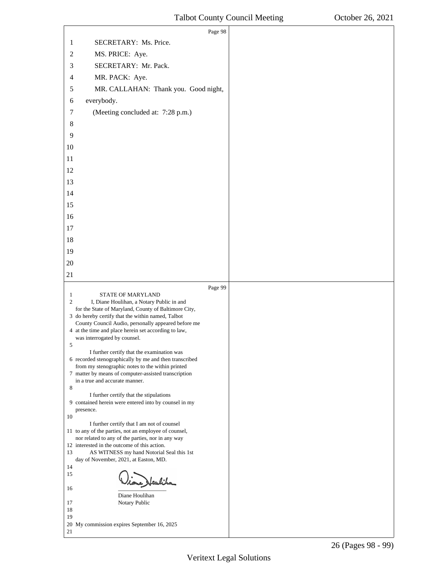<span id="page-26-0"></span>

|                                | Page 98                                                                                                    |  |
|--------------------------------|------------------------------------------------------------------------------------------------------------|--|
| 1                              | SECRETARY: Ms. Price.                                                                                      |  |
| $\mathfrak{2}$                 | MS. PRICE: Aye.                                                                                            |  |
| 3                              | SECRETARY: Mr. Pack.                                                                                       |  |
| 4                              | MR. PACK: Aye.                                                                                             |  |
| 5                              | MR. CALLAHAN: Thank you. Good night,                                                                       |  |
| 6                              | everybody.                                                                                                 |  |
| 7                              | (Meeting concluded at: 7:28 p.m.)                                                                          |  |
| $8\,$                          |                                                                                                            |  |
| 9                              |                                                                                                            |  |
| 10                             |                                                                                                            |  |
| 11                             |                                                                                                            |  |
| 12                             |                                                                                                            |  |
| 13                             |                                                                                                            |  |
| 14                             |                                                                                                            |  |
| 15                             |                                                                                                            |  |
| 16                             |                                                                                                            |  |
| 17                             |                                                                                                            |  |
| 18                             |                                                                                                            |  |
| 19                             |                                                                                                            |  |
| $20\,$                         |                                                                                                            |  |
| 21                             |                                                                                                            |  |
|                                |                                                                                                            |  |
|                                | Page 99                                                                                                    |  |
| $\mathbf{1}$<br>$\overline{2}$ | STATE OF MARYLAND                                                                                          |  |
|                                | I, Diane Houlihan, a Notary Public in and<br>for the State of Maryland, County of Baltimore City,          |  |
|                                | 3 do hereby certify that the within named, Talbot<br>County Council Audio, personally appeared before me   |  |
|                                | 4 at the time and place herein set according to law,                                                       |  |
| 5.                             | was interrogated by counsel.                                                                               |  |
|                                | I further certify that the examination was<br>6 recorded stenographically by me and then transcribed       |  |
|                                | from my stenographic notes to the within printed                                                           |  |
|                                | 7 matter by means of computer-assisted transcription<br>in a true and accurate manner.                     |  |
| 8                              |                                                                                                            |  |
|                                | I further certify that the stipulations<br>9 contained herein were entered into by counsel in my           |  |
| 10                             | presence.                                                                                                  |  |
|                                | I further certify that I am not of counsel                                                                 |  |
|                                | 11 to any of the parties, not an employee of counsel,<br>nor related to any of the parties, nor in any way |  |
| 13                             | 12 interested in the outcome of this action.<br>AS WITNESS my hand Notorial Seal this 1st                  |  |
|                                | day of November, 2021, at Easton, MD.                                                                      |  |
| 14<br>15                       |                                                                                                            |  |
| 16                             | e) Heubiha                                                                                                 |  |
|                                | Diane Houlihan                                                                                             |  |
| 17<br>18                       | Notary Public                                                                                              |  |
| 19                             | 20 My commission expires September 16, 2025                                                                |  |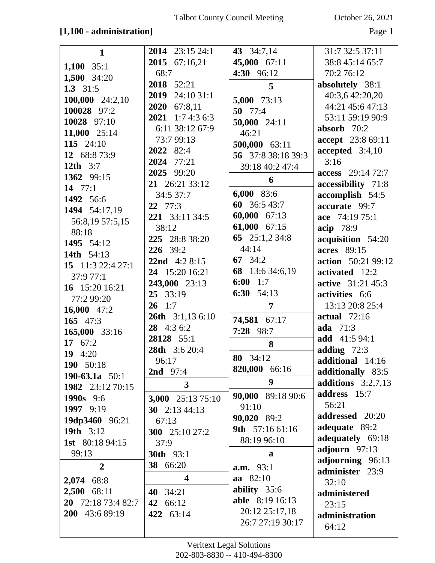#### **[1,100 - administration]** Page 1

| $\mathbf{1}$           | <b>2014</b> 23:15 24:1  | 43 34:7,14             | 31:7 32:5 37:11          |
|------------------------|-------------------------|------------------------|--------------------------|
| $1,100$ 35:1           | 2015 67:16,21           | 45,000 67:11           | 38:8 45:14 65:7          |
| 1,500 34:20            | 68:7                    | 4:30 96:12             | 70:2 76:12               |
| 1.3 $31:5$             | 2018 52:21              | $5\overline{)}$        | absolutely 38:1          |
|                        | <b>2019</b> 24:10 31:1  |                        | 40:3,6 42:20,20          |
| 100,000 24:2,10        | 2020 67:8,11            | $5,000$ 73:13          | 44:21 45:6 47:13         |
| 100028 97:2            | <b>2021</b> 1:7 4:3 6:3 | 50 $77:4$              | 53:11 59:19 90:9         |
| 10028 97:10            | 6:11 38:12 67:9         | 50,000 24:11           | absorb 70:2              |
| 11,000 25:14           | 73:7 99:13              | 46:21                  | accept 23:8 69:11        |
| 115 24:10              | 2022 82:4               | 500,000 63:11          | accepted 3:4,10          |
| 12 68:8 73:9           | 2024 77:21              | 56 37:8 38:18 39:3     | 3:16                     |
| 12th $3:7$             |                         | 39:18 40:2 47:4        |                          |
| 1362 99:15             | 2025 99:20              | 6                      | access 29:14 72:7        |
| 14 $77:1$              | 21 26:21 33:12          |                        | accessibility 71:8       |
| 1492 56:6              | 34:5 37:7               | 6,000 83:6             | accomplish 54:5          |
| 1494 54:17,19          | $22 \t 77:3$            | 60 36:5 43:7           | accurate 99:7            |
| 56:8,19 57:5,15        | 221 33:11 34:5          | 60,000 67:13           | ace 74:19 75:1           |
| 88:18                  | 38:12                   | 61,000 67:15           | acip 78:9                |
| 1495 54:12             | 225 28:8 38:20          | 65 $25:1,234:8$        | acquisition 54:20        |
| 14th 54:13             | 226 39:2                | 44:14                  | acres 89:15              |
| 15 11:3 22:4 27:1      | 22nd $4:28:15$          | 67 $34:2$              | action 50:21 99:12       |
| 37:9 77:1              | 24 15:20 16:21          | 68 13:6 34:6,19        | activated 12:2           |
| 16 15:20 16:21         | 243,000 23:13           | 6:00 $1:7$             | <b>active</b> 31:21 45:3 |
| 77:2 99:20             | 25 33:19                | 6:30 $54:13$           | activities 6:6           |
| 16,000 $47:2$          | $26 \quad 1:7$          | $\overline{7}$         | 13:13 20:8 25:4          |
| 165 $47:3$             | <b>26th</b> 3:1,13 6:10 | 74,581 67:17           | actual $72:16$           |
| 165,000 33:16          | 28 4:3 6:2              | 7:28 98:7              | ada 71:3                 |
| 17 67:2                | 28128 55:1              | 8                      | add 41:5 94:1            |
| 19 4:20                | 28th 3:6 20:4           |                        | adding $72:3$            |
| 190 50:18              | 96:17                   | 80 34:12               | additional 14:16         |
| 190-63.1a $50:1$       | <b>2nd</b> 97:4         | 820,000 66:16          | additionally 83:5        |
| 1982 23:12 70:15       | $\overline{\mathbf{3}}$ | 9                      | additions $3:2,7,13$     |
| 1990s 9:6              | 3,000 25:13 75:10       | 90,000 89:18 90:6      | address 15:7             |
| 1997 9:19              | 30 $2:13\,44:13$        | 91:10                  | 56:21                    |
| 19dp3460 96:21         | 67:13                   | 90,020 89:2            | addressed 20:20          |
| 19th 3:12              | 300 25:10 27:2          | 9th 57:16 61:16        | adequate 89:2            |
| <b>1st</b> 80:18 94:15 | 37:9                    | 88:19 96:10            | adequately 69:18         |
| 99:13                  | <b>30th</b> 93:1        |                        | adjourn 97:13            |
|                        | 38 66:20                | a                      | adjourning 96:13         |
| $\overline{2}$         |                         | a.m. 93:1              | administer 23:9          |
| 2,074 68:8             | $\overline{\mathbf{4}}$ | aa 82:10               | 32:10                    |
| 2,500<br>68:11         | 40 34:21                | ability $35:6$         | administered             |
| 20 72:18 73:4 82:7     | 42 66:12                | <b>able</b> 8:19 16:13 | 23:15                    |
| 200 43:6 89:19         | 422 63:14               | 20:12 25:17,18         | administration           |
|                        |                         | 26:7 27:19 30:17       | 64:12                    |
|                        |                         |                        |                          |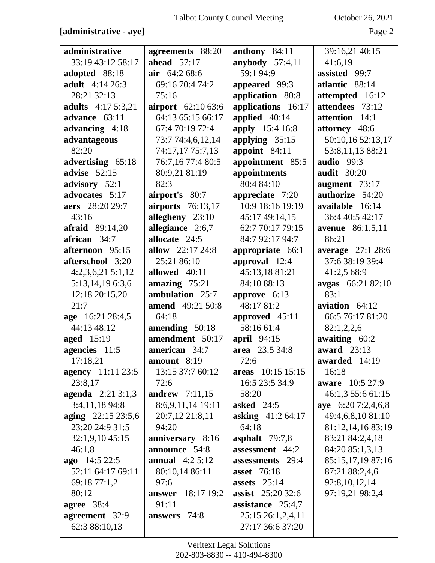# **[administrative - aye]** Page 2

| administrative            | agreements 88:20         | anthony 84:11             | 39:16,21 40:15          |
|---------------------------|--------------------------|---------------------------|-------------------------|
| 33:19 43:12 58:17         | ahead $57:17$            | anybody $57:4,11$         | 41:6,19                 |
| adopted 88:18             | air $64:268:6$           | 59:1 94:9                 | assisted 99:7           |
| <b>adult</b> 4:14 26:3    | 69:16 70:4 74:2          | appeared 99:3             | atlantic 88:14          |
| 28:21 32:13               | 75:16                    | application 80:8          | attempted 16:12         |
| <b>adults</b> 4:17 5:3,21 | airport 62:10 63:6       | applications 16:17        | attendees 73:12         |
| advance 63:11             | 64:13 65:15 66:17        | applied 40:14             | attention 14:1          |
| advancing 4:18            | 67:4 70:19 72:4          | apply 15:4 16:8           | attorney 48:6           |
| advantageous              | 73:7 74:4,6,12,14        | applying $35:15$          | 50:10,16 52:13,17       |
| 82:20                     | 74:17,17 75:7,13         | appoint 84:11             | 53:8,11,13 88:21        |
| advertising 65:18         | 76:7,16 77:4 80:5        | appointment 85:5          | <b>audio</b> 99:3       |
| advise $52:15$            | 80:9,21 81:19            | appointments              | <b>audit</b> 30:20      |
| advisory 52:1             | 82:3                     | 80:4 84:10                | augment $73:17$         |
| advocates 5:17            | airport's 80:7           | appreciate 7:20           | authorize 54:20         |
| aers 28:20 29:7           | <b>airports</b> 76:13,17 | 10:9 18:16 19:19          | available 16:14         |
| 43:16                     | allegheny 23:10          | 45:17 49:14,15            | 36:4 40:5 42:17         |
| afraid 89:14,20           | allegiance 2:6,7         | 62:7 70:17 79:15          | <b>avenue</b> 86:1,5,11 |
| african 34:7              | allocate 24:5            | 84:7 92:17 94:7           | 86:21                   |
| afternoon 95:15           | allow 22:17 24:8         | appropriate 66:1          | average 27:1 28:6       |
| afterschool 3:20          | 25:21 86:10              | approval 12:4             | 37:6 38:19 39:4         |
| $4:2,3,6,21\ 5:1,12$      | allowed 40:11            | 45:13,18 81:21            | 41:2,5 68:9             |
| 5:13,14,19 6:3,6          | amazing $75:21$          | 84:10 88:13               | avgas 66:21 82:10       |
| 12:18 20:15,20            | ambulation 25:7          | approve $6:13$            | 83:1                    |
| 21:7                      | amend 49:21 50:8         | 48:17 81:2                | aviation $64:12$        |
| age 16:21 28:4,5          | 64:18                    | approved 45:11            | 66:5 76:17 81:20        |
| 44:13 48:12               | amending 50:18           | 58:16 61:4                | 82:1,2,2,6              |
| <b>aged</b> 15:19         | amendment 50:17          | april 94:15               | awaiting 60:2           |
| agencies 11:5             | american 34:7            | area 23:5 34:8            | award 23:13             |
| 17:18,21                  | amount $8:19$            | 72:6                      | awarded 14:19           |
| <b>agency</b> 11:11 23:5  | 13:15 37:7 60:12         | areas 10:15 15:15         | 16:18                   |
| 23:8,17                   | 72:6                     | 16:5 23:5 34:9            | <b>aware</b> 10:5 27:9  |
| <b>agenda</b> $2:213:1,3$ | <b>andrew</b> 7:11,15    | 58:20                     | 46:1,3 55:6 61:15       |
| 3:4,11,18 94:8            | 8:6,9,11,14 19:11        | asked $24:5$              | aye 6:20 7:2,4,6,8      |
| aging 22:15 23:5,6        | 20:7,12 21:8,11          | <b>asking</b> 41:2 64:17  | 49:4,6,8,10 81:10       |
| 23:20 24:9 31:5           | 94:20                    | 64:18                     | 81:12,14,16 83:19       |
| 32:1,9,10 45:15           | anniversary 8:16         | asphalt $79:7,8$          | 83:21 84:2,4,18         |
| 46:1,8                    | announce 54:8            | assessment 44:2           | 84:20 85:1,3,13         |
| ago $14:522:5$            | <b>annual</b> $4:25:12$  | assessments 29:4          | 85:15,17,19 87:16       |
| 52:11 64:17 69:11         | 80:10,14 86:11           | <b>asset</b> 76:18        | 87:21 88:2,4,6          |
| 69:18 77:1,2              | 97:6                     | assets $25:14$            | 92:8, 10, 12, 14        |
| 80:12                     | <b>answer</b> 18:17 19:2 | <b>assist</b> $25:2032:6$ | 97:19,21 98:2,4         |
| agree 38:4                | 91:11                    | assistance $25:4,7$       |                         |
| agreement 32:9            | answers 74:8             | 25:15 26:1,2,4,11         |                         |
| 62:3 88:10,13             |                          | 27:17 36:6 37:20          |                         |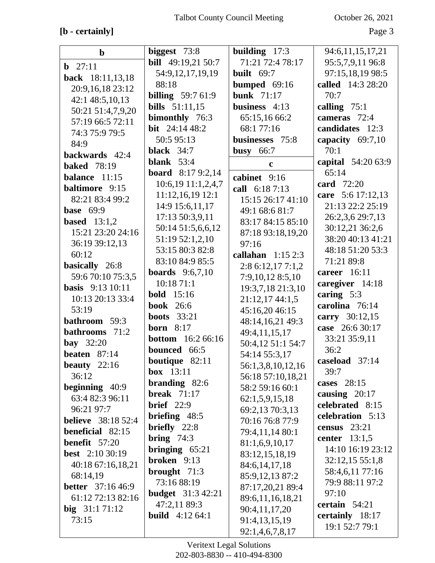# **[b - certainly]** Page 3

| $\mathbf b$               | biggest $73:8$                         | building $17:3$    | 94:6,11,15,17,21                   |
|---------------------------|----------------------------------------|--------------------|------------------------------------|
| <b>b</b> $27:11$          | bill 49:19,21 50:7                     | 71:21 72:4 78:17   | 95:5,7,9,11 96:8                   |
|                           | 54:9,12,17,19,19                       | built $69:7$       | 97:15,18,19 98:5                   |
| back 18:11,13,18          | 88:18                                  | bumped $69:16$     | called 14:3 28:20                  |
| 20:9,16,18 23:12          | <b>billing</b> 59:7 61:9               | <b>bunk</b> 71:17  | 70:7                               |
| 42:1 48:5,10,13           | <b>bills</b> 51:11,15                  | business $4:13$    | calling $75:1$                     |
| 50:21 51:4,7,9,20         | bimonthly 76:3                         | 65:15,16 66:2      | cameras 72:4                       |
| 57:19 66:5 72:11          | bit $24:1448:2$                        | 68:1 77:16         | candidates 12:3                    |
| 74:3 75:9 79:5            | 50:5 95:13                             | businesses 75:8    | capacity $69:7,10$                 |
| 84:9                      | black $34:7$                           | busy $66:7$        | 70:1                               |
| backwards 42:4            | blank $53:4$                           | $\mathbf c$        | capital 54:20 63:9                 |
| <b>baked</b> 78:19        | <b>board</b> 8:17 9:2,14               |                    | 65:14                              |
| balance 11:15             | 10:6,19 11:1,2,4,7                     | cabinet 9:16       | card 72:20                         |
| <b>baltimore</b> 9:15     | $11:12,16,19$ 12:1                     | call 6:18 7:13     | care 5:6 17:12,13                  |
| 82:21 83:4 99:2           | 14:9 15:6,11,17                        | 15:15 26:17 41:10  | 21:13 22:2 25:19                   |
| <b>base</b> 69:9          | 17:13 50:3,9,11                        | 49:1 68:6 81:7     | 26:2,3,6 29:7,13                   |
| <b>based</b> $13:1,2$     | 50:14 51:5,6,6,12                      | 83:17 84:15 85:10  | 30:12,21 36:2,6                    |
| 15:21 23:20 24:16         | 51:19 52:1,2,10                        | 87:18 93:18,19,20  | 38:20 40:13 41:21                  |
| 36:19 39:12,13            | 53:15 80:3 82:8                        | 97:16              | 48:18 51:20 53:3                   |
| 60:12                     | 83:10 84:9 85:5                        | callahan $1:152:3$ | 71:21 89:8                         |
| basically 26:8            | <b>boards</b> $9:6,7,10$               | 2:86:12,177:1,2    | career $16:11$                     |
| 59:6 70:10 75:3,5         | 10:18 71:1                             | 7:9,10,12 8:5,10   | caregiver 14:18                    |
| <b>basis</b> 9:13 10:11   | <b>bold</b> 15:16                      | 19:3,7,18 21:3,10  | caring $5:3$                       |
| 10:13 20:13 33:4          | <b>book</b> 26:6                       | 21:12,17 44:1,5    | carolina 76:14                     |
| 53:19                     | <b>boots</b> 33:21                     | 45:16,20 46:15     | carry 30:12,15                     |
| <b>bathroom</b> 59:3      | <b>born</b> 8:17                       | 48:14,16,21 49:3   | case 26:6 30:17                    |
| bathrooms 71:2            | <b>bottom</b> 16:2 66:16               | 49:4,11,15,17      | 33:21 35:9,11                      |
| <b>bay</b> 32:20          | bounced 66:5                           | 50:4,12 51:1 54:7  | 36:2                               |
| beaten $87:14$            |                                        | 54:14 55:3,17      | caseload 37:14                     |
| beauty $22:16$            | <b>boutique</b> $82:11$<br>box $13:11$ | 56:1,3,8,10,12,16  | 39:7                               |
| 36:12                     | branding $82:6$                        | 56:18 57:10,18,21  | cases $28:15$                      |
| beginning $40:9$          | break $71:17$                          | 58:2 59:16 60:1    | causing 20:17                      |
| 63:4 82:3 96:11           | brief $22:9$                           | 62:1,5,9,15,18     | celebrated 8:15                    |
| 96:21 97:7                | briefing $48:5$                        | 69:2,13 70:3,13    | celebration 5:13                   |
| <b>believe</b> 38:18 52:4 | briefly $22:8$                         | 70:16 76:8 77:9    | census $23:21$                     |
| beneficial 82:15          |                                        | 79:4,11,14 80:1    | center $13:1,5$                    |
| <b>benefit</b> $57:20$    | <b>bring</b> $74:3$                    | 81:1,6,9,10,17     | 14:10 16:19 23:12                  |
| <b>best</b> $2:1030:19$   | bringing $65:21$<br>broken 9:13        | 83:12,15,18,19     |                                    |
| 40:18 67:16,18,21         |                                        | 84:6, 14, 17, 18   | 32:12,15 55:1,8                    |
| 68:14,19                  | brought $71:3$<br>73:16 88:19          | 85:9,12,13 87:2    | 58:4,6,11 77:16<br>79:9 88:11 97:2 |
| <b>better</b> 37:16 46:9  |                                        | 87:17,20,21 89:4   |                                    |
| 61:12 72:13 82:16         | <b>budget</b> 31:3 42:21               | 89:6,11,16,18,21   | 97:10                              |
| big $31:171:12$           | 47:2,11 89:3                           | 90:4,11,17,20      | certain 54:21                      |
| 73:15                     | <b>build</b> $4:1264:1$                | 91:4,13,15,19      | certainly 18:17                    |
|                           |                                        | 92:1,4,6,7,8,17    | 19:1 52:7 79:1                     |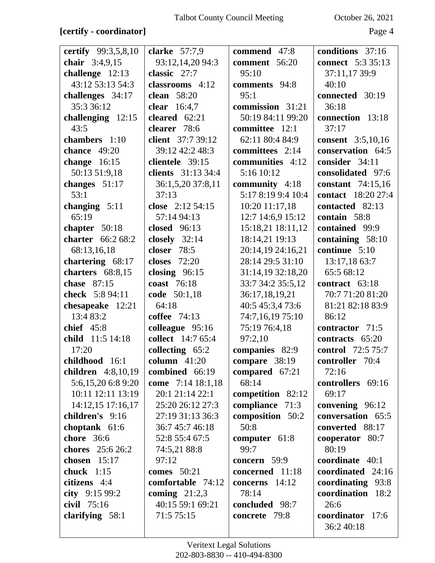#### **[certify - coordinator]** Page 4

| certify 99:3,5,8,10 | clarke $57:7,9$     | commend 47:8       | conditions 37:16          |
|---------------------|---------------------|--------------------|---------------------------|
| chair 3:4,9,15      | 93:12,14,20 94:3    | comment 56:20      | <b>connect</b> 5:3 35:13  |
| challenge 12:13     | classic 27:7        | 95:10              | 37:11,17 39:9             |
| 43:12 53:13 54:3    | classrooms 4:12     | comments 94:8      | 40:10                     |
| challenges 34:17    | clean 58:20         | 95:1               | connected 30:19           |
| 35:3 36:12          | clear 16:4,7        | commission 31:21   | 36:18                     |
| challenging 12:15   | cleared $62:21$     | 50:19 84:11 99:20  | connection 13:18          |
| 43:5                | clearer 78:6        | committee 12:1     | 37:17                     |
| chambers 1:10       | client 37:7 39:12   | 62:11 80:4 84:9    | <b>consent</b> 3:5,10,16  |
| <b>chance</b> 49:20 | 39:12 42:2 48:3     | committees 2:14    | conservation 64:5         |
| change $16:15$      | clientele 39:15     | communities 4:12   | consider 34:11            |
| 50:13 51:9,18       | clients 31:13 34:4  | 5:16 10:12         | consolidated 97:6         |
| changes $51:17$     | 36:1,5,20 37:8,11   | community $4:18$   | constant 74:15,16         |
| 53:1                | 37:13               | 5:17 8:19 9:4 10:4 | <b>contact</b> 18:20 27:4 |
| changing 5:11       | close 2:12 54:15    | 10:20 11:17,18     | contacted 82:13           |
| 65:19               | 57:14 94:13         | 12:7 14:6,9 15:12  | contain 58:8              |
| chapter 50:18       | closed 96:13        | 15:18,21 18:11,12  | contained 99:9            |
| charter 66:2 68:2   | closely $32:14$     | 18:14,21 19:13     | containing 58:10          |
| 68:13,16,18         | closer 78:5         | 20:14,19 24:16,21  | continue 5:10             |
| chartering 68:17    | <b>closes</b> 72:20 | 28:14 29:5 31:10   | 13:17,18 63:7             |
| charters 68:8,15    | closing $96:15$     | 31:14,19 32:18,20  | 65:5 68:12                |
| chase 87:15         | coast 76:18         | 33:7 34:2 35:5,12  | contract 63:18            |
| check 5:8 94:11     | code 50:1,18        | 36:17,18,19,21     | 70:7 71:20 81:20          |
| chesapeake 12:21    | 64:18               | 40:5 45:3,4 73:6   | 81:21 82:18 83:9          |
| 13:4 83:2           | coffee 74:13        | 74:7,16,19 75:10   | 86:12                     |
| chief $45:8$        | colleague 95:16     | 75:19 76:4,18      | contractor 71:5           |
| child 11:5 14:18    | collect 14:7 65:4   | 97:2,10            | contracts 65:20           |
| 17:20               | collecting $65:2$   | companies 82:9     | control 72:5 75:7         |
| childhood 16:1      | column $41:20$      | compare 38:19      | controller 70:4           |
| children 4:8,10,19  | combined 66:19      | compared 67:21     | 72:16                     |
| 5:6,15,20 6:8 9:20  | come 7:14 18:1,18   | 68:14              | controllers 69:16         |
| 10:11 12:11 13:19   | 20:1 21:14 22:1     | competition 82:12  | 69:17                     |
| 14:12,15 17:16,17   | 25:20 26:12 27:3    | compliance 71:3    | convening 96:12           |
| children's 9:16     | 27:19 31:13 36:3    | composition 50:2   | conversation 65:5         |
| choptank $61:6$     | 36:7 45:7 46:18     | 50:8               | converted 88:17           |
| chore 36:6          | 52:8 55:4 67:5      | computer $61:8$    | cooperator 80:7           |
| chores 25:6 26:2    | 74:5,21 88:8        | 99:7               | 80:19                     |
| chosen $15:17$      | 97:12               | concern 59:9       | coordinate 40:1           |
| chuck $1:15$        | <b>comes</b> 50:21  | concerned 11:18    | coordinated 24:16         |
| citizens 4:4        | comfortable 74:12   | concerns 14:12     | coordinating 93:8         |
| city $9:1599:2$     | coming $21:2,3$     | 78:14              | coordination 18:2         |
| civil $75:16$       | 40:15 59:1 69:21    | concluded 98:7     | 26:6                      |
| clarifying $58:1$   | 71:5 75:15          | concrete 79:8      | coordinator 17:6          |
|                     |                     |                    | 36:2 40:18                |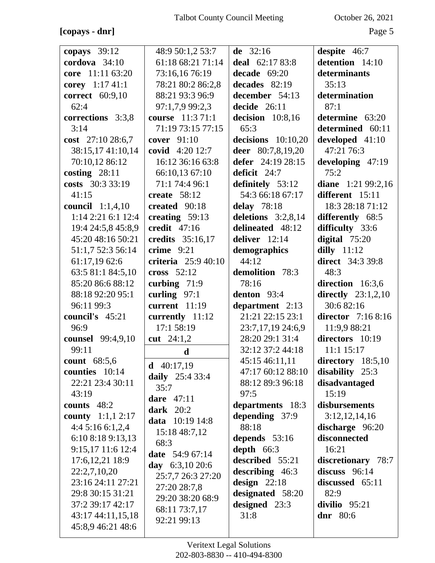**[copays - dnr]** Page 5

| copays $39:12$                         | 48:9 50:1,2 53:7           | de $32:16$           | despite 46:7              |
|----------------------------------------|----------------------------|----------------------|---------------------------|
| cordova $34:10$                        | 61:18 68:21 71:14          | deal 62:17 83:8      | detention 14:10           |
| core 11:11 63:20                       | 73:16,16 76:19             | decade $69:20$       | determinants              |
| corey 1:17 41:1                        | 78:21 80:2 86:2,8          | decades 82:19        | 35:13                     |
| correct 60:9,10                        | 88:21 93:3 96:9            | december 54:13       | determination             |
| 62:4                                   | 97:1,7,9 99:2,3            | decide $26:11$       | 87:1                      |
| corrections 3:3,8                      | course 11:3 71:1           | decision $10:8,16$   | determine 63:20           |
| 3:14                                   | 71:19 73:15 77:15          | 65:3                 | determined 60:11          |
| cost 27:10 28:6,7                      | cover 91:10                | decisions $10:10,20$ | developed $41:10$         |
| 38:15,17 41:10,14                      | covid 4:20 12:7            | deer 80:7,8,19,20    | 47:21 76:3                |
| 70:10,12 86:12                         | 16:12 36:16 63:8           | defer 24:19 28:15    | developing 47:19          |
| costing $28:11$                        | 66:10,13 67:10             | deficit 24:7         | 75:2                      |
| costs 30:3 33:19                       | 71:1 74:4 96:1             | definitely 53:12     | diane $1:2199:2,16$       |
| 41:15                                  | create $58:12$             | 54:3 66:18 67:17     | different 15:11           |
| council $1:1,4,10$                     | created 90:18              | delay $78:18$        | 18:3 28:18 71:12          |
| 1:14 2:21 6:1 12:4                     | creating 59:13             | deletions $3:2,8,14$ | differently 68:5          |
| 19:4 24:5,8 45:8,9                     | credit $47:16$             | delineated 48:12     | difficulty 33:6           |
| 45:20 48:16 50:21                      | credits 35:16,17           | deliver $12:14$      | digital $75:20$           |
| 51:1,7 52:3 56:14                      | crime $9:21$               | demographics         | dilly $11:12$             |
| 61:17,19 62:6                          | <b>criteria</b> 25:9 40:10 | 44:12                | <b>direct</b> 34:3 39:8   |
| 63:5 81:1 84:5,10                      | cross $52:12$              | demolition 78:3      | 48:3                      |
| 85:20 86:6 88:12                       | curbing $71:9$             | 78:16                | direction 16:3,6          |
| 88:18 92:20 95:1                       | curling $97:1$             | denton 93:4          | directly $23:1,2,10$      |
| 96:11 99:3                             | current $11:19$            | department 2:13      | 30:682:16                 |
| council's 45:21                        | currently 11:12            | 21:21 22:15 23:1     | <b>director</b> 7:16 8:16 |
| 96:9                                   | 17:1 58:19                 | 23:7,17,19 24:6,9    | 11:9,9 88:21              |
| counsel 99:4,9,10                      | cut $24:1,2$               | 28:20 29:1 31:4      | directors 10:19           |
| 99:11                                  | d                          | 32:12 37:2 44:18     | $11:1$ $15:17$            |
| count 68:5,6                           | $d$ 40:17,19               | 45:15 46:11,11       | directory $18:5,10$       |
| counties 10:14                         | <b>daily</b> 25:4 33:4     | 47:17 60:12 88:10    | disability 25:3           |
| 22:21 23:4 30:11                       | 35:7                       | 88:12 89:3 96:18     | disadvantaged             |
| 43:19                                  | dare $47:11$               | 97:5                 | 15:19                     |
| counts 48:2                            | dark $20:2$                | departments 18:3     | disbursements             |
| <b>county</b> $1:1,1,2:17$             | <b>data</b> 10:19 14:8     | depending 37:9       | 3:12,12,14,16             |
| 4:45:166:1,2,4                         | 15:18 48:7,12              | 88:18                | discharge 96:20           |
| 6:10 8:18 9:13,13                      | 68:3                       | depends $53:16$      | disconnected              |
| 9:15,17 11:6 12:4                      | <b>date</b> 54:9 67:14     | depth $66:3$         | 16:21                     |
| 17:6, 12, 21 18:9                      | day $6:3,1020:6$           | described 55:21      | discretionary 78:7        |
| 22:2,7,10,20                           | 25:7,7 26:3 27:20          | describing 46:3      | discuss 96:14             |
| 23:16 24:11 27:21                      | 27:20 28:7,8               | design $22:18$       | discussed 65:11           |
| 29:8 30:15 31:21                       | 29:20 38:20 68:9           | designated 58:20     | 82:9                      |
| 37:2 39:17 42:17                       | 68:11 73:7,17              | designed 23:3        | divilio 95:21             |
| 43:17 44:11,15,18<br>45:8,9 46:21 48:6 | 92:21 99:13                | 31:8                 | dnr $80:6$                |
|                                        |                            |                      |                           |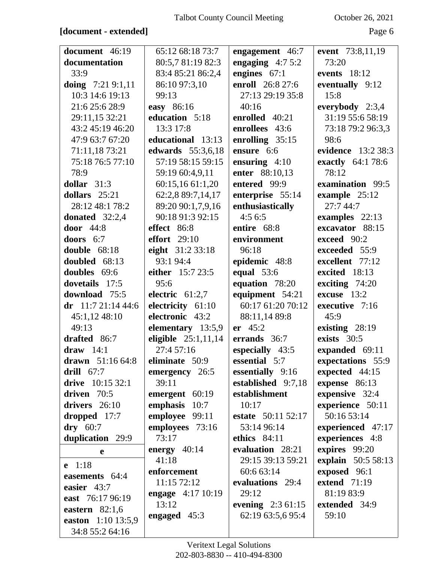#### **[document - extended]** Page 6

| document 46:19      | 65:12 68:18 73:7      | engagement 46:7    | event 73:8,11,19    |
|---------------------|-----------------------|--------------------|---------------------|
| documentation       | 80:5,7 81:19 82:3     | engaging $4:75:2$  | 73:20               |
| 33:9                | 83:4 85:21 86:2,4     | engines $67:1$     | events 18:12        |
| doing $7:219:1,11$  | 86:10 97:3,10         | enroll 26:8 27:6   | eventually 9:12     |
| 10:3 14:6 19:13     | 99:13                 | 27:13 29:19 35:8   | 15:8                |
| 21:6 25:6 28:9      | easy 86:16            | 40:16              | everybody $2:3,4$   |
| 29:11,15 32:21      | education 5:18        | enrolled 40:21     | 31:19 55:6 58:19    |
| 43:2 45:19 46:20    | 13:3 17:8             | enrollees 43:6     | 73:18 79:2 96:3,3   |
| 47:9 63:7 67:20     | educational 13:13     | enrolling $35:15$  | 98:6                |
| 71:11,18 73:21      | edwards 55:3,6,18     | ensure 6:6         | evidence 13:2 38:3  |
| 75:18 76:5 77:10    | 57:19 58:15 59:15     | ensuring $4:10$    | exactly 64:1 78:6   |
| 78:9                | 59:19 60:4,9,11       | enter 88:10,13     | 78:12               |
| dollar $31:3$       | 60:15,16 61:1,20      | entered 99:9       | examination 99:5    |
| dollars $25:21$     | 62:2,8 89:7,14,17     | enterprise 55:14   | example 25:12       |
| 28:12 48:1 78:2     | 89:20 90:1,7,9,16     | enthusiastically   | 27:7 44:7           |
| donated $32:2,4$    | 90:18 91:3 92:15      | 4:56:5             | examples $22:13$    |
| door $44:8$         | effect 86:8           | entire 68:8        | excavator 88:15     |
| doors $6:7$         | effort $29:10$        | environment        | exceed 90:2         |
| double 68:18        | eight 31:2 33:18      | 96:18              | exceeded 55:9       |
| doubled 68:13       | 93:1 94:4             | epidemic 48:8      | excellent 77:12     |
| doubles 69:6        | either 15:7 23:5      | equal $53:6$       | excited 18:13       |
| dovetails 17:5      | 95:6                  | equation 78:20     | exciting $74:20$    |
| download 75:5       | electric $61:2,7$     | equipment 54:21    | excuse $13:2$       |
| dr 11:7 21:14 44:6  | electricity 61:10     | 60:17 61:20 70:12  | executive 7:16      |
| 45:1,12 48:10       | electronic 43:2       | 88:11,14 89:8      | 45:9                |
| 49:13               | elementary 13:5,9     | er 45:2            | existing 28:19      |
| drafted 86:7        | eligible $25:1,11,14$ | errands 36:7       | exists $30:5$       |
| draw $14:1$         | 27:4 57:16            | especially 43:5    | expanded 69:11      |
| drawn 51:16 64:8    | eliminate 50:9        | essential 5:7      | expectations 55:9   |
| drill $67:7$        | emergency 26:5        | essentially 9:16   | expected 44:15      |
| drive 10:15 32:1    | 39:11                 | established 9:7,18 | expense $86:13$     |
| driven $70:5$       | emergent 60:19        | establishment      | expensive 32:4      |
| drivers $26:10$     | emphasis 10:7         | 10:17              | experience 50:11    |
| dropped $17:7$      | employee 99:11        | estate 50:11 52:17 | 50:16 53:14         |
| $\mathbf{drv}$ 60:7 | employees 73:16       | 53:14 96:14        | experienced 47:17   |
| duplication 29:9    | 73:17                 | ethics 84:11       | experiences 4:8     |
| e                   | energy $40:14$        | evaluation 28:21   | expires 99:20       |
| e 1:18              | 41:18                 | 29:15 39:13 59:21  | explain 50:5 58:13  |
| easements 64:4      | enforcement           | 60:6 63:14         | exposed 96:1        |
| easier 43:7         | 11:15 72:12           | evaluations 29:4   | <b>extend</b> 71:19 |
| east 76:17 96:19    | engage $4:17$ 10:19   | 29:12              | 81:19 83:9          |
| eastern $82:1,6$    | 13:12                 | evening $2:361:15$ | extended 34:9       |
| easton 1:10 13:5,9  | engaged $45:3$        | 62:19 63:5,6 95:4  | 59:10               |
| 34:8 55:2 64:16     |                       |                    |                     |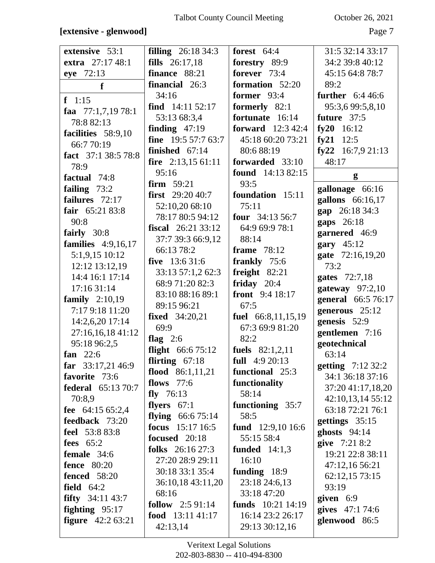#### **[extensive - glenwood]** Page 7

| extensive 53:1             | <b>filling</b> 26:18 34:3  | forest $64:4$            | 31:5 32:14 33:17   |
|----------------------------|----------------------------|--------------------------|--------------------|
| extra 27:17 48:1           | <b>fills</b> $26:17,18$    | forestry 89:9            | 34:2 39:8 40:12    |
| eye 72:13                  | finance 88:21              | forever 73:4             | 45:15 64:8 78:7    |
|                            | financial 26:3             | formation 52:20          | 89:2               |
| $\mathbf f$                | 34:16                      | former $93:4$            | further $6:446:6$  |
| $f \quad 1:15$             |                            |                          |                    |
| faa $77:1,7,1978:1$        | find $14:11\ 52:17$        | formerly 82:1            | 95:3,6 99:5,8,10   |
| 78:882:13                  | 53:13 68:3,4               | fortunate 16:14          | future 37:5        |
| facilities 58:9,10         | finding $47:19$            | <b>forward</b> 12:3 42:4 | fy20 $16:12$       |
| 66:7 70:19                 | <b>fine</b> $19:557:763:7$ | 45:18 60:20 73:21        | fy21 $12:5$        |
| fact 37:1 38:5 78:8        | finished $67:14$           | 80:688:19                | fy22 $16:7,921:13$ |
| 78:9                       | fire $2:13,1561:11$        | forwarded 33:10          | 48:17              |
| factual 74:8               | 95:16                      | <b>found</b> 14:13 82:15 | g                  |
| failing $73:2$             | <b>firm</b> $59:21$        | 93:5                     | gallonage 66:16    |
| failures 72:17             | first $29:2040:7$          | foundation 15:11         | gallons 66:16,17   |
| fair $65:2183:8$           | 52:10,20 68:10             | 75:11                    | gap 26:18 34:3     |
| 90:8                       | 78:17 80:5 94:12           | four $34:13\,56:7$       |                    |
|                            | <b>fiscal</b> $26:2133:12$ | 64:9 69:9 78:1           | gaps 26:18         |
| fairly 30:8                | 37:7 39:3 66:9,12          | 88:14                    | garnered 46:9      |
| families $4:9,16,17$       | 66:13 78:2                 | frame $78:12$            | gary $45:12$       |
| 5:1,9,15 10:12             | five $13:631:6$            | frankly 75:6             | gate 72:16,19,20   |
| 12:12 13:12,19             | 33:13 57:1,2 62:3          | freight $82:21$          | 73:2               |
| 14:4 16:1 17:14            | 68:9 71:20 82:3            | friday $20:4$            | gates 72:7,18      |
| 17:16 31:14                | 83:10 88:16 89:1           | <b>front</b> $9:4 18:17$ | gateway $97:2,10$  |
| family $2:10,19$           | 89:15 96:21                | 67:5                     | general 66:5 76:17 |
| 7:17 9:18 11:20            | <b>fixed</b> 34:20,21      | fuel 66:8,11,15,19       | generous 25:12     |
| 14:2,6,20 17:14            | 69:9                       | 67:3 69:9 81:20          | genesis 52:9       |
| 27:16,16,18 41:12          | flag $2:6$                 | 82:2                     | gentlemen 7:16     |
| 95:18 96:2,5               |                            |                          | geotechnical       |
| fan $22:6$                 | flight $66:675:12$         | fuels $82:1,2,11$        | 63:14              |
| far $33:17,2146:9$         | flirting $67:18$           | full $4:920:13$          | getting 7:12 32:2  |
| favorite 73:6              | flood $86:1,11,21$         | functional 25:3          | 34:1 36:18 37:16   |
| federal 65:13 70:7         | flows $77:6$               | functionality            | 37:20 41:17,18,20  |
| 70:8,9                     | fly $76:13$                | 58:14                    | 42:10,13,14 55:12  |
| fee $64:1565:2,4$          | flyers $67:1$              | functioning 35:7         | 63:18 72:21 76:1   |
| feedback 73:20             | flying $66:675:14$         | 58:5                     | gettings $35:15$   |
| feel 53:8 83:8             | focus $15:17$ 16:5         | fund 12:9,10 16:6        | ghosts $94:14$     |
| fees $65:2$                | focused 20:18              | 55:15 58:4               | give 7:21 8:2      |
| female $34:6$              | folks $26:16\,27:3$        | funded $14:1,3$          | 19:21 22:8 38:11   |
| <b>fence</b> 80:20         | 27:20 28:9 29:11           | 16:10                    | 47:12,16 56:21     |
| <b>fenced</b> 58:20        | 30:18 33:1 35:4            | funding $18:9$           | 62:12,15 73:15     |
| field $64:2$               | 36:10,18 43:11,20          | 23:18 24:6,13            | 93:19              |
|                            | 68:16                      | 33:18 47:20              |                    |
| <b>fifty</b> $34:11\,43:7$ | <b>follow</b> $2:591:14$   | funds $10:21$ 14:19      | given $6:9$        |
| fighting $95:17$           | food $13:1141:17$          | 16:14 23:2 26:17         | gives 47:1 74:6    |
| <b>figure</b> $42:263:21$  | 42:13,14                   | 29:13 30:12,16           | glenwood 86:5      |
|                            |                            |                          |                    |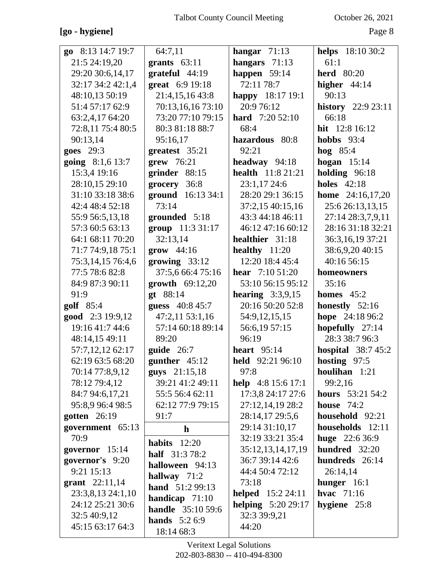#### **[go - hygiene]** Page 8

| go 8:13 14:7 19:7 | 64:7,11                  | hangar $71:13$            | <b>helps</b> 18:10 30:2   |
|-------------------|--------------------------|---------------------------|---------------------------|
| 21:5 24:19,20     | grants $63:11$           | hangars 71:13             | 61:1                      |
| 29:20 30:6,14,17  | grateful 44:19           | happen $59:14$            | <b>herd</b> 80:20         |
| 32:17 34:2 42:1,4 | great 6:9 19:18          | 72:11 78:7                | higher $44:14$            |
| 48:10,13 50:19    | 21:4,15,16 43:8          | happy 18:17 19:1          | 90:13                     |
| 51:4 57:17 62:9   | 70:13,16,16 73:10        | 20:9 76:12                | <b>history</b> 22:9 23:11 |
| 63:2,4,17 64:20   | 73:20 77:10 79:15        | <b>hard</b> 7:20 52:10    | 66:18                     |
| 72:8,11 75:4 80:5 | 80:3 81:18 88:7          | 68:4                      | hit 12:8 16:12            |
| 90:13,14          | 95:16,17                 | hazardous 80:8            | <b>hobbs</b> 93:4         |
| goes 29:3         | greatest 35:21           | 92:21                     | hog $85:4$                |
| going 8:1,6 13:7  | $\textbf{grew}$ 76:21    | headway 94:18             | hogan $15:14$             |
| 15:3,4 19:16      | grinder 88:15            | <b>health</b> 11:8 21:21  | holding $96:18$           |
| 28:10,15 29:10    | grocery 36:8             | 23:1,17 24:6              | <b>holes</b> 42:18        |
| 31:10 33:18 38:6  | ground 16:13 34:1        | 28:20 29:1 36:15          | <b>home</b> 24:16,17,20   |
| 42:4 48:4 52:18   | 73:14                    | 37:2,15 40:15,16          | 25:6 26:13,13,15          |
| 55:9 56:5,13,18   | grounded 5:18            | 43:3 44:18 46:11          | 27:14 28:3,7,9,11         |
| 57:3 60:5 63:13   | group 11:3 31:17         | 46:12 47:16 60:12         | 28:16 31:18 32:21         |
| 64:1 68:11 70:20  | 32:13,14                 | healthier 31:18           | 36:3,16,19 37:21          |
| 71:7 74:9,18 75:1 | $grow$ 44:16             | healthy $11:20$           | 38:6,9,20 40:15           |
| 75:3,14,15 76:4,6 | growing 33:12            | 12:20 18:4 45:4           | 40:16 56:15               |
| 77:5 78:6 82:8    | 37:5,6 66:4 75:16        | <b>hear</b> $7:1051:20$   | homeowners                |
| 84:9 87:3 90:11   | growth 69:12,20          | 53:10 56:15 95:12         | 35:16                     |
| 91:9              | gt 88:14                 | hearing $3:3,9,15$        | homes $45:2$              |
| golf 85:4         | guess 40:8 45:7          | 20:16 50:20 52:8          | honestly $52:16$          |
| good 2:3 19:9,12  | 47:2,11 53:1,16          | 54:9, 12, 15, 15          | hope 24:18 96:2           |
| 19:16 41:7 44:6   | 57:14 60:18 89:14        | 56:6,19 57:15             | hopefully 27:14           |
| 48:14,15 49:11    | 89:20                    | 96:19                     | 28:3 38:7 96:3            |
| 57:7,12,12 62:17  | guide $26:7$             | heart $95:14$             | hospital $38:745:2$       |
| 62:19 63:5 68:20  | gunther $45:12$          | held 92:21 96:10          | hosting 97:5              |
| 70:14 77:8,9,12   | guys 21:15,18            | 97:8                      | houlihan $1:21$           |
| 78:12 79:4,12     | 39:21 41:2 49:11         | help $4:8 15:6 17:1$      | 99:2,16                   |
| 84:7 94:6,17,21   | 55:5 56:4 62:11          | 17:3,8 24:17 27:6         | hours 53:21 54:2          |
| 95:8,9 96:4 98:5  | 62:12 77:9 79:15         | 27:12,14,19 28:2          | house $74:2$              |
| gotten $26:19$    | 91:7                     | 28:14,17 29:5,6           | household 92:21           |
| government 65:13  | $\mathbf{h}$             | 29:14 31:10,17            | households 12:11          |
| 70:9              | habits $12:20$           | 32:19 33:21 35:4          | huge $22:636:9$           |
| governor 15:14    | <b>half</b> $31:378:2$   | 35:12,13,14,17,19         | hundred 32:20             |
| governor's 9:20   | halloween 94:13          | 36:7 39:14 42:6           | hundreds 26:14            |
| 9:21 15:13        | hallway $71:2$           | 44:4 50:4 72:12           | 26:14,14                  |
| grant $22:11,14$  | hand 51:2 99:13          | 73:18                     | hunger $16:1$             |
| 23:3,8,13 24:1,10 | handicap $71:10$         | <b>helped</b> 15:2 24:11  | hvac $71:16$              |
| 24:12 25:21 30:6  | <b>handle</b> 35:10 59:6 | <b>helping</b> 5:20 29:17 | hygiene $25:8$            |
| 32:5 40:9,12      | <b>hands</b> $5:26:9$    | 32:3 39:9,21              |                           |
| 45:15 63:17 64:3  | 18:14 68:3               | 44:20                     |                           |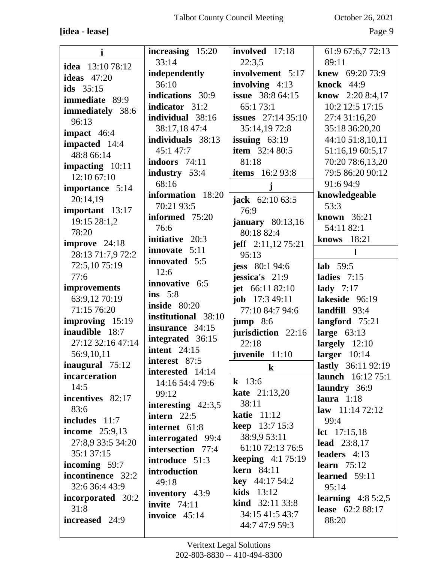| $\mathbf{i}$            | increasing 15:20     | involved 17:18            | 61:9 67:6,7 72:13        |
|-------------------------|----------------------|---------------------------|--------------------------|
|                         | 33:14                | 22:3,5                    | 89:11                    |
| idea $13:1078:12$       |                      |                           |                          |
| ideas $47:20$           | independently        | involvement 5:17          | <b>knew</b> 69:20 73:9   |
|                         | 36:10                | involving 4:13            | <b>knock</b> 44:9        |
| ids $35:15$             | indications 30:9     | <b>issue</b> 38:8 64:15   | <b>know</b> 2:20 8:4,17  |
| <b>immediate</b> 89:9   |                      |                           |                          |
| <b>immediately</b> 38:6 | indicator 31:2       | 65:173:1                  | 10:2 12:5 17:15          |
|                         | individual 38:16     | issues $27:1435:10$       | 27:4 31:16,20            |
| 96:13                   | 38:17,18 47:4        | 35:14,1972:8              | 35:18 36:20,20           |
| impact $46:4$           |                      |                           |                          |
| impacted 14:4           | individuals 38:13    | issuing $63:19$           | 44:10 51:8,10,11         |
| 48:8 66:14              | 45:1 47:7            | <b>item</b> $32:480:5$    | 51:16,19 60:5,17         |
|                         | indoors 74:11        | 81:18                     | 70:20 78:6,13,20         |
| impacting 10:11         |                      | <b>items</b> 16:2 93:8    | 79:5 86:20 90:12         |
| 12:10 67:10             | industry 53:4        |                           |                          |
| importance 5:14         | 68:16                |                           | 91:6 94:9                |
|                         | information 18:20    |                           | knowledgeable            |
| 20:14,19                | 70:21 93:5           | <b>jack</b> $62:1063:5$   | 53:3                     |
| important 13:17         |                      | 76:9                      |                          |
| 19:15 28:1,2            | informed 75:20       | january $80:13,16$        | known 36:21              |
| 78:20                   | 76:6                 |                           | 54:11 82:1               |
|                         | initiative 20:3      | 80:18 82:4                | knows 18:21              |
| improve $24:18$         | innovate 5:11        | jeff $2:11,1275:21$       |                          |
| 28:13 71:7,9 72:2       |                      | 95:13                     | 1                        |
| 72:5,1075:19            | innovated 5:5        | <b>jess</b> 80:1 94:6     | lab $59:5$               |
|                         | 12:6                 |                           |                          |
| 77:6                    | innovative 6:5       | jessica's 21:9            | ladies $7:15$            |
| improvements            |                      | jet $66:1182:10$          | lady $7:17$              |
| 63:9,12 70:19           | ins $5:8$            | <b>job</b> $17:349:11$    | lakeside 96:19           |
|                         |                      |                           |                          |
|                         | <b>inside</b> 80:20  |                           |                          |
| 71:15 76:20             | institutional 38:10  | 77:10 84:7 94:6           | landfill 93:4            |
| improving 15:19         |                      | $jump$ 8:6                | langford $75:21$         |
| inaudible 18:7          | insurance 34:15      | jurisdiction 22:16        | large $63:13$            |
| 27:12 32:16 47:14       | integrated 36:15     | 22:18                     | largely $12:10$          |
|                         | intent $24:15$       |                           |                          |
| 56:9,10,11              | interest 87:5        | juvenile 11:10            | larger $10:14$           |
| inaugural 75:12         |                      | $\bf k$                   | lastly 36:11 92:19       |
| incarceration           | interested 14:14     |                           | <b>launch</b> 16:12 75:1 |
| 14:5                    | 14:16 54:4 79:6      | <b>k</b> 13:6             | laundry 36:9             |
| incentives 82:17        | 99:12                | <b>kate</b> 21:13,20      | laura $1:18$             |
|                         | interesting $42:3,5$ | 38:11                     |                          |
| 83:6                    | intern $22:5$        | <b>katie</b> 11:12        | <b>law</b> $11:1472:12$  |
| includes $11:7$         |                      | <b>keep</b> 13:7 15:3     | 99:4                     |
| <b>income</b> 25:9,13   | internet 61:8        |                           | <b>lct</b> $17:15,18$    |
| 27:8,9 33:5 34:20       | interrogated 99:4    | 38:9,9 53:11              | lead $23:8,17$           |
| 35:1 37:15              | intersection 77:4    | 61:10 72:13 76:5          |                          |
|                         | introduce 51:3       | <b>keeping</b> $4:175:19$ | leaders 4:13             |
| incoming 59:7           | introduction         | <b>kern</b> 84:11         | learn $75:12$            |
| incontinence 32:2       |                      |                           | learned $59:11$          |
| 32:6 36:4 43:9          | 49:18                | <b>key</b> 44:17 54:2     | 95:14                    |
| incorporated 30:2       | inventory 43:9       | kids $13:12$              |                          |
|                         | invite $74:11$       | <b>kind</b> $32:1133:8$   | learning $4:85:2,5$      |
| 31:8                    | invoice 45:14        | 34:15 41:5 43:7           | <b>lease</b> 62:2 88:17  |
| increased 24:9          |                      | 44:7 47:9 59:3            | 88:20                    |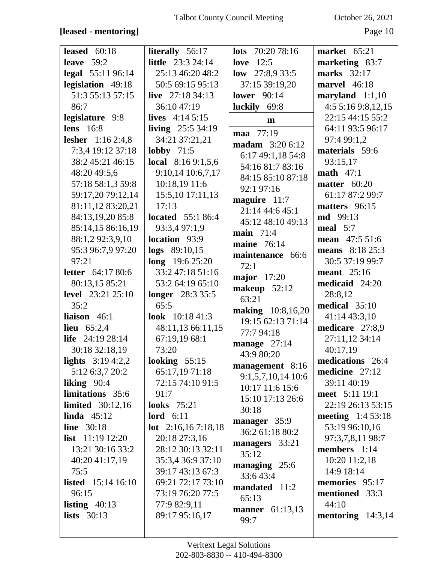#### **[leased - mentoring]** Page 10

| leased $60:18$              | <b>literally</b> 56:17      | <b>lots</b> $70:2078:16$ | market $65:21$      |
|-----------------------------|-----------------------------|--------------------------|---------------------|
| leave $59:2$                | <b>little</b> 23:3 24:14    | love $12:5$              | marketing 83:7      |
| legal 55:11 96:14           | 25:13 46:20 48:2            | low $27:8,933:5$         | marks 32:17         |
| legislation 49:18           | 50:5 69:15 95:13            | 37:15 39:19,20           | marvel $46:18$      |
| 51:3 55:13 57:15            | live $27:1834:13$           | <b>lower</b> 90:14       | maryland $1:1,10$   |
| 86:7                        | 36:10 47:19                 | luckily 69:8             | 4:5 5:16 9:8,12,15  |
| legislature 9:8             | lives $4:145:15$            | $\mathbf{m}$             | 22:15 44:15 55:2    |
| lens $16:8$                 | living $25:534:19$          | maa 77:19                | 64:11 93:5 96:17    |
| <b>lesher</b> 1:16 2:4,8    | 34:21 37:21,21              | <b>madam</b> 3:20 6:12   | 97:4 99:1,2         |
| 7:3,4 19:12 37:18           | lobby $71:5$                | 6:17 49:1,18 54:8        | materials 59:6      |
| 38:2 45:21 46:15            | local $8:169:1,5,6$         | 54:16 81:7 83:16         | 93:15,17            |
| 48:20 49:5,6                | 9:10,14 10:6,7,17           | 84:15 85:10 87:18        | math $47:1$         |
| 57:18 58:1,3 59:8           | 10:18,19 11:6               | 92:1 97:16               | matter $60:20$      |
| 59:17,20 79:12,14           | 15:5,10 17:11,13            | maguire $11:7$           | 61:17 87:2 99:7     |
| 81:11,12 83:20,21           | 17:13                       | 21:14 44:6 45:1          | matters 96:15       |
| 84:13,19,20 85:8            | <b>located</b> 55:1 86:4    | 45:12 48:10 49:13        | <b>md</b> 99:13     |
| 85:14,15 86:16,19           | 93:3,4 97:1,9               | main 71:4                | meal $5:7$          |
| 88:1,2 92:3,9,10            | <b>location</b> 93:9        | <b>maine</b> 76:14       | mean $47:551:6$     |
| 95:3 96:7,9 97:20           | $\log s$ 89:10,15           | maintenance 66:6         | means 8:18 25:3     |
| 97:21                       | $long$ 19:6 25:20           | 72:1                     | 30:5 37:19 99:7     |
| <b>letter</b> 64:17 80:6    | 33:2 47:18 51:16            | <b>major</b> 17:20       | <b>meant</b> 25:16  |
| 80:13,15 85:21              | 53:2 64:19 65:10            | makeup $52:12$           | medicaid 24:20      |
| <b>level</b> 23:21 25:10    | longer 28:3 35:5            | 63:21                    | 28:8,12             |
| 35:2                        | 65:5                        | <b>making</b> 10:8,16,20 | medical $35:10$     |
| liaison $46:1$              | look 10:18 41:3             | 19:15 62:13 71:14        | 41:14 43:3,10       |
| <b>lieu</b> $65:2,4$        | 48:11,13 66:11,15           | 77:7 94:18               | medicare 27:8,9     |
| life $24:1928:14$           | 67:19,19 68:1               | manage $27:14$           | 27:11,12 34:14      |
| 30:18 32:18,19              | 73:20                       | 43:9 80:20               | 40:17,19            |
| lights $3:194:2,2$          | looking $55:15$             | management 8:16          | medications 26:4    |
| 5:12 6:3,7 20:2             | 65:17,1971:18               | 9:1,5,7,10,14 10:6       | medicine 27:12      |
| liking $90:4$               | 72:15 74:10 91:5            | 10:17 11:6 15:6          | 39:11 40:19         |
| limitations 35:6            | 91:7                        | 15:10 17:13 26:6         | meet 5:11 19:1      |
| <b>limited</b> 30:12,16     | looks $75:21$               | 30:18                    | 22:19 26:13 53:15   |
| linda $45:12$               | lord $6:11$                 | manager 35:9             | meeting $1:453:18$  |
| line $30:18$                | <b>lot</b> $2:16,167:18,18$ | 36:2 61:18 80:2          | 53:19 96:10.16      |
| list $11:19$ 12:20          | 20:18 27:3,16               | managers 33:21           | 97:3,7,8,11 98:7    |
| 13:21 30:16 33:2            | 28:12 30:13 32:11           | 35:12                    | members $1:14$      |
| 40:20 41:17,19              | 35:3,4 36:9 37:10           | managing $25:6$          | $10:20$ 11:2,18     |
| 75:5                        | 39:17 43:13 67:3            | 33:643:4                 | 14:9 18:14          |
| <b>listed</b> $15:14$ 16:10 | 69:21 72:17 73:10           | mandated 11:2            | memories 95:17      |
| 96:15                       | 73:19 76:20 77:5            | 65:13                    | mentioned 33:3      |
| listing $40:13$             | 77:9 82:9,11                | <b>manner</b> 61:13,13   | 44:10               |
| lists $30:13$               | 89:17 95:16,17              | 99:7                     | mentoring $14:3,14$ |
|                             |                             |                          |                     |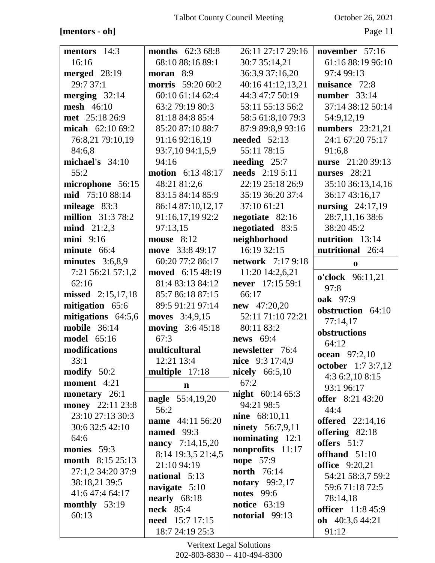# **[mentors - oh]** Page 11

| mentors 14:3             | <b>months</b> $62:368:8$                  | 26:11 27:17 29:16        | november $57:16$          |
|--------------------------|-------------------------------------------|--------------------------|---------------------------|
| 16:16                    | 68:10 88:16 89:1                          | 30:7 35:14,21            | 61:16 88:19 96:10         |
| merged 28:19             | moran 8:9                                 | 36:3,9 37:16,20          | 97:4 99:13                |
| 29:7 37:1                | <b>morris</b> 59:20 60:2                  | 40:16 41:12,13,21        | nuisance 72:8             |
| merging $32:14$          | 60:10 61:14 62:4                          | 44:3 47:7 50:19          | number $33:14$            |
| mesh 46:10               | 63:2 79:19 80:3                           | 53:11 55:13 56:2         | 37:14 38:12 50:14         |
| met 25:18 26:9           | 81:18 84:8 85:4                           | 58:5 61:8,10 79:3        | 54:9,12,19                |
| micah $62:1069:2$        | 85:20 87:10 88:7                          | 87:9 89:8,9 93:16        | <b>numbers</b> 23:21,21   |
| 76:8,21 79:10,19         | 91:16 92:16,19                            | needed $52:13$           | 24:1 67:20 75:17          |
| 84:6,8                   | 93:7,10 94:1,5,9                          | 55:11 78:15              | 91:6,8                    |
| michael's $34:10$        | 94:16                                     | needing $25:7$           | nurse 21:20 39:13         |
| 55:2                     | motion 6:13 48:17                         | <b>needs</b> 2:19 5:11   | nurses $28:21$            |
| microphone 56:15         | 48:21 81:2,6                              | 22:19 25:18 26:9         | 35:10 36:13,14,16         |
| mid 75:10 88:14          | 83:15 84:14 85:9                          | 35:19 36:20 37:4         | 36:17 43:16,17            |
| mileage 83:3             | 86:14 87:10,12,17                         | 37:10 61:21              | nursing 24:17,19          |
| <b>million</b> 31:3 78:2 | 91:16,17,19 92:2                          | negotiate 82:16          | 28:7,11,16 38:6           |
| <b>mind</b> $21:2,3$     | 97:13,15                                  | negotiated 83:5          | 38:20 45:2                |
| $mini$ 9:16              | mouse 8:12                                | neighborhood             | nutrition 13:14           |
| minute 66:4              | move 33:8 49:17                           | 16:19 32:15              | nutritional 26:4          |
| minutes $3:6,8,9$        | 60:20 77:2 86:17                          | <b>network</b> 7:17 9:18 | $\bf{0}$                  |
| 7:21 56:21 57:1,2        | moved 6:15 48:19                          | 11:20 14:2,6,21          |                           |
| 62:16                    | 81:4 83:13 84:12                          | never 17:15 59:1         | o'clock 96:11,21          |
| missed 2:15,17,18        | 85:7 86:18 87:15                          | 66:17                    | 97:8                      |
| mitigation 65:6          | 89:5 91:21 97:14                          | $new$ 47:20,20           | oak 97:9                  |
| mitigations 64:5,6       | moves 3:4,9,15                            | 52:11 71:10 72:21        | obstruction 64:10         |
| <b>mobile</b> 36:14      | <b>moving</b> 3:6 45:18                   | 80:11 83:2               | 77:14,17                  |
| model 65:16              | 67:3                                      | <b>news</b> 69:4         | obstructions              |
| modifications            | multicultural                             | newsletter 76:4          | 64:12                     |
| 33:1                     | 12:21 13:4                                | nice 9:3 17:4,9          | ocean 97:2,10             |
| modify $50:2$            | multiple 17:18                            | <b>nicely</b> 66:5,10    | october 1:7 3:7,12        |
| moment 4:21              |                                           | 67:2                     | 4:3 6:2,10 8:15           |
| monetary 26:1            | $\mathbf n$                               | <b>night</b> $60:1465:3$ | 93:1 96:17                |
| money 22:11 23:8         | nagle 55:4,19,20                          | 94:21 98:5               | offer 8:21 43:20          |
| 23:10 27:13 30:3         | 56:2                                      | <b>nine</b> 68:10,11     | 44:4                      |
| 30:6 32:5 42:10          | name 44:11 56:20                          | <b>ninety</b> 56:7,9,11  | <b>offered</b> 22:14,16   |
| 64:6                     | <b>named</b> 99:3                         | nominating $12:1$        | offering 82:18            |
| monies 59:3              | nancy 7:14,15,20                          | nonprofits 11:17         | offers $51:7$             |
| <b>month</b> 8:15 25:13  | 8:14 19:3,5 21:4,5                        | <b>nope</b> 57:9         | offhand $51:10$           |
| 27:1,2 34:20 37:9        | 21:10 94:19                               | <b>north</b> 76:14       | <b>office</b> 9:20,21     |
| 38:18,21 39:5            | national 5:13                             | notary $99:2,17$         | 54:21 58:3,7 59:2         |
| 41:6 47:4 64:17          | navigate 5:10                             | <b>notes</b> 99:6        | 59:671:1872:5             |
| monthly $53:19$          | nearly $68:18$                            |                          | 78:14,18                  |
|                          |                                           |                          |                           |
|                          | neck 85:4                                 | <b>notice</b> 63:19      | <b>officer</b> 11:8 45:9  |
| 60:13                    | <b>need</b> 15:7 17:15<br>18:7 24:19 25:3 | notorial 99:13           | oh $40:3,644:21$<br>91:12 |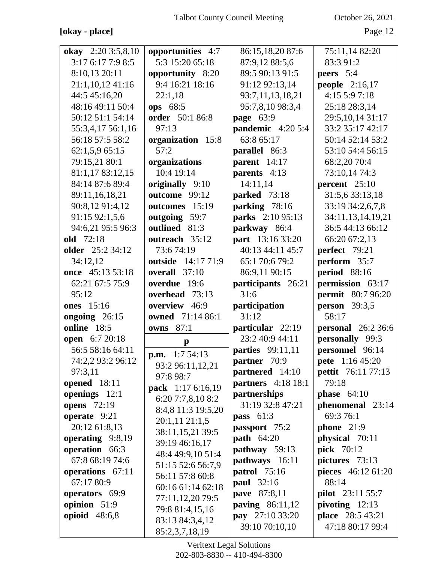# **[okay - place]** Page 12

| okay 2:20 3:5,8,10            | opportunities 4:7         | 86:15,18,20 87:6                 | 75:11,14 82:20                |
|-------------------------------|---------------------------|----------------------------------|-------------------------------|
| 3:176:177:98:5                | 5:3 15:20 65:18           | 87:9,12 88:5,6                   | 83:3 91:2                     |
| 8:10,13 20:11                 | opportunity 8:20          | 89:5 90:13 91:5                  | peers $5:4$                   |
| 21:1,10,12 41:16              | 9:4 16:21 18:16           | 91:12 92:13,14                   | people $2:16,17$              |
| 44:5 45:16,20                 | 22:1,18                   | 93:7,11,13,18,21                 | 4:15 5:9 7:18                 |
| 48:16 49:11 50:4              | ops 68:5                  | 95:7,8,10 98:3,4                 | 25:18 28:3,14                 |
| 50:12 51:1 54:14              | order 50:1 86:8           | page $63:9$                      | 29:5, 10, 14 31:17            |
| 55:3,4,17 56:1,16             | 97:13                     | pandemic 4:20 5:4                | 33:2 35:17 42:17              |
| 56:18 57:5 58:2               | organization 15:8         | 63:8 65:17                       | 50:14 52:14 53:2              |
| 62:1,5,9 65:15                | 57:2                      | parallel 86:3                    | 53:10 54:4 56:15              |
| 79:15,21 80:1                 | organizations             | parent $14:17$                   | 68:2,20 70:4                  |
| 81:1,17 83:12,15              | 10:4 19:14                | parents 4:13                     | 73:10,14 74:3                 |
| 84:14 87:6 89:4               | originally 9:10           | 14:11,14                         | percent $25:10$               |
| 89:11,16,18,21                | outcome 99:12             | parked 73:18                     | 31:5,6 33:13,18               |
| 90:8,12 91:4,12               | outcomes 15:19            | parking 78:16                    | 33:19 34:2,6,7,8              |
| 91:15 92:1,5,6                | outgoing 59:7             | parks 2:10 95:13                 | 34:11,13,14,19,21             |
| 94:6,21 95:5 96:3             | outlined 81:3             | parkway 86:4                     | 36:5 44:13 66:12              |
| old 72:18                     | outreach 35:12            | part 13:16 33:20                 | 66:20 67:2,13                 |
| <b>older</b> 25:2 34:12       | 73:674:19                 | 40:13 44:11 45:7                 | perfect 79:21                 |
| 34:12,12                      | <b>outside</b> 14:17 71:9 | 65:1 70:6 79:2                   | perform 35:7                  |
| once 45:13 53:18              | overall 37:10             | 86:9,11 90:15                    | period 88:16                  |
| 62:21 67:5 75:9               | overdue 19:6              | participants 26:21               | permission 63:17              |
| 95:12                         | overhead 73:13            | 31:6                             | <b>permit</b> 80:7 96:20      |
| <b>ones</b> 15:16             | overview 46:9             | participation                    | <b>person</b> 39:3,5          |
| ongoing $26:15$               | owned 71:14 86:1          | 31:12                            | 58:17                         |
| online 18:5                   | <b>owns</b> 87:1          | particular 22:19                 | <b>personal</b> 26:2 36:6     |
| open 6:7 20:18                | $\mathbf{p}$              | 23:2 40:9 44:11                  | personally 99:3               |
| 56:5 58:16 64:11              | 1:754:13<br>p.m.          | <b>parties</b> 99:11,11          | personnel 96:14               |
| 74:2,2 93:2 96:12             | 93:2 96:11,12,21          | partner 70:9                     | pete 1:16 45:20               |
| 97:3,11                       | 97:8 98:7                 | partnered 14:10                  | pettit 76:11 77:13            |
| opened 18:11                  | pack 1:17 6:16,19         | <b>partners</b> 4:18 18:1        | 79:18                         |
| openings 12:1                 | 6:207:7,8,108:2           | partnerships<br>31:19 32:8 47:21 | phase $64:10$                 |
| <b>opens</b> 72:19            | 8:4,8 11:3 19:5,20        |                                  | phenomenal 23:14<br>69:3 76:1 |
| operate 9:21<br>20:12 61:8,13 | 20:1,1121:1,5             | pass $61:3$<br>passport 75:2     | phone $21:9$                  |
| operating 9:8,19              | 38:11,15,21 39:5          | <b>path</b> 64:20                | physical 70:11                |
| operation 66:3                | 39:19 46:16,17            | pathway 59:13                    | pick 70:12                    |
| 67:8 68:19 74:6               | 48:4 49:9,10 51:4         | pathways 16:11                   | pictures 73:13                |
| operations 67:11              | 51:15 52:6 56:7,9         | <b>patrol</b> 75:16              | pieces 46:12 61:20            |
| 67:17 80:9                    | 56:11 57:8 60:8           | paul 32:16                       | 88:14                         |
| operators 69:9                | 60:16 61:14 62:18         | pave 87:8,11                     | <b>pilot</b> 23:11 55:7       |
| opinion 51:9                  | 77:11,12,20 79:5          | <b>paving</b> 86:11,12           | pivoting $12:13$              |
| opioid 48:6,8                 | 79:8 81:4,15,16           | pay 27:10 33:20                  | <b>place</b> 28:5 43:21       |
|                               |                           |                                  |                               |
|                               | 83:13 84:3,4,12           | 39:10 70:10,10                   | 47:18 80:17 99:4              |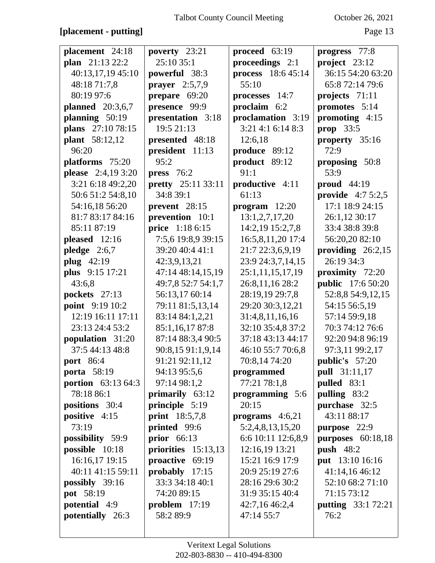#### **[placement - putting]** Page 13

| placement 24:18         | poverty 23:21             | proceed 63:19      | progress 77:8             |
|-------------------------|---------------------------|--------------------|---------------------------|
| plan 21:13 22:2         | 25:10 35:1                | proceedings 2:1    | project 23:12             |
| 40:13,17,19 45:10       | powerful 38:3             | process 18:6 45:14 | 36:15 54:20 63:20         |
| 48:18 71:7,8            | prayer $2:5,7,9$          | 55:10              | 65:8 72:14 79:6           |
| 80:19 97:6              | prepare 69:20             | processes 14:7     | projects 71:11            |
| <b>planned</b> 20:3,6,7 | presence 99:9             | proclaim 6:2       | promotes 5:14             |
| planning 50:19          | presentation 3:18         | proclamation 3:19  | promoting $4:15$          |
| plans 27:10 78:15       | 19:5 21:13                | 3:21 4:1 6:14 8:3  | prop $33:5$               |
| <b>plant</b> 58:12,12   | presented 48:18           | 12:6,18            | property 35:16            |
| 96:20                   | president 11:13           | produce 89:12      | 72:9                      |
| platforms 75:20         | 95:2                      | product 89:12      | proposing 50:8            |
| please 2:4,19 3:20      | press $76:2$              | 91:1               | 53:9                      |
| 3:21 6:18 49:2,20       | <b>pretty</b> 25:11 33:11 | productive 4:11    | proud 44:19               |
| 50:6 51:2 54:8,10       | 34:8 39:1                 | 61:13              | <b>provide</b> $4:75:2,5$ |
| 54:16,18 56:20          | prevent 28:15             | $program$ 12:20    | 17:1 18:9 24:15           |
| 81:7 83:17 84:16        | prevention 10:1           | 13:1,2,7,17,20     | 26:1,12 30:17             |
| 85:11 87:19             | price 1:18 6:15           | 14:2,19 15:2,7,8   | 33:4 38:8 39:8            |
| pleased 12:16           | 7:5,6 19:8,9 39:15        | 16:5,8,11,20 17:4  | 56:20,20 82:10            |
| pledge $2:6,7$          | 39:20 40:4 41:1           | 21:7 22:3,6,9,19   | providing $26:2,15$       |
| plug $42:19$            | 42:3,9,13,21              | 23:9 24:3,7,14,15  | 26:19 34:3                |
| plus 9:15 17:21         | 47:14 48:14,15,19         | 25:1,11,15,17,19   | proximity 72:20           |
| 43:6,8                  | 49:7,8 52:7 54:1,7        | 26:8,11,16 28:2    | <b>public</b> 17:6 50:20  |
| pockets 27:13           | 56:13,17 60:14            | 28:19,19 29:7,8    | 52:8,8 54:9,12,15         |
| point 9:19 10:2         | 79:11 81:5,13,14          | 29:20 30:3,12,21   | 54:15 56:5,19             |
| 12:19 16:11 17:11       | 83:14 84:1,2,21           | 31:4,8,11,16,16    | 57:14 59:9,18             |
| 23:13 24:4 53:2         | 85:1,16,17 87:8           | 32:10 35:4,8 37:2  | 70:3 74:12 76:6           |
| population 31:20        | 87:14 88:3,4 90:5         | 37:18 43:13 44:17  | 92:20 94:8 96:19          |
| 37:5 44:13 48:8         | 90:8,15 91:1,9,14         | 46:10 55:7 70:6,8  | 97:3,11 99:2,17           |
| <b>port</b> 86:4        | 91:21 92:11,12            | 70:8,14 74:20      | <b>public's</b> 57:20     |
| porta 58:19             | 94:13 95:5,6              | programmed         | <b>pull</b> 31:11,17      |
| portion 63:13 64:3      | 97:14 98:1,2              | 77:21 78:1,8       | pulled $83:1$             |
| 78:18 86:1              | primarily 63:12           | programming 5:6    | pulling 83:2              |
| positions 30:4          | principle 5:19            | 20:15              | purchase 32:5             |
| positive 4:15           | <b>print</b> 18:5,7,8     | programs $4:6,21$  | 43:11 88:17               |
| 73:19                   | printed 99:6              | 5:2,4,8,13,15,20   | purpose 22:9              |
| possibility 59:9        | prior $66:13$             | 6:6 10:11 12:6,8,9 | purposes $60:18,18$       |
| possible $10:18$        | priorities $15:13,13$     | 12:16,19 13:21     | push $48:2$               |
| 16:16,17 19:15          | proactive 69:19           | 15:21 16:9 17:9    | put 13:10 16:16           |
| 40:11 41:15 59:11       | probably $17:15$          | 20:9 25:19 27:6    | 41:14,1646:12             |
| possibly $39:16$        | 33:3 34:18 40:1           | 28:16 29:6 30:2    | 52:10 68:2 71:10          |
| pot 58:19               | 74:20 89:15               | 31:9 35:15 40:4    | 71:15 73:12               |
| potential 4:9           | problem $17:19$           | 42:7,16 46:2,4     | <b>putting</b> 33:1 72:21 |
| potentially 26:3        | 58:2 89:9                 | 47:14 55:7         | 76:2                      |
|                         |                           |                    |                           |
|                         |                           |                    |                           |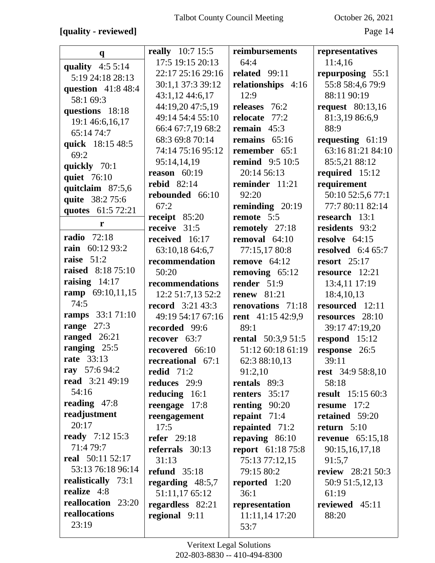# **[quality - reviewed]** Page 14

| $\mathbf{q}$                          | <b>really</b> 10:7 15:5    | reimbursements            | representatives          |
|---------------------------------------|----------------------------|---------------------------|--------------------------|
|                                       | 17:5 19:15 20:13           | 64:4                      | 11:4,16                  |
| quality $4:55:14$<br>5:19 24:18 28:13 | 22:17 25:16 29:16          | related 99:11             | repurposing 55:1         |
|                                       | 30:1,1 37:3 39:12          | relationships 4:16        | 55:8 58:4,6 79:9         |
| question 41:8 48:4                    | 43:1,12 44:6,17            | 12:9                      | 88:11 90:19              |
| 58:1 69:3                             | 44:19,20 47:5,19           | releases 76:2             | <b>request</b> 80:13,16  |
| questions 18:18                       | 49:14 54:4 55:10           | relocate 77:2             | 81:3,19 86:6,9           |
| 19:1 46:6,16,17                       | 66:4 67:7,19 68:2          | remain $45:3$             | 88:9                     |
| 65:14 74:7                            | 68:3 69:8 70:14            | remains $65:16$           | requesting $61:19$       |
| quick 18:15 48:5                      | 74:14 75:16 95:12          | remember 65:1             | 63:16 81:21 84:10        |
| 69:2                                  | 95:14,14,19                | <b>remind</b> 9:5 10:5    | 85:5,21 88:12            |
| quickly 70:1                          | reason $60:19$             | 20:14 56:13               | required 15:12           |
| quiet 76:10                           | rebid $82:14$              | reminder 11:21            | requirement              |
| quitclaim 87:5,6                      | rebounded 66:10            | 92:20                     | 50:10 52:5,6 77:1        |
| quite 38:2 75:6                       | 67:2                       | reminding $20:19$         | 77:7 80:11 82:14         |
| quotes 61:5 72:21                     | receipt 85:20              | remote 5:5                | research 13:1            |
| r                                     | receive 31:5               | remotely 27:18            | residents 93:2           |
| <b>radio</b> 72:18                    | received 16:17             | removal $64:10$           | resolve $64:15$          |
| rain 60:12 93:2                       | 63:10,18 64:6,7            | 77:15,17 80:8             | resolved $6:465:7$       |
| raise $51:2$                          | recommendation             | remove $64:12$            | resort $25:17$           |
| <b>raised</b> 8:18 75:10              | 50:20                      | removing $65:12$          | resource 12:21           |
| raising $14:17$                       | recommendations            | render $51:9$             | 13:4,11 17:19            |
| ramp 69:10,11,15                      | 12:2 51:7,13 52:2          | <b>renew</b> 81:21        | 18:4,10,13               |
| 74:5                                  | <b>record</b> $3:21\,43:3$ | renovations 71:18         | resourced 12:11          |
| ramps 33:171:10                       | 49:19 54:17 67:16          | rent 41:15 42:9,9         | resources 28:10          |
| range $27:3$                          | recorded 99:6              | 89:1                      | 39:17 47:19,20           |
| ranged 26:21                          | recover 63:7               | <b>rental</b> 50:3,9 51:5 | respond 15:12            |
| ranging 25:5                          | recovered 66:10            | 51:12 60:18 61:19         | response 26:5            |
| <b>rate</b> 33:13                     | recreational 67:1          | 62:3 88:10,13             | 39:11                    |
| ray 57:6 94:2                         | redid $71:2$               | 91:2,10                   | rest 34:9 58:8,10        |
| read 3:21 49:19                       | reduces 29:9               | rentals 89:3              | 58:18                    |
| 54:16                                 | reducing 16:1              | renters $35:17$           | <b>result</b> 15:15 60:3 |
| reading $47:8$                        | reengage 17:8              | renting 90:20             | resume 17:2              |
| readjustment                          | reengagement               | repaint $71:4$            | retained 59:20           |
| 20:17                                 | 17:5                       | repainted 71:2            | return $5:10$            |
| <b>ready</b> 7:12 15:3                | <b>refer</b> 29:18         | repaving $86:10$          | revenue $65:15,18$       |
| 71:4 79:7                             | referrals 30:13            | <b>report</b> 61:18 75:8  | 90:15,16,17,18           |
| real 50:11 52:17                      | 31:13                      | 75:13 77:12,15            | 91:5,7                   |
| 53:13 76:18 96:14                     | refund $35:18$             | 79:15 80:2                | <b>review</b> 28:21 50:3 |
| realistically 73:1                    | regarding $48:5,7$         | reported 1:20             | 50:9 51:5,12,13          |
| realize 4:8                           | 51:11,17 65:12             | 36:1                      | 61:19                    |
| reallocation 23:20                    | regardless 82:21           | representation            | reviewed 45:11           |
| reallocations                         | regional 9:11              | 11:11,14 17:20            | 88:20                    |
| 23:19                                 |                            | 53:7                      |                          |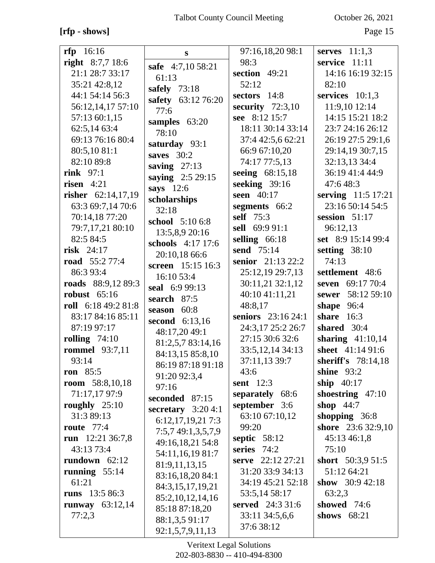# **[rfp - shows]** Page 15

| rfp 16:16              | S                        | 97:16,18,20 98:1    | serves $11:1,3$           |
|------------------------|--------------------------|---------------------|---------------------------|
| right $8:7,7$ 18:6     | safe 4:7,10 58:21        | 98:3                | service 11:11             |
| 21:1 28:7 33:17        | 61:13                    | section 49:21       | 14:16 16:19 32:15         |
| 35:21 42:8,12          | safely $73:18$           | 52:12               | 82:10                     |
| 44:1 54:14 56:3        | safety 63:12 76:20       | sectors 14:8        | services $10:1,3$         |
| 56:12,14,17 57:10      | 77:6                     | security $72:3,10$  | 11:9,10 12:14             |
| 57:13 60:1,15          | samples $63:20$          | see 8:12 15:7       | 14:15 15:21 18:2          |
| 62:5,14 63:4           | 78:10                    | 18:11 30:14 33:14   | 23:7 24:16 26:12          |
| 69:13 76:16 80:4       | saturday 93:1            | 37:4 42:5,6 62:21   | 26:19 27:5 29:1,6         |
| 80:5,10 81:1           | saves $30:2$             | 66:9 67:10,20       | 29:14,19 30:7,15          |
| 82:10 89:8             | saving $27:13$           | 74:17 77:5,13       | 32:13,13 34:4             |
| rink $97:1$            | saying 2:5 29:15         | seeing 68:15,18     | 36:19 41:4 44:9           |
| risen $4:21$           |                          | seeking $39:16$     | 47:648:3                  |
| risher 62:14,17,19     | says $12:6$              | seen 40:17          | serving 11:5 17:21        |
| 63:3 69:7,14 70:6      | scholarships             | segments 66:2       | 23:16 50:14 54:5          |
| 70:14,18 77:20         | 32:18<br>school 5:10 6:8 | self 75:3           | session $51:17$           |
| 79:7,17,21 80:10       | 13:5,8,9 20:16           | sell 69:9 91:1      | 96:12,13                  |
| 82:5 84:5              | schools 4:17 17:6        | selling $66:18$     | set 8:9 15:14 99:4        |
| risk $24:17$           |                          | send 75:14          | setting $38:10$           |
| <b>road</b> 55:2 77:4  | 20:10,18 66:6            | senior 21:13 22:2   | 74:13                     |
| 86:3 93:4              | screen 15:15 16:3        | 25:12,19 29:7,13    | settlement 48:6           |
| roads 88:9,12 89:3     | 16:10 53:4               | 30:11,21 32:1,12    | seven 69:17 70:4          |
| robust $65:16$         | seal 6:9 99:13           | 40:10 41:11,21      | sewer 58:12 59:10         |
| roll 6:18 49:2 81:8    | search 87:5              | 48:8,17             | shape $96:4$              |
| 83:17 84:16 85:11      | season 60:8              | seniors 23:16 24:1  | share $16:3$              |
| 87:19 97:17            | second 6:13,16           | 24:3,17 25:2 26:7   | shared 30:4               |
| rolling $74:10$        | 48:17,20 49:1            | 27:15 30:6 32:6     | sharing $41:10,14$        |
| <b>rommel</b> 93:7,11  | 81:2,5,7 83:14,16        | 33:5, 12, 14 34: 13 | sheet 41:14 91:6          |
| 93:14                  | 84:13,15 85:8,10         | 37:11,13 39:7       | <b>sheriff's</b> 78:14,18 |
| ron $85:5$             | 86:19 87:18 91:18        | 43:6                | shine $93:2$              |
| <b>room</b> 58:8,10,18 | 91:20 92:3,4             | sent $12:3$         | ship $40:17$              |
| 71:17,17 97:9          | 97:16                    | separately 68:6     | shoestring $47:10$        |
| roughly $25:10$        | seconded 87:15           | september 3:6       | shop $44:7$               |
| 31:3 89:13             | secretary $3:204:1$      | 63:10 67:10,12      | shopping $36:8$           |
| route $77:4$           | 6:12,17,19,217:3         | 99:20               | shore 23:6 32:9,10        |
| run $12:2136:7,8$      | 7:5,7 49:1,3,5,7,9       | septic $58:12$      | 45:13 46:1,8              |
| 43:13 73:4             | 49:16,18,21 54:8         | series 74:2         | 75:10                     |
| rundown $62:12$        | 54:11,16,19 81:7         | serve 22:12 27:21   | short $50:3,951:5$        |
| running $55:14$        | 81:9,11,13,15            | 31:20 33:9 34:13    | 51:12 64:21               |
| 61:21                  | 83:16,18,20 84:1         | 34:19 45:21 52:18   | show $30:942:18$          |
| runs 13:5 86:3         | 84:3,15,17,19,21         | 53:5,14 58:17       | 63:2,3                    |
| runway $63:12,14$      | 85:2,10,12,14,16         | served 24:3 31:6    | showed 74:6               |
| 77:2,3                 | 85:18 87:18,20           | 33:11 34:5,6,6      | shows $68:21$             |
|                        | 88:1,3,5 91:17           | 37:6 38:12          |                           |
|                        | 92:1,5,7,9,11,13         |                     |                           |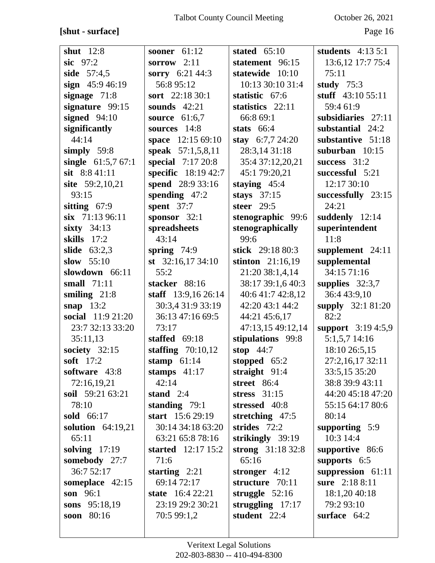# **[shut - surface]** Page 16

| shut $12:8$         | sooner 61:12               | stated $65:10$     | students $4:13\ 5:1$ |
|---------------------|----------------------------|--------------------|----------------------|
| sic $97:2$          | sorrow $2:11$              | statement 96:15    | 13:6, 12 17:7 75:4   |
| side 57:4,5         | sorry 6:21 44:3            | statewide 10:10    | 75:11                |
| sign 45:9 46:19     | 56:8 95:12                 | 10:13 30:10 31:4   | study $75:3$         |
| signage $71:8$      | sort 22:18 30:1            | statistic 67:6     | stuff $43:1055:11$   |
| signature 99:15     | sounds $42:21$             | statistics 22:11   | 59:4 61:9            |
| signed $94:10$      | source $61:6,7$            | 66:8 69:1          | subsidiaries 27:11   |
| significantly       | sources 14:8               | stats $66:4$       | substantial 24:2     |
| 44:14               | space 12:15 69:10          | stay $6:7,7$ 24:20 | substantive 51:18    |
| simply $59:8$       | speak 57:1,5,8,11          | 28:3,14 31:18      | suburban $10:15$     |
| single $61:5,767:1$ | special 7:17 20:8          | 35:4 37:12,20,21   | success $31:2$       |
| sit 8:8 41:11       | <b>specific</b> 18:19 42:7 | 45:1 79:20,21      | successful 5:21      |
| site 59:2,10,21     | spend 28:9 33:16           | staying $45:4$     | 12:17 30:10          |
| 93:15               | spending $47:2$            | stays $37:15$      | successfully 23:15   |
| sitting 67:9        | spent $37:7$               | steer $29:5$       | 24:21                |
| six 71:13 96:11     | sponsor 32:1               | stenographic 99:6  | suddenly 12:14       |
| sixty $34:13$       | spreadsheets               | stenographically   | superintendent       |
| skills $17:2$       | 43:14                      | 99:6               | 11:8                 |
| slide $63:2,3$      | spring $74:9$              | stick 29:18 80:3   | supplement 24:11     |
| slow 55:10          | st $32:16,1734:10$         | stinton $21:16,19$ | supplemental         |
| slowdown 66:11      | 55:2                       | 21:20 38:1,4,14    | 34:15 71:16          |
| small $71:11$       | stacker 88:16              | 38:17 39:1,6 40:3  | supplies $32:3,7$    |
| smiling $21:8$      | staff $13:9,1626:14$       | 40:6 41:7 42:8,12  | 36:4 43:9,10         |
| snap $13:2$         | 30:3,4 31:9 33:19          | 42:20 43:1 44:2    | supply 32:1 81:20    |
| social 11:9 21:20   | 36:13 47:16 69:5           | 44:21 45:6,17      | 82:2                 |
| 23:7 32:13 33:20    | 73:17                      | 47:13,15 49:12,14  | support 3:19 4:5,9   |
| 35:11,13            | staffed 69:18              | stipulations 99:8  | 5:1,5,7 14:16        |
| society $32:15$     | staffing $70:10,12$        | stop $44:7$        | 18:10 26:5,15        |
| soft $17:2$         | stamp $61:14$              | stopped 65:2       | 27:2,16,17 32:11     |
| software 43:8       | stamps $41:17$             | straight $91:4$    | 33:5,15 35:20        |
| 72:16,19,21         | 42:14                      | street 86:4        | 38:8 39:9 43:11      |
| soil 59:21 63:21    | stand $2:4$                | stress $31:15$     | 44:20 45:18 47:20    |
| 78:10               | standing $79:1$            | stressed 40:8      | 55:15 64:17 80:6     |
| sold 66:17          | start $15:629:19$          | stretching $47:5$  | 80:14                |
| solution $64:19,21$ | 30:14 34:18 63:20          | strides 72:2       | supporting $5:9$     |
| 65:11               | 63:21 65:8 78:16           | strikingly 39:19   | 10:3 14:4            |
| solving $17:19$     | <b>started</b> 12:17 15:2  | strong $31:1832:8$ | supportive 86:6      |
| somebody 27:7       | 71:6                       | 65:16              | supports 6:5         |
| 36:7 52:17          | starting $2:21$            | stronger $4:12$    | suppression 61:11    |
| someplace 42:15     | 69:14 72:17                | structure 70:11    | sure 2:18 8:11       |
| son 96:1            | <b>state</b> 16:4 22:21    | struggle $52:16$   | 18:1,20 40:18        |
| sons 95:18,19       | 23:19 29:2 30:21           | struggling $17:17$ | 79:2 93:10           |
| soon 80:16          | 70:5 99:1,2                | student 22:4       | surface $64:2$       |
|                     |                            |                    |                      |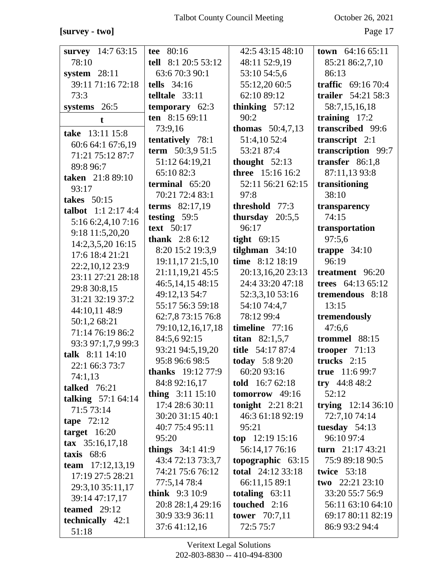#### **[survey - two]** Page 17

| survey 14:7 63:15          | tee 80:16                | 42:5 43:15 48:10                              | town $64:1665:11$                    |
|----------------------------|--------------------------|-----------------------------------------------|--------------------------------------|
| 78:10                      | tell 8:1 20:5 53:12      | 48:11 52:9,19                                 | 85:21 86:2,7,10                      |
| system $28:11$             | 63:6 70:3 90:1           | 53:10 54:5,6                                  | 86:13                                |
| 39:11 71:16 72:18          | tells $34:16$            | 55:12,20 60:5                                 | traffic 69:16 70:4                   |
| 73:3                       | telltale $33:11$         | 62:10 89:12                                   | trailer 54:21 58:3                   |
| systems 26:5               | temporary $62:3$         | thinking $57:12$                              | 58:7,15,16,18                        |
| $\mathbf t$                | ten 8:15 69:11           | 90:2                                          | training $17:2$                      |
| take 13:11 15:8            | 73:9,16                  | <b>thomas</b> $50:4,7,13$                     | transcribed 99:6                     |
|                            | tentatively 78:1         | 51:4,10 52:4                                  | transcript 2:1                       |
| 60:6 64:1 67:6,19          | term $50:3,951:5$        | 53:21 87:4                                    | transcription 99:7                   |
| 71:21 75:12 87:7           | 51:12 64:19,21           | thought $52:13$                               | transfer $86:1,8$                    |
| 89:8 96:7                  | 65:10 82:3               | three 15:16 16:2                              | 87:11,13 93:8                        |
| taken 21:8 89:10           | terminal 65:20           | 52:11 56:21 62:15                             | transitioning                        |
| 93:17                      | 70:21 72:4 83:1          | 97:8                                          | 38:10                                |
| takes $50:15$              | terms 82:17,19           | threshold 77:3                                | transparency                         |
| talbot $1:1 2:17 4:4$      | testing 59:5             | thursday $20:5,5$                             | 74:15                                |
| 5:16 6:2,4,10 7:16         | text 50:17               | 96:17                                         | transportation                       |
| 9:18 11:5,20,20            | <b>thank</b> $2:86:12$   | tight $69:15$                                 | 97:5,6                               |
| 14:2,3,5,20 16:15          | 8:20 15:2 19:3,9         | tilghman $34:10$                              | trappe $34:10$                       |
| 17:6 18:4 21:21            | 19:11,17 21:5,10         | time 8:12 18:19                               | 96:19                                |
| 22:2,10,12 23:9            | 21:11,19,21 45:5         | 20:13,16,20 23:13                             | treatment 96:20                      |
| 23:11 27:21 28:18          | 46:5, 14, 15 48:15       | 24:4 33:20 47:18                              | trees 64:13 65:12                    |
| 29:8 30:8,15               | 49:12,13 54:7            | 52:3,3,10 53:16                               | tremendous 8:18                      |
| 31:21 32:19 37:2           | 55:17 56:3 59:18         | 54:10 74:4,7                                  | 13:15                                |
| 44:10,11 48:9              | 62:7,8 73:15 76:8        | 78:12 99:4                                    | tremendously                         |
| 50:1,2 68:21               | 79:10,12,16,17,18        | timeline $77:16$                              | 47:6,6                               |
| 71:14 76:19 86:2           | 84:5,692:15              | titan $82:1,5,7$                              | trommel 88:15                        |
| 93:3 97:1,7,9 99:3         | 93:21 94:5,19,20         | title 54:17 87:4                              | trooper $71:13$                      |
| talk 8:11 14:10            | 95:8 96:6 98:5           | <b>today</b> $5:89:20$                        | trucks $2:15$                        |
| 22:1 66:3 73:7             | <b>thanks</b> 19:12 77:9 | 60:20 93:16                                   | true $11:699:7$                      |
| 74:1,13                    | 84:8 92:16,17            | <b>told</b> 16:7 62:18                        | try $44:848:2$                       |
| talked $76:21$             | thing $3:11$ 15:10       | tomorrow $49:16$                              | 52:12                                |
| talking 57:1 64:14         | 17:4 28:6 30:11          |                                               |                                      |
| 71:5 73:14                 | 30:20 31:15 40:1         | <b>tonight</b> $2:218:21$<br>46:3 61:18 92:19 | trying $12:1436:10$<br>72:7,10 74:14 |
| tape $72:12$               | 40:7 75:4 95:11          |                                               |                                      |
| target $16:20$             |                          | 95:21                                         | tuesday $54:13$                      |
| $\textbf{tax}$ 35:16,17,18 | 95:20                    | top $12:19$ 15:16                             | 96:10 97:4                           |
| taxis $68:6$               | things 34:1 41:9         | 56:14,17 76:16                                | turn 21:17 43:21                     |
| team $17:12,13,19$         | 43:4 72:13 73:3,7        | topographic $63:15$                           | 75:9 89:18 90:5                      |
| 17:19 27:5 28:21           | 74:21 75:6 76:12         | <b>total</b> 24:12 33:18                      | <b>twice</b> 53:18                   |
| 29:3,10 35:11,17           | 77:5,14 78:4             | 66:11,15 89:1                                 | two $22:2123:10$                     |
| 39:14 47:17,17             | <b>think</b> 9:3 10:9    | totaling $63:11$                              | 33:20 55:7 56:9                      |
| teamed $29:12$             | 20:8 28:1,4 29:16        | touched 2:16                                  | 56:11 63:10 64:10                    |
| technically $42:1$         | 30:9 33:9 36:11          | <b>tower</b> 70:7,11                          | 69:17 80:11 82:19                    |
| 51:18                      | 37:641:12,16             | 72:5 75:7                                     | 86:9 93:2 94:4                       |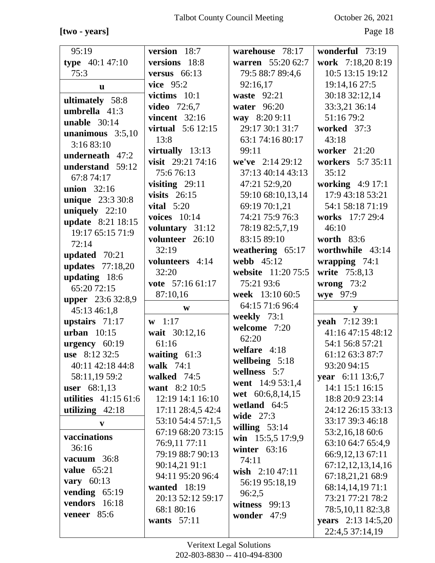#### **[two - years]** Page 18

| 95:19                                 | version 18:7                      | warehouse 78:17    | wonderful 73:19                         |
|---------------------------------------|-----------------------------------|--------------------|-----------------------------------------|
| type $40:147:10$                      | versions 18:8                     | warren 55:20 62:7  | work 7:18,20 8:19                       |
| 75:3                                  | versus $66:13$                    | 79:5 88:7 89:4,6   | 10:5 13:15 19:12                        |
| <b>u</b>                              | vice $95:2$                       | 92:16,17           | 19:14,16 27:5                           |
|                                       | victims $10:1$                    | waste $92:21$      | 30:18 32:12,14                          |
| ultimately 58:8<br>umbrella $41:3$    | <b>video</b> 72:6,7               | water 96:20        | 33:3,21 36:14                           |
| unable $30:14$                        | vincent $32:16$                   | way 8:20 9:11      | 51:16 79:2                              |
|                                       | <b>virtual</b> 5:6 12:15          | 29:17 30:1 31:7    | worked 37:3                             |
| unanimous $3:5,10$<br>3:16 83:10      | 13:8                              | 63:1 74:16 80:17   | 43:18                                   |
| underneath 47:2                       | virtually 13:13                   | 99:11              | worker 21:20                            |
|                                       | visit 29:21 74:16                 | we've 2:14 29:12   | workers 5:7 35:11                       |
| understand 59:12                      | 75:676:13                         | 37:13 40:14 43:13  | 35:12                                   |
| 67:8 74:17                            | visiting $29:11$                  | 47:21 52:9,20      | working 4:9 17:1                        |
| union 32:16                           | visits $26:15$                    | 59:10 68:10,13,14  | 17:9 43:18 53:21                        |
| <b>unique</b> 23:3 30:8               | vital $5:20$                      | 69:19 70:1,21      | 54:1 58:18 71:19                        |
| uniquely $22:10$                      | voices $10:14$                    | 74:21 75:9 76:3    | works 17:7 29:4                         |
| update 8:21 18:15<br>19:17 65:15 71:9 | voluntary 31:12                   | 78:19 82:5,7,19    | 46:10                                   |
|                                       | volunteer 26:10                   | 83:15 89:10        | worth $83:6$                            |
| 72:14                                 | 32:19                             | weathering $65:17$ | worthwhile 43:14                        |
| updated 70:21                         | volunteers 4:14                   | webb 45:12         | wrapping 74:1                           |
| updates $77:18,20$<br>updating 18:6   | 32:20                             | website 11:20 75:5 | write 75:8,13                           |
|                                       | vote 57:16 61:17                  | 75:21 93:6         | wrong $73:2$                            |
|                                       |                                   |                    |                                         |
| 65:20 72:15                           | 87:10,16                          | week 13:10 60:5    | wye 97:9                                |
| <b>upper</b> 23:6 32:8,9              | W                                 | 64:15 71:6 96:4    |                                         |
| 45:13 46:1,8                          |                                   | weekly 73:1        | y                                       |
| upstairs 71:17                        | $w 1:17$                          | welcome 7:20       | yeah 7:12 39:1                          |
| urban $10:15$                         | wait 30:12,16                     | 62:20              | 41:16 47:15 48:12                       |
| urgency 60:19                         | 61:16                             | welfare 4:18       | 54:1 56:8 57:21                         |
| use 8:12 32:5                         | waiting $61:3$                    | wellbeing 5:18     | 61:12 63:3 87:7                         |
| 40:11 42:18 44:8                      | walk 74:1                         | wellness 5:7       | 93:20 94:15                             |
| 58:11,19 59:2                         | walked 74:5                       | went 14:9 53:1,4   | year 6:11 13:6,7                        |
| <b>user</b> $68:1,13$                 | want 8:2 10:5                     | wet 60:6,8,14,15   | 14:1 15:1 16:15                         |
| utilities $41:1561:6$                 | 12:19 14:1 16:10                  | wetland 64:5       | 18:8 20:9 23:14                         |
| utilizing $42:18$                     | 17:11 28:4,5 42:4                 | wide 27:3          | 24:12 26:15 33:13                       |
| V                                     | 53:10 54:4 57:1,5                 | willing $53:14$    | 33:17 39:3 46:18                        |
| vaccinations                          | 67:19 68:20 73:15                 | win 15:5,5 17:9,9  | 53:2,16,18 60:6                         |
| 36:16                                 | 76:9,11 77:11<br>79:19 88:7 90:13 | winter $63:16$     | 63:10 64:7 65:4,9                       |
| vacuum $36:8$                         |                                   | 74:11              | 66:9,12,13 67:11                        |
| value $65:21$                         | 90:14,21 91:1<br>94:11 95:20 96:4 | wish $2:1047:11$   | 67:12,12,13,14,16                       |
| <b>vary</b> 60:13                     | wanted 18:19                      | 56:19 95:18,19     | 67:18,21,21 68:9<br>68:14,14,1971:1     |
| vending $65:19$                       | 20:13 52:12 59:17                 | 96:2,5             | 73:21 77:21 78:2                        |
| vendors 16:18                         | 68:1 80:16                        | witness $99:13$    |                                         |
| veneer $85:6$                         | wants 57:11                       | wonder 47:9        | 78:5,10,11 82:3,8<br>years 2:13 14:5,20 |